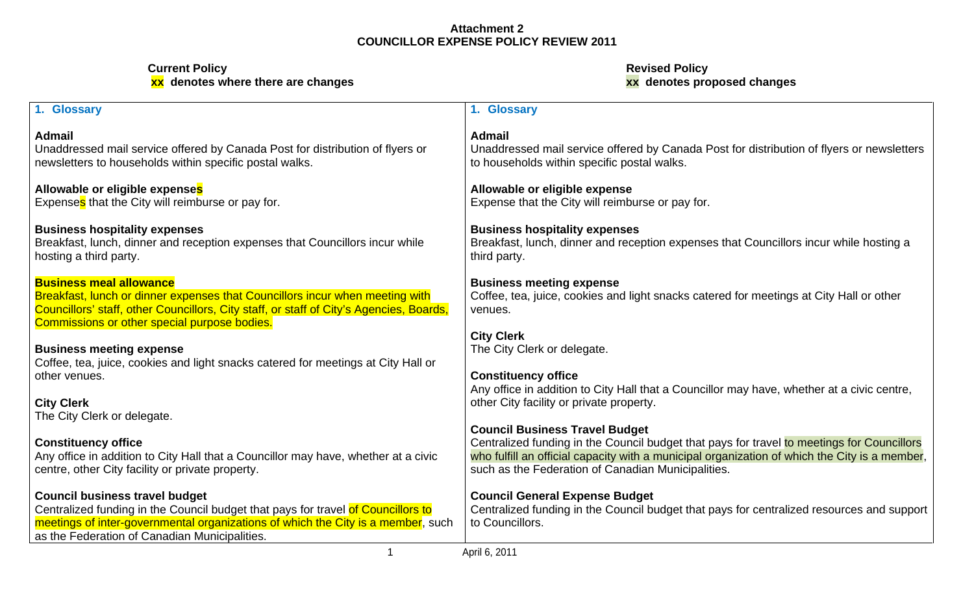| 1. Glossary                                                                                                                              | <b>Glossary</b>                                                                                                                          |
|------------------------------------------------------------------------------------------------------------------------------------------|------------------------------------------------------------------------------------------------------------------------------------------|
| <b>Admail</b>                                                                                                                            | <b>Admail</b>                                                                                                                            |
| Unaddressed mail service offered by Canada Post for distribution of flyers or<br>newsletters to households within specific postal walks. | Unaddressed mail service offered by Canada Post for distribution of flyers or newsletters<br>to households within specific postal walks. |
| Allowable or eligible expenses<br>Expenses that the City will reimburse or pay for.                                                      | Allowable or eligible expense<br>Expense that the City will reimburse or pay for.                                                        |
| <b>Business hospitality expenses</b>                                                                                                     | <b>Business hospitality expenses</b>                                                                                                     |
| Breakfast, lunch, dinner and reception expenses that Councillors incur while<br>hosting a third party.                                   | Breakfast, lunch, dinner and reception expenses that Councillors incur while hosting a<br>third party.                                   |
| <b>Business meal allowance</b>                                                                                                           | <b>Business meeting expense</b>                                                                                                          |
| Breakfast, lunch or dinner expenses that Councillors incur when meeting with                                                             | Coffee, tea, juice, cookies and light snacks catered for meetings at City Hall or other                                                  |
| Councillors' staff, other Councillors, City staff, or staff of City's Agencies, Boards,                                                  | venues.                                                                                                                                  |
| Commissions or other special purpose bodies.                                                                                             |                                                                                                                                          |
|                                                                                                                                          | <b>City Clerk</b>                                                                                                                        |
| <b>Business meeting expense</b>                                                                                                          | The City Clerk or delegate.                                                                                                              |
| Coffee, tea, juice, cookies and light snacks catered for meetings at City Hall or                                                        |                                                                                                                                          |
| other venues.                                                                                                                            | <b>Constituency office</b>                                                                                                               |
| <b>City Clerk</b>                                                                                                                        | Any office in addition to City Hall that a Councillor may have, whether at a civic centre,                                               |
| The City Clerk or delegate.                                                                                                              | other City facility or private property.                                                                                                 |
|                                                                                                                                          | <b>Council Business Travel Budget</b>                                                                                                    |
| <b>Constituency office</b>                                                                                                               | Centralized funding in the Council budget that pays for travel to meetings for Councillors                                               |
| Any office in addition to City Hall that a Councillor may have, whether at a civic                                                       | who fulfill an official capacity with a municipal organization of which the City is a member,                                            |
| centre, other City facility or private property.                                                                                         | such as the Federation of Canadian Municipalities.                                                                                       |
|                                                                                                                                          |                                                                                                                                          |
| <b>Council business travel budget</b>                                                                                                    | <b>Council General Expense Budget</b>                                                                                                    |
| Centralized funding in the Council budget that pays for travel of Councillors to                                                         | Centralized funding in the Council budget that pays for centralized resources and support                                                |
| meetings of inter-governmental organizations of which the City is a member, such                                                         | to Councillors.                                                                                                                          |
| as the Federation of Canadian Municipalities.                                                                                            |                                                                                                                                          |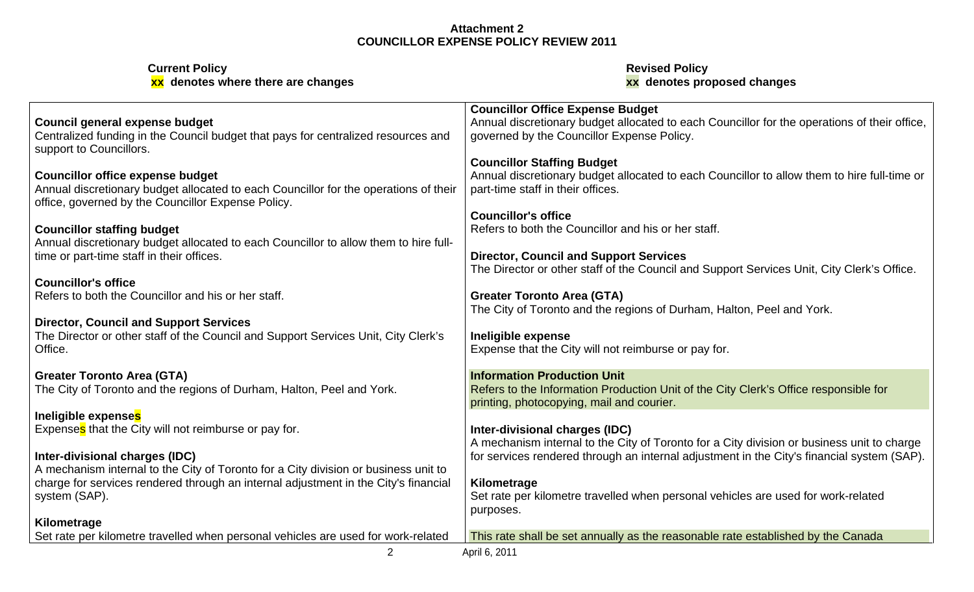| <b>Current Policy</b>                                                                                      | <b>Revised Policy</b>                                                                        |
|------------------------------------------------------------------------------------------------------------|----------------------------------------------------------------------------------------------|
| xx denotes where there are changes                                                                         | xx denotes proposed changes                                                                  |
|                                                                                                            | <b>Councillor Office Expense Budget</b>                                                      |
| Council general expense budget                                                                             | Annual discretionary budget allocated to each Councillor for the operations of their office, |
| Centralized funding in the Council budget that pays for centralized resources and                          | governed by the Councillor Expense Policy.                                                   |
| support to Councillors.                                                                                    |                                                                                              |
|                                                                                                            | <b>Councillor Staffing Budget</b>                                                            |
| <b>Councillor office expense budget</b>                                                                    | Annual discretionary budget allocated to each Councillor to allow them to hire full-time or  |
| Annual discretionary budget allocated to each Councillor for the operations of their                       | part-time staff in their offices.                                                            |
| office, governed by the Councillor Expense Policy.                                                         |                                                                                              |
|                                                                                                            | <b>Councillor's office</b>                                                                   |
| <b>Councillor staffing budget</b>                                                                          | Refers to both the Councillor and his or her staff.                                          |
| Annual discretionary budget allocated to each Councillor to allow them to hire full-                       |                                                                                              |
| time or part-time staff in their offices.                                                                  | <b>Director, Council and Support Services</b>                                                |
|                                                                                                            | The Director or other staff of the Council and Support Services Unit, City Clerk's Office.   |
| <b>Councillor's office</b>                                                                                 |                                                                                              |
| Refers to both the Councillor and his or her staff.                                                        | <b>Greater Toronto Area (GTA)</b>                                                            |
|                                                                                                            | The City of Toronto and the regions of Durham, Halton, Peel and York.                        |
| Director, Council and Support Services                                                                     |                                                                                              |
| The Director or other staff of the Council and Support Services Unit, City Clerk's                         | Ineligible expense                                                                           |
| Office.                                                                                                    | Expense that the City will not reimburse or pay for.                                         |
|                                                                                                            | <b>Information Production Unit</b>                                                           |
| <b>Greater Toronto Area (GTA)</b><br>The City of Toronto and the regions of Durham, Halton, Peel and York. | Refers to the Information Production Unit of the City Clerk's Office responsible for         |
|                                                                                                            | printing, photocopying, mail and courier.                                                    |
| Ineligible expense <mark>s</mark>                                                                          |                                                                                              |
| Expenses that the City will not reimburse or pay for.                                                      | Inter-divisional charges (IDC)                                                               |
|                                                                                                            | A mechanism internal to the City of Toronto for a City division or business unit to charge   |
| Inter-divisional charges (IDC)                                                                             | for services rendered through an internal adjustment in the City's financial system (SAP).   |
| A mechanism internal to the City of Toronto for a City division or business unit to                        |                                                                                              |
| charge for services rendered through an internal adjustment in the City's financial                        | Kilometrage                                                                                  |
| system (SAP).                                                                                              | Set rate per kilometre travelled when personal vehicles are used for work-related            |
|                                                                                                            | purposes.                                                                                    |
| <b>Kilometrage</b>                                                                                         |                                                                                              |
| Set rate per kilometre travelled when personal vehicles are used for work-related                          | This rate shall be set annually as the reasonable rate established by the Canada             |
|                                                                                                            | April 6, 2011                                                                                |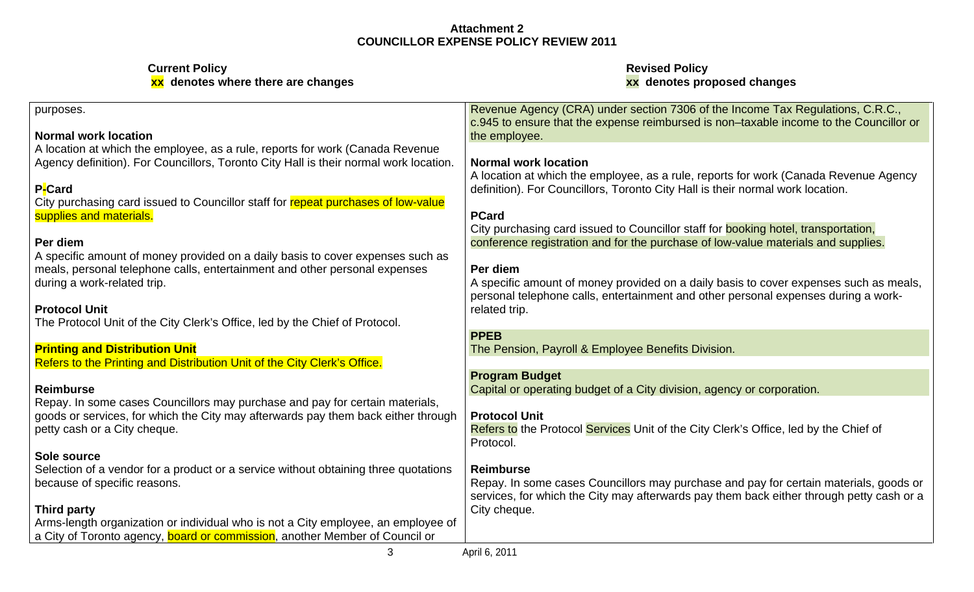| purposes.                                                                             | Revenue Agency (CRA) under section 7306 of the Income Tax Regulations, C.R.C.,<br>c.945 to ensure that the expense reimbursed is non-taxable income to the Councillor or |
|---------------------------------------------------------------------------------------|--------------------------------------------------------------------------------------------------------------------------------------------------------------------------|
| <b>Normal work location</b>                                                           | the employee.                                                                                                                                                            |
| A location at which the employee, as a rule, reports for work (Canada Revenue)        |                                                                                                                                                                          |
| Agency definition). For Councillors, Toronto City Hall is their normal work location. | <b>Normal work location</b>                                                                                                                                              |
|                                                                                       | A location at which the employee, as a rule, reports for work (Canada Revenue Agency                                                                                     |
| P-Card                                                                                | definition). For Councillors, Toronto City Hall is their normal work location.                                                                                           |
| City purchasing card issued to Councillor staff for repeat purchases of low-value     |                                                                                                                                                                          |
| supplies and materials.                                                               | <b>PCard</b>                                                                                                                                                             |
|                                                                                       | City purchasing card issued to Councillor staff for <b>booking hotel</b> , transportation,                                                                               |
| Per diem                                                                              | conference registration and for the purchase of low-value materials and supplies.                                                                                        |
| A specific amount of money provided on a daily basis to cover expenses such as        |                                                                                                                                                                          |
| meals, personal telephone calls, entertainment and other personal expenses            | Per diem                                                                                                                                                                 |
| during a work-related trip.                                                           | A specific amount of money provided on a daily basis to cover expenses such as meals,                                                                                    |
|                                                                                       | personal telephone calls, entertainment and other personal expenses during a work-                                                                                       |
| <b>Protocol Unit</b>                                                                  | related trip.                                                                                                                                                            |
| The Protocol Unit of the City Clerk's Office, led by the Chief of Protocol.           |                                                                                                                                                                          |
|                                                                                       | <b>PPEB</b>                                                                                                                                                              |
| <b>Printing and Distribution Unit</b>                                                 | The Pension, Payroll & Employee Benefits Division.                                                                                                                       |
| Refers to the Printing and Distribution Unit of the City Clerk's Office.              |                                                                                                                                                                          |
|                                                                                       | <b>Program Budget</b>                                                                                                                                                    |
| <b>Reimburse</b>                                                                      | Capital or operating budget of a City division, agency or corporation.                                                                                                   |
| Repay. In some cases Councillors may purchase and pay for certain materials,          |                                                                                                                                                                          |
| goods or services, for which the City may afterwards pay them back either through     | <b>Protocol Unit</b>                                                                                                                                                     |
| petty cash or a City cheque.                                                          | Refers to the Protocol Services Unit of the City Clerk's Office, led by the Chief of                                                                                     |
|                                                                                       | Protocol.                                                                                                                                                                |
| Sole source                                                                           |                                                                                                                                                                          |
| Selection of a vendor for a product or a service without obtaining three quotations   | Reimburse                                                                                                                                                                |
| because of specific reasons.                                                          | Repay. In some cases Councillors may purchase and pay for certain materials, goods or                                                                                    |
|                                                                                       | services, for which the City may afterwards pay them back either through petty cash or a                                                                                 |
| <b>Third party</b>                                                                    | City cheque.                                                                                                                                                             |
| Arms-length organization or individual who is not a City employee, an employee of     |                                                                                                                                                                          |
| a City of Toronto agency, board or commission, another Member of Council or           |                                                                                                                                                                          |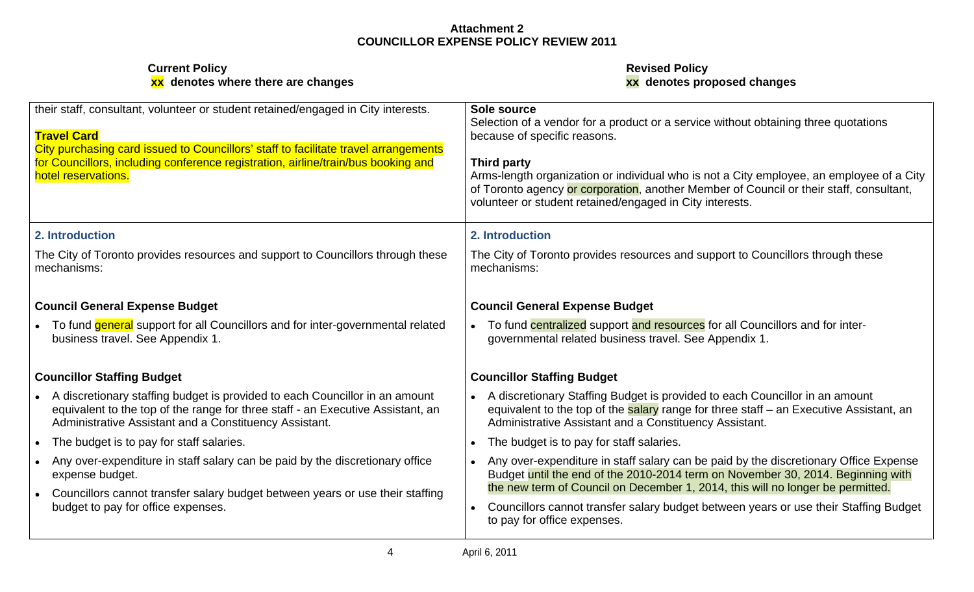| their staff, consultant, volunteer or student retained/engaged in City interests.                                                                                                                                        | Sole source                                                                                                                                                                                                                                     |
|--------------------------------------------------------------------------------------------------------------------------------------------------------------------------------------------------------------------------|-------------------------------------------------------------------------------------------------------------------------------------------------------------------------------------------------------------------------------------------------|
| <b>Travel Card</b>                                                                                                                                                                                                       | Selection of a vendor for a product or a service without obtaining three quotations<br>because of specific reasons.                                                                                                                             |
| City purchasing card issued to Councillors' staff to facilitate travel arrangements                                                                                                                                      |                                                                                                                                                                                                                                                 |
| for Councillors, including conference registration, airline/train/bus booking and                                                                                                                                        | Third party                                                                                                                                                                                                                                     |
| hotel reservations.                                                                                                                                                                                                      | Arms-length organization or individual who is not a City employee, an employee of a City<br>of Toronto agency or corporation, another Member of Council or their staff, consultant,<br>volunteer or student retained/engaged in City interests. |
| 2. Introduction                                                                                                                                                                                                          | 2. Introduction                                                                                                                                                                                                                                 |
| The City of Toronto provides resources and support to Councillors through these<br>mechanisms:                                                                                                                           | The City of Toronto provides resources and support to Councillors through these<br>mechanisms:                                                                                                                                                  |
| <b>Council General Expense Budget</b>                                                                                                                                                                                    | <b>Council General Expense Budget</b>                                                                                                                                                                                                           |
| To fund general support for all Councillors and for inter-governmental related<br>business travel. See Appendix 1.                                                                                                       | To fund centralized support and resources for all Councillors and for inter-<br>governmental related business travel. See Appendix 1.                                                                                                           |
| <b>Councillor Staffing Budget</b>                                                                                                                                                                                        | <b>Councillor Staffing Budget</b>                                                                                                                                                                                                               |
| A discretionary staffing budget is provided to each Councillor in an amount<br>equivalent to the top of the range for three staff - an Executive Assistant, an<br>Administrative Assistant and a Constituency Assistant. | A discretionary Staffing Budget is provided to each Councillor in an amount<br>equivalent to the top of the salary range for three staff - an Executive Assistant, an<br>Administrative Assistant and a Constituency Assistant.                 |
| The budget is to pay for staff salaries.                                                                                                                                                                                 | The budget is to pay for staff salaries.                                                                                                                                                                                                        |
| Any over-expenditure in staff salary can be paid by the discretionary office<br>expense budget.                                                                                                                          | Any over-expenditure in staff salary can be paid by the discretionary Office Expense<br>Budget until the end of the 2010-2014 term on November 30, 2014. Beginning with                                                                         |
| Councillors cannot transfer salary budget between years or use their staffing<br>budget to pay for office expenses.                                                                                                      | the new term of Council on December 1, 2014, this will no longer be permitted.<br>Councillors cannot transfer salary budget between years or use their Staffing Budget<br>to pay for office expenses.                                           |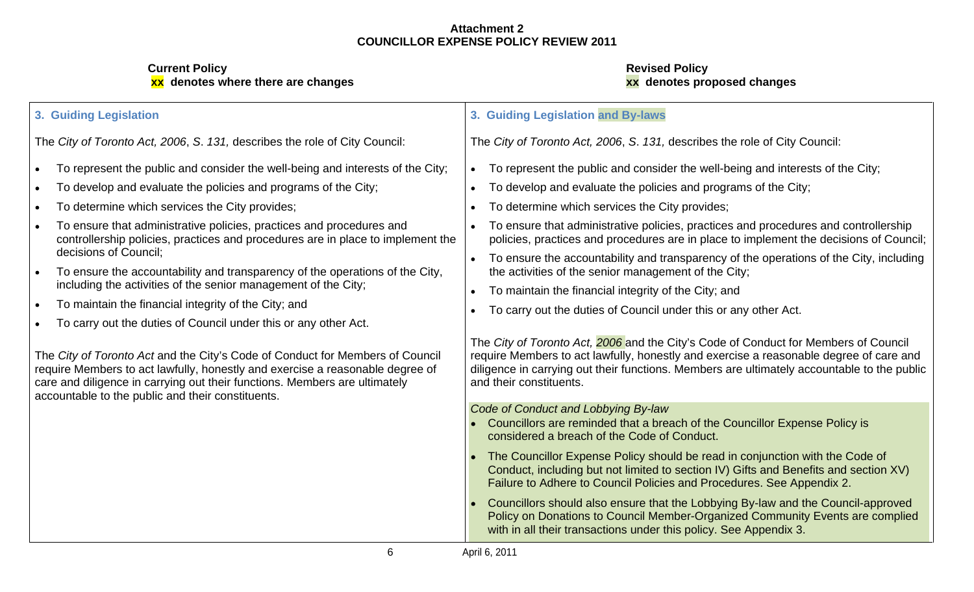**Current Policy Revised Policy xx denotes where there are changes xx denotes proposed changes**

#### **3. Guiding Legislation 3. Guiding Legislation and By-laws** The City of Toronto Act, 2006, S. 131, describes the role of City Council: The City of Toronto Act, 2006, S. 131, describes the role of City Council: To represent the public and consider the well-being and interests of the City; To represent the public and consider the well-being and interests of the City;  $\bullet$ To develop and evaluate the policies and programs of the City; To develop and evaluate the policies and programs of the City; To determine which services the City provides; To determine which services the City provides; To ensure that administrative policies, practices and procedures and  $\qquad \qquad | \cdot \quad$  To ensure that administrative policies, practices and procedures and controllership  $\qquad \qquad |$ controllership policies, practices and procedures are in place to implement the  $|$  policies, practices and procedures are in place to implement the decisions of Council;  $|$ decisions of Council; To ensure the accountability and transparency of the operations of the City, including To ensure the accountability and transparency of the operations of the City, the activities of the senior management of the City; including the activities of the senior management of the City; To maintain the financial integrity of the City; and To maintain the financial integrity of the City; and  $\bullet$ To carry out the duties of Council under this or any other Act. To carry out the duties of Council under this or any other Act.  $\bullet$ The City of Toronto Act, 2006 and the City's Code of Conduct for Members of Council The City of Toronto Act and the City's Code of Conduct for Members of Council | require Members to act lawfully, honestly and exercise a reasonable degree of care and | require Members to act lawfully, honestly and exercise a reasonable degree of  $\quad \mid$  diligence in carrying out their functions. Members are ultimately accountable to the public  $\mid$ care and diligence in carrying out their functions. Members are ultimately and their constituents. accountable to the public and their constituents. Code of Conduct and Lobbying By-law Councillors are reminded that a breach of the Councillor Expense Policy is considered a breach of the Code of Conduct.

- The Councillor Expense Policy should be read in conjunction with the Code of Conduct, including but not limited to section IV) Gifts and Benefits and section XV) Failure to Adhere to Council Policies and Procedures. See Appendix 2.
- Councillors should also ensure that the Lobbying By-law and the Council-approved Policy on Donations to Council Member-Organized Community Events are complied with in all their transactions under this policy. See Appendix 3.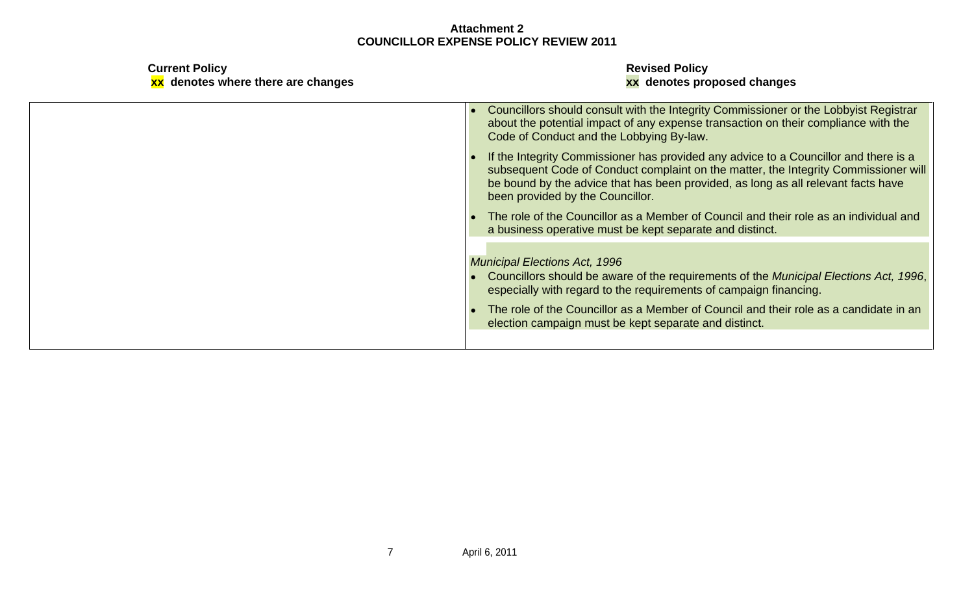| <b>Current Policy</b><br>xx denotes where there are changes | <b>Revised Policy</b><br>xx denotes proposed changes                                                                                                                                                                                                                                                 |
|-------------------------------------------------------------|------------------------------------------------------------------------------------------------------------------------------------------------------------------------------------------------------------------------------------------------------------------------------------------------------|
|                                                             | • Councillors should consult with the Integrity Commissioner or the Lobbyist Registrar<br>about the potential impact of any expense transaction on their compliance with the<br>Code of Conduct and the Lobbying By-law.                                                                             |
|                                                             | If the Integrity Commissioner has provided any advice to a Councillor and there is a<br>subsequent Code of Conduct complaint on the matter, the Integrity Commissioner will<br>be bound by the advice that has been provided, as long as all relevant facts have<br>been provided by the Councillor. |
|                                                             | • The role of the Councillor as a Member of Council and their role as an individual and<br>a business operative must be kept separate and distinct.                                                                                                                                                  |
|                                                             | <b>Municipal Elections Act, 1996</b><br>• Councillors should be aware of the requirements of the Municipal Elections Act, 1996,<br>especially with regard to the requirements of campaign financing.                                                                                                 |
|                                                             | The role of the Councillor as a Member of Council and their role as a candidate in an<br>election campaign must be kept separate and distinct.                                                                                                                                                       |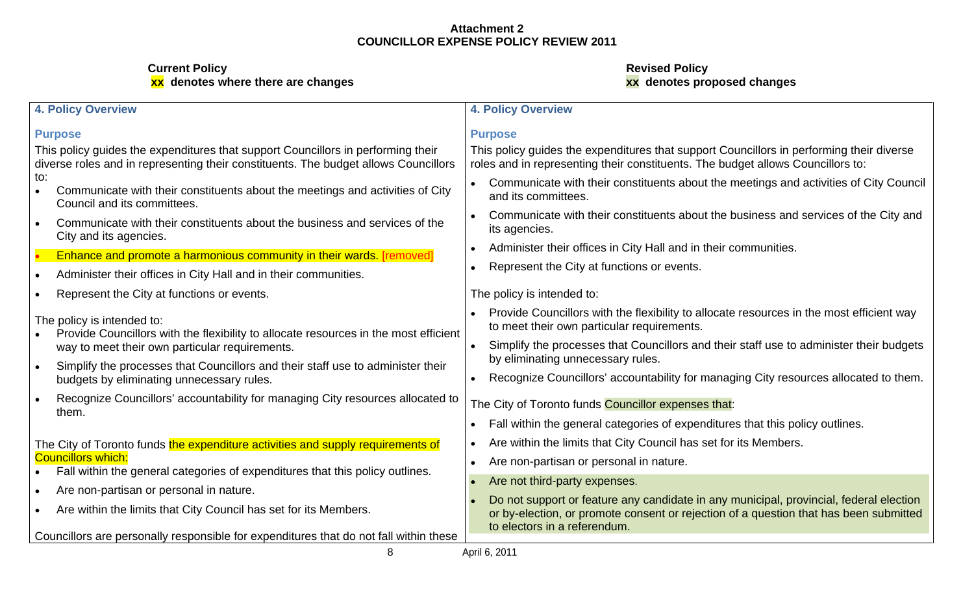| 4. Policy Overview                                                                                                                                                      | <b>4. Policy Overview</b>                                                                                                                                                                                       |
|-------------------------------------------------------------------------------------------------------------------------------------------------------------------------|-----------------------------------------------------------------------------------------------------------------------------------------------------------------------------------------------------------------|
| <b>Purpose</b>                                                                                                                                                          | <b>Purpose</b>                                                                                                                                                                                                  |
| This policy guides the expenditures that support Councillors in performing their<br>diverse roles and in representing their constituents. The budget allows Councillors | This policy guides the expenditures that support Councillors in performing their diverse<br>roles and in representing their constituents. The budget allows Councillors to:                                     |
| Communicate with their constituents about the meetings and activities of City<br>Council and its committees.                                                            | Communicate with their constituents about the meetings and activities of City Council<br>and its committees.                                                                                                    |
| Communicate with their constituents about the business and services of the<br>City and its agencies.                                                                    | Communicate with their constituents about the business and services of the City and<br>its agencies.                                                                                                            |
| Enhance and promote a harmonious community in their wards. [removed]                                                                                                    | Administer their offices in City Hall and in their communities.                                                                                                                                                 |
| Administer their offices in City Hall and in their communities.                                                                                                         | • Represent the City at functions or events.                                                                                                                                                                    |
| Represent the City at functions or events.                                                                                                                              | The policy is intended to:                                                                                                                                                                                      |
| The policy is intended to:<br>Provide Councillors with the flexibility to allocate resources in the most efficient                                                      | Provide Councillors with the flexibility to allocate resources in the most efficient way<br>to meet their own particular requirements.                                                                          |
| way to meet their own particular requirements.                                                                                                                          | Simplify the processes that Councillors and their staff use to administer their budgets<br>by eliminating unnecessary rules.                                                                                    |
| Simplify the processes that Councillors and their staff use to administer their<br>budgets by eliminating unnecessary rules.                                            | Recognize Councillors' accountability for managing City resources allocated to them.                                                                                                                            |
| Recognize Councillors' accountability for managing City resources allocated to                                                                                          | The City of Toronto funds Councillor expenses that:                                                                                                                                                             |
| them.                                                                                                                                                                   | • Fall within the general categories of expenditures that this policy outlines.                                                                                                                                 |
| The City of Toronto funds the expenditure activities and supply requirements of                                                                                         | Are within the limits that City Council has set for its Members.                                                                                                                                                |
| <b>Councillors which:</b><br>• Fall within the general categories of expenditures that this policy outlines.                                                            | • Are non-partisan or personal in nature.                                                                                                                                                                       |
| Are non-partisan or personal in nature.                                                                                                                                 | • Are not third-party expenses.                                                                                                                                                                                 |
| Are within the limits that City Council has set for its Members.                                                                                                        | Do not support or feature any candidate in any municipal, provincial, federal election<br>or by-election, or promote consent or rejection of a question that has been submitted<br>to electors in a referendum. |
| Councillors are personally responsible for expenditures that do not fall within these                                                                                   | April 6, 2011                                                                                                                                                                                                   |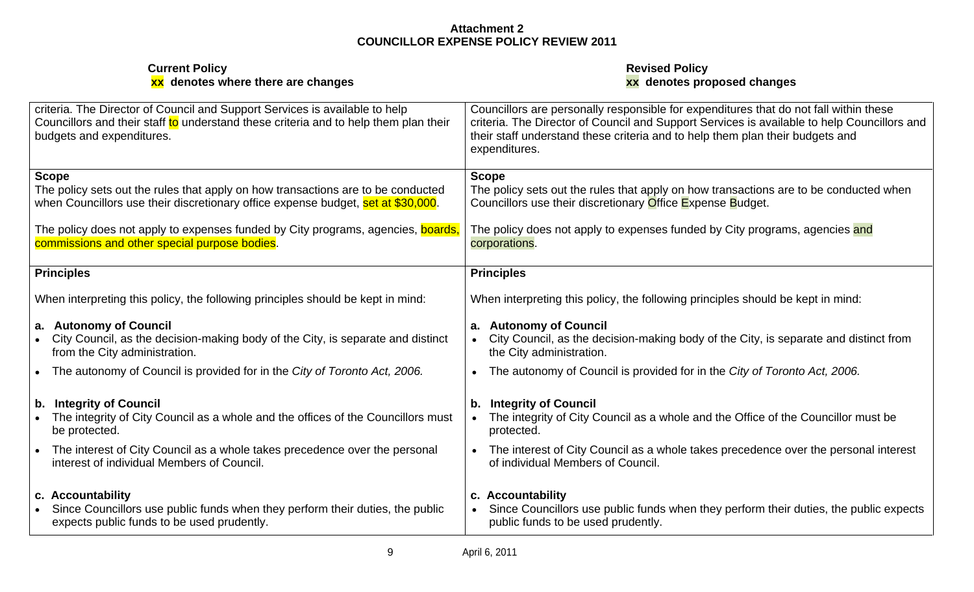| <b>Current Policy</b><br>xx denotes where there are changes                                                                                                                                      | <b>Revised Policy</b><br>xx denotes proposed changes                                                                                                                                                                                                                                   |
|--------------------------------------------------------------------------------------------------------------------------------------------------------------------------------------------------|----------------------------------------------------------------------------------------------------------------------------------------------------------------------------------------------------------------------------------------------------------------------------------------|
| criteria. The Director of Council and Support Services is available to help<br>Councillors and their staff to understand these criteria and to help them plan their<br>budgets and expenditures. | Councillors are personally responsible for expenditures that do not fall within these<br>criteria. The Director of Council and Support Services is available to help Councillors and<br>their staff understand these criteria and to help them plan their budgets and<br>expenditures. |
| Scope<br>The policy sets out the rules that apply on how transactions are to be conducted<br>when Councillors use their discretionary office expense budget, set at \$30,000.                    | <b>Scope</b><br>The policy sets out the rules that apply on how transactions are to be conducted when<br>Councillors use their discretionary Office Expense Budget.                                                                                                                    |
| The policy does not apply to expenses funded by City programs, agencies, <mark>boards</mark><br>commissions and other special purpose bodies.                                                    | The policy does not apply to expenses funded by City programs, agencies and<br>corporations.                                                                                                                                                                                           |
| <b>Principles</b>                                                                                                                                                                                | <b>Principles</b>                                                                                                                                                                                                                                                                      |
| When interpreting this policy, the following principles should be kept in mind:                                                                                                                  | When interpreting this policy, the following principles should be kept in mind:                                                                                                                                                                                                        |
| a. Autonomy of Council<br>City Council, as the decision-making body of the City, is separate and distinct<br>from the City administration.                                                       | a. Autonomy of Council<br>• City Council, as the decision-making body of the City, is separate and distinct from<br>the City administration.                                                                                                                                           |
| The autonomy of Council is provided for in the City of Toronto Act, 2006.                                                                                                                        | • The autonomy of Council is provided for in the City of Toronto Act, 2006.                                                                                                                                                                                                            |
| b. Integrity of Council<br>The integrity of City Council as a whole and the offices of the Councillors must<br>be protected.                                                                     | b. Integrity of Council<br>The integrity of City Council as a whole and the Office of the Councillor must be<br>protected.                                                                                                                                                             |
| The interest of City Council as a whole takes precedence over the personal<br>interest of individual Members of Council.                                                                         | • The interest of City Council as a whole takes precedence over the personal interest<br>of individual Members of Council.                                                                                                                                                             |
| c. Accountability<br>Since Councillors use public funds when they perform their duties, the public<br>expects public funds to be used prudently.                                                 | c. Accountability<br>Since Councillors use public funds when they perform their duties, the public expects<br>public funds to be used prudently.                                                                                                                                       |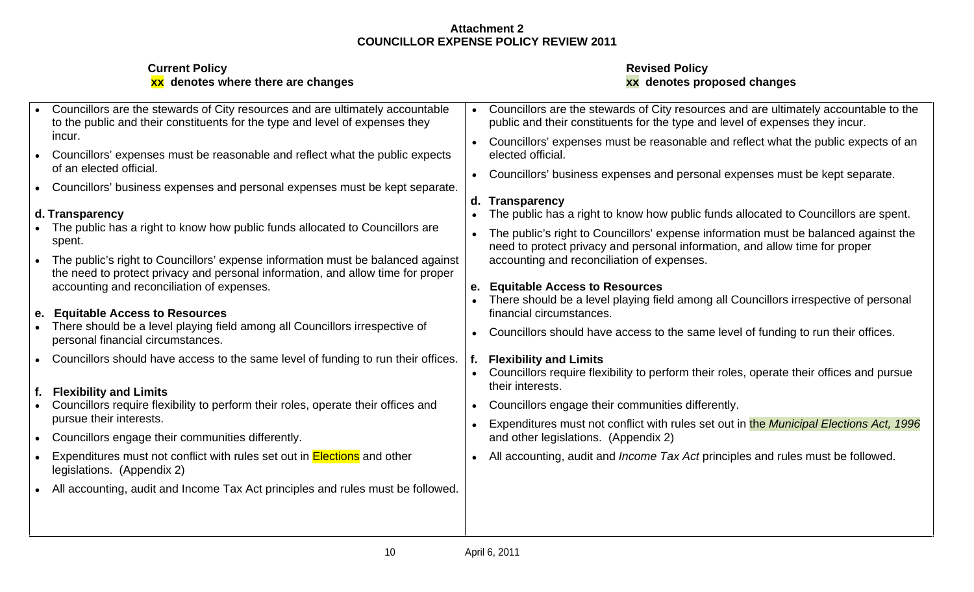| xx denotes where there are changes                                                                                                                                                               | <b>Revised Policy</b><br>xx denotes proposed changes                                                                                                                                                                                   |
|--------------------------------------------------------------------------------------------------------------------------------------------------------------------------------------------------|----------------------------------------------------------------------------------------------------------------------------------------------------------------------------------------------------------------------------------------|
| Councillors are the stewards of City resources and are ultimately accountable                                                                                                                    | Councillors are the stewards of City resources and are ultimately accountable to the                                                                                                                                                   |
| to the public and their constituents for the type and level of expenses they                                                                                                                     | public and their constituents for the type and level of expenses they incur.                                                                                                                                                           |
| incur.<br>Councillors' expenses must be reasonable and reflect what the public expects<br>of an elected official.<br>Councillors' business expenses and personal expenses must be kept separate. | • Councillors' expenses must be reasonable and reflect what the public expects of an<br>elected official.<br>• Councillors' business expenses and personal expenses must be kept separate.                                             |
| d. Transparency                                                                                                                                                                                  | d. Transparency                                                                                                                                                                                                                        |
| The public has a right to know how public funds allocated to Councillors are                                                                                                                     | • The public has a right to know how public funds allocated to Councillors are spent.                                                                                                                                                  |
| spent.                                                                                                                                                                                           | • The public's right to Councillors' expense information must be balanced against the                                                                                                                                                  |
| The public's right to Councillors' expense information must be balanced against                                                                                                                  | need to protect privacy and personal information, and allow time for proper                                                                                                                                                            |
| the need to protect privacy and personal information, and allow time for proper                                                                                                                  | accounting and reconciliation of expenses.                                                                                                                                                                                             |
| accounting and reconciliation of expenses.                                                                                                                                                       | <b>Equitable Access to Resources</b>                                                                                                                                                                                                   |
| <b>Equitable Access to Resources</b>                                                                                                                                                             | • There should be a level playing field among all Councillors irrespective of personal                                                                                                                                                 |
| There should be a level playing field among all Councillors irrespective of                                                                                                                      | financial circumstances.                                                                                                                                                                                                               |
| personal financial circumstances.<br>Councillors should have access to the same level of funding to run their offices.<br><b>Flexibility and Limits</b>                                          | • Councillors should have access to the same level of funding to run their offices.<br><b>Flexibility and Limits</b><br>• Councillors require flexibility to perform their roles, operate their offices and pursue<br>their interests. |
| Councillors require flexibility to perform their roles, operate their offices and                                                                                                                | Councillors engage their communities differently.                                                                                                                                                                                      |
| pursue their interests.                                                                                                                                                                          | • Expenditures must not conflict with rules set out in the Municipal Elections Act, 1996                                                                                                                                               |
| Councillors engage their communities differently.                                                                                                                                                | and other legislations. (Appendix 2)                                                                                                                                                                                                   |
| Expenditures must not conflict with rules set out in <b>Elections</b> and other                                                                                                                  | • All accounting, audit and <i>Income Tax Act</i> principles and rules must be followed.                                                                                                                                               |
| legislations. (Appendix 2)                                                                                                                                                                       | All accounting, audit and Income Tax Act principles and rules must be followed.                                                                                                                                                        |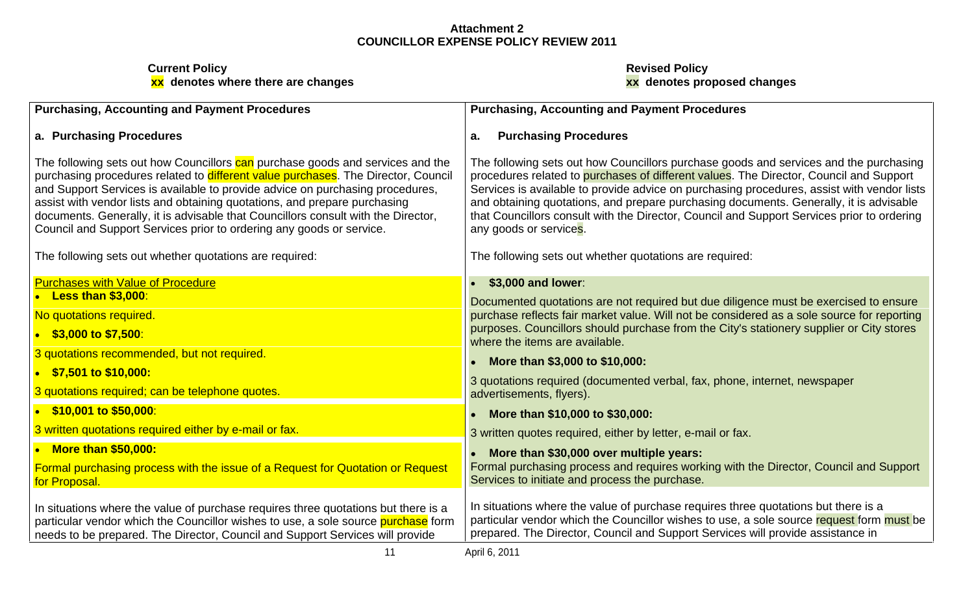| Purchasing, Accounting and Payment Procedures                                                                                                                                                                                                                                                                                     | <b>Purchasing, Accounting and Payment Procedures</b>                                                                                                                                                                                                                                                                                                                    |
|-----------------------------------------------------------------------------------------------------------------------------------------------------------------------------------------------------------------------------------------------------------------------------------------------------------------------------------|-------------------------------------------------------------------------------------------------------------------------------------------------------------------------------------------------------------------------------------------------------------------------------------------------------------------------------------------------------------------------|
| a. Purchasing Procedures                                                                                                                                                                                                                                                                                                          | <b>Purchasing Procedures</b>                                                                                                                                                                                                                                                                                                                                            |
| The following sets out how Councillors can purchase goods and services and the<br>purchasing procedures related to different value purchases. The Director, Council<br>and Support Services is available to provide advice on purchasing procedures,<br>assist with vendor lists and obtaining quotations, and prepare purchasing | The following sets out how Councillors purchase goods and services and the purchasing<br>procedures related to purchases of different values. The Director, Council and Support<br>Services is available to provide advice on purchasing procedures, assist with vendor lists<br>and obtaining quotations, and prepare purchasing documents. Generally, it is advisable |
| documents. Generally, it is advisable that Councillors consult with the Director,<br>Council and Support Services prior to ordering any goods or service.                                                                                                                                                                         | that Councillors consult with the Director, Council and Support Services prior to ordering<br>any goods or services.                                                                                                                                                                                                                                                    |
| The following sets out whether quotations are required:                                                                                                                                                                                                                                                                           | The following sets out whether quotations are required:                                                                                                                                                                                                                                                                                                                 |
| <u>Purchases with Value of Procedure</u><br>• Less than \$3,000:                                                                                                                                                                                                                                                                  | \$3,000 and lower:<br>Documented quotations are not required but due diligence must be exercised to ensure                                                                                                                                                                                                                                                              |
| No quotations required.<br>$\bullet$ \$3,000 to \$7,500:                                                                                                                                                                                                                                                                          | purchase reflects fair market value. Will not be considered as a sole source for reporting<br>purposes. Councillors should purchase from the City's stationery supplier or City stores                                                                                                                                                                                  |
| 3 quotations recommended, but not required.                                                                                                                                                                                                                                                                                       | where the items are available.<br>More than \$3,000 to \$10,000:                                                                                                                                                                                                                                                                                                        |
| $\frac{$7,501}{0}$ to \$10,000:<br>3 quotations required; can be telephone quotes.                                                                                                                                                                                                                                                | 3 quotations required (documented verbal, fax, phone, internet, newspaper<br>advertisements, flyers).                                                                                                                                                                                                                                                                   |
| $\bullet$ \$10,001 to \$50,000:                                                                                                                                                                                                                                                                                                   | More than \$10,000 to \$30,000:                                                                                                                                                                                                                                                                                                                                         |
| 3 written quotations required either by e-mail or fax.                                                                                                                                                                                                                                                                            | 3 written quotes required, either by letter, e-mail or fax.                                                                                                                                                                                                                                                                                                             |
| $\bullet$ More than \$50,000:                                                                                                                                                                                                                                                                                                     | More than \$30,000 over multiple years:                                                                                                                                                                                                                                                                                                                                 |
| Formal purchasing process with the issue of a Request for Quotation or Request<br>for Proposal.                                                                                                                                                                                                                                   | Formal purchasing process and requires working with the Director, Council and Support<br>Services to initiate and process the purchase.                                                                                                                                                                                                                                 |
| In situations where the value of purchase requires three quotations but there is a<br>particular vendor which the Councillor wishes to use, a sole source <b>purchase</b> form<br>needs to be prepared. The Director, Council and Support Services will provide                                                                   | In situations where the value of purchase requires three quotations but there is a<br>particular vendor which the Councillor wishes to use, a sole source request form must be<br>prepared. The Director, Council and Support Services will provide assistance in                                                                                                       |
|                                                                                                                                                                                                                                                                                                                                   | April 6, 2011                                                                                                                                                                                                                                                                                                                                                           |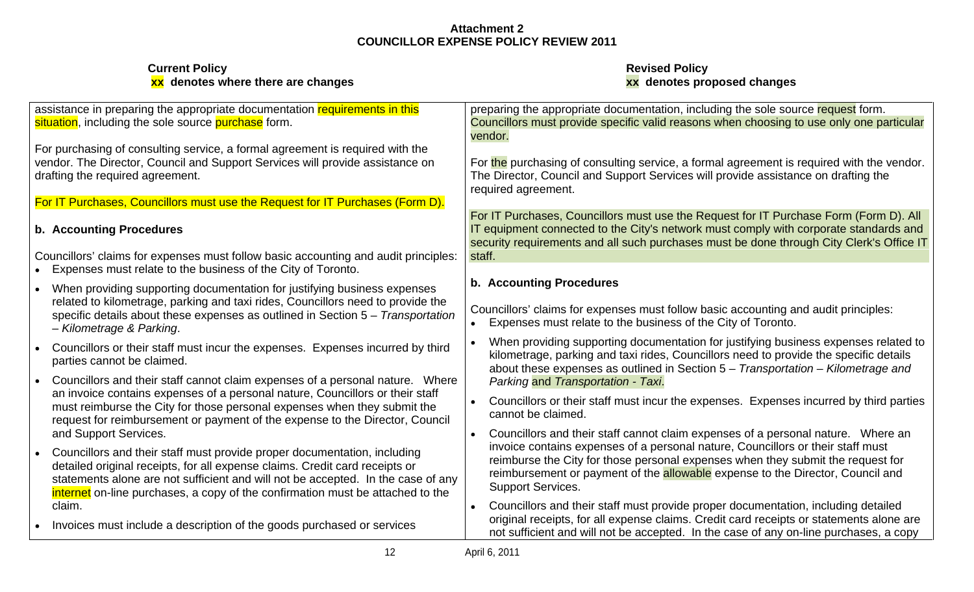| <b>Current Policy</b><br>xx denotes where there are changes                                                                                                                                                                                                                                                                   | <b>Revised Policy</b><br>xx denotes proposed changes                                                                                                                                                                                                                                                      |
|-------------------------------------------------------------------------------------------------------------------------------------------------------------------------------------------------------------------------------------------------------------------------------------------------------------------------------|-----------------------------------------------------------------------------------------------------------------------------------------------------------------------------------------------------------------------------------------------------------------------------------------------------------|
| assistance in preparing the appropriate documentation requirements in this<br>situation, including the sole source purchase form.                                                                                                                                                                                             | preparing the appropriate documentation, including the sole source request form.<br>Councillors must provide specific valid reasons when choosing to use only one particular                                                                                                                              |
| For purchasing of consulting service, a formal agreement is required with the<br>vendor. The Director, Council and Support Services will provide assistance on<br>drafting the required agreement.                                                                                                                            | For the purchasing of consulting service, a formal agreement is required with the vendor<br>The Director, Council and Support Services will provide assistance on drafting the<br>required agreement.                                                                                                     |
| For IT Purchases, Councillors must use the Request for IT Purchases (Form D).                                                                                                                                                                                                                                                 |                                                                                                                                                                                                                                                                                                           |
| b. Accounting Procedures                                                                                                                                                                                                                                                                                                      | For IT Purchases, Councillors must use the Request for IT Purchase Form (Form D). All<br>IT equipment connected to the City's network must comply with corporate standards and<br>security requirements and all such purchases must be done through City Clerk's Office IT                                |
| Councillors' claims for expenses must follow basic accounting and audit principles:<br>• Expenses must relate to the business of the City of Toronto.                                                                                                                                                                         |                                                                                                                                                                                                                                                                                                           |
| When providing supporting documentation for justifying business expenses<br>related to kilometrage, parking and taxi rides, Councillors need to provide the<br>specific details about these expenses as outlined in Section 5 - Transportation<br>- Kilometrage & Parking.                                                    | <b>b. Accounting Procedures</b><br>Councillors' claims for expenses must follow basic accounting and audit principles:<br>Expenses must relate to the business of the City of Toronto.                                                                                                                    |
| • Councillors or their staff must incur the expenses. Expenses incurred by third<br>parties cannot be claimed.<br>Councillors and their staff cannot claim expenses of a personal nature.  Where                                                                                                                              | When providing supporting documentation for justifying business expenses related to<br>kilometrage, parking and taxi rides, Councillors need to provide the specific details<br>about these expenses as outlined in Section $5 - T$ ransportation – Kilometrage and<br>Parking and Transportation - Taxi. |
| an invoice contains expenses of a personal nature, Councillors or their staff<br>must reimburse the City for those personal expenses when they submit the<br>request for reimbursement or payment of the expense to the Director, Council                                                                                     | Councillors or their staff must incur the expenses. Expenses incurred by third parties<br>cannot be claimed.                                                                                                                                                                                              |
| and Support Services.                                                                                                                                                                                                                                                                                                         | Councillors and their staff cannot claim expenses of a personal nature. Where an                                                                                                                                                                                                                          |
| Councillors and their staff must provide proper documentation, including<br>detailed original receipts, for all expense claims. Credit card receipts or<br>statements alone are not sufficient and will not be accepted. In the case of any<br>internet on-line purchases, a copy of the confirmation must be attached to the | invoice contains expenses of a personal nature, Councillors or their staff must<br>reimburse the City for those personal expenses when they submit the request for<br>reimbursement or payment of the allowable expense to the Director, Council and<br><b>Support Services.</b>                          |
| claim.                                                                                                                                                                                                                                                                                                                        | Councillors and their staff must provide proper documentation, including detailed                                                                                                                                                                                                                         |
| • Invoices must include a description of the goods purchased or services                                                                                                                                                                                                                                                      | original receipts, for all expense claims. Credit card receipts or statements alone are<br>not sufficient and will not be accepted. In the case of any on-line purchases, a copy                                                                                                                          |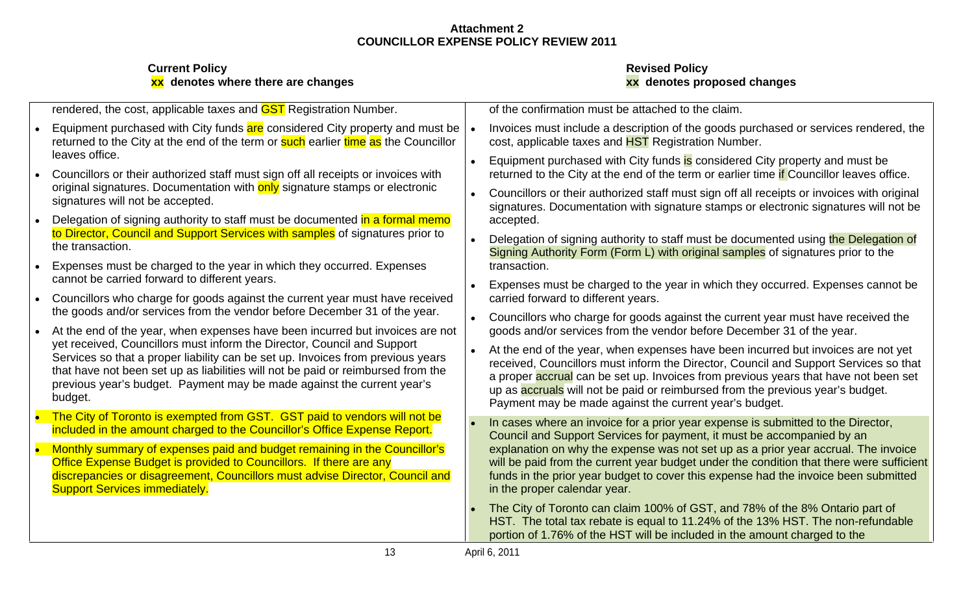| rendered, the cost, applicable taxes and <b>GST</b> Registration Number.                                                                                                           | of the confirmation must be attached to the claim.                                                                                                                                                                                             |
|------------------------------------------------------------------------------------------------------------------------------------------------------------------------------------|------------------------------------------------------------------------------------------------------------------------------------------------------------------------------------------------------------------------------------------------|
| Equipment purchased with City funds are considered City property and must be                                                                                                       | Invoices must include a description of the goods purchased or services rendered, the                                                                                                                                                           |
| returned to the City at the end of the term or <b>such</b> earlier time as the Councillor                                                                                          | cost, applicable taxes and HST Registration Number.                                                                                                                                                                                            |
| leaves office.<br>Councillors or their authorized staff must sign off all receipts or invoices with<br>original signatures. Documentation with only signature stamps or electronic | Equipment purchased with City funds is considered City property and must be<br>returned to the City at the end of the term or earlier time if Councillor leaves office.                                                                        |
| signatures will not be accepted.<br>Delegation of signing authority to staff must be documented in a formal memo                                                                   | Councillors or their authorized staff must sign off all receipts or invoices with original<br>signatures. Documentation with signature stamps or electronic signatures will not be<br>accepted.                                                |
| to Director, Council and Support Services with samples of signatures prior to                                                                                                      | Delegation of signing authority to staff must be documented using the Delegation of                                                                                                                                                            |
| the transaction.                                                                                                                                                                   | Signing Authority Form (Form L) with original samples of signatures prior to the                                                                                                                                                               |
| Expenses must be charged to the year in which they occurred. Expenses                                                                                                              | transaction.                                                                                                                                                                                                                                   |
| cannot be carried forward to different years.                                                                                                                                      | Expenses must be charged to the year in which they occurred. Expenses cannot be                                                                                                                                                                |
| Councillors who charge for goods against the current year must have received                                                                                                       | carried forward to different years.                                                                                                                                                                                                            |
| the goods and/or services from the vendor before December 31 of the year.                                                                                                          | Councillors who charge for goods against the current year must have received the                                                                                                                                                               |
| At the end of the year, when expenses have been incurred but invoices are not                                                                                                      | goods and/or services from the vendor before December 31 of the year.                                                                                                                                                                          |
| yet received, Councillors must inform the Director, Council and Support                                                                                                            | At the end of the year, when expenses have been incurred but invoices are not yet                                                                                                                                                              |
| Services so that a proper liability can be set up. Invoices from previous years                                                                                                    | received, Councillors must inform the Director, Council and Support Services so that                                                                                                                                                           |
| that have not been set up as liabilities will not be paid or reimbursed from the                                                                                                   | a proper accrual can be set up. Invoices from previous years that have not been set                                                                                                                                                            |
| previous year's budget. Payment may be made against the current year's                                                                                                             | up as accruals will not be paid or reimbursed from the previous year's budget.                                                                                                                                                                 |
| budaet.                                                                                                                                                                            | Payment may be made against the current year's budget.                                                                                                                                                                                         |
| The City of Toronto is exempted from GST. GST paid to vendors will not be                                                                                                          | In cases where an invoice for a prior year expense is submitted to the Director,                                                                                                                                                               |
| included in the amount charged to the Councillor's Office Expense Report.                                                                                                          | Council and Support Services for payment, it must be accompanied by an                                                                                                                                                                         |
| Monthly summary of expenses paid and budget remaining in the Councillor's                                                                                                          | explanation on why the expense was not set up as a prior year accrual. The invoice                                                                                                                                                             |
| Office Expense Budget is provided to Councillors. If there are any                                                                                                                 | will be paid from the current year budget under the condition that there were sufficient                                                                                                                                                       |
| discrepancies or disagreement, Councillors must advise Director, Council and                                                                                                       | funds in the prior year budget to cover this expense had the invoice been submitted                                                                                                                                                            |
| <b>Support Services immediately.</b>                                                                                                                                               | in the proper calendar year.                                                                                                                                                                                                                   |
|                                                                                                                                                                                    | • The City of Toronto can claim 100% of GST, and 78% of the 8% Ontario part of<br>HST. The total tax rebate is equal to 11.24% of the 13% HST. The non-refundable<br>portion of 1.76% of the HST will be included in the amount charged to the |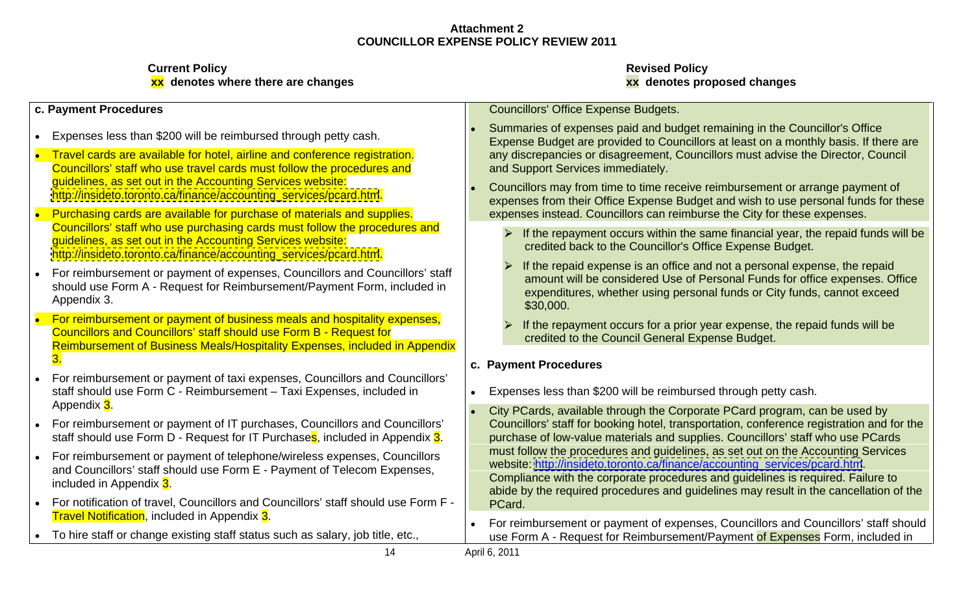| c. Payment Procedures                                                                                                                                                                                                                                                                   | <b>Councillors' Office Expense Budgets.</b>                                                                                                                                                                                                                                                                                                |
|-----------------------------------------------------------------------------------------------------------------------------------------------------------------------------------------------------------------------------------------------------------------------------------------|--------------------------------------------------------------------------------------------------------------------------------------------------------------------------------------------------------------------------------------------------------------------------------------------------------------------------------------------|
| Expenses less than \$200 will be reimbursed through petty cash.                                                                                                                                                                                                                         | Summaries of expenses paid and budget remaining in the Councillor's Office<br>Expense Budget are provided to Councillors at least on a monthly basis. If there are                                                                                                                                                                         |
| Travel cards are available for hotel, airline and conference registration.<br>Councillors' staff who use travel cards must follow the procedures and<br>guidelines, as set out in the Accounting Services website:<br>http://insideto.toronto.ca/finance/accounting_services/pcard.htm. | any discrepancies or disagreement, Councillors must advise the Director, Council<br>and Support Services immediately.<br>Councillors may from time to time receive reimbursement or arrange payment of                                                                                                                                     |
| Purchasing cards are available for purchase of materials and supplies.                                                                                                                                                                                                                  | expenses from their Office Expense Budget and wish to use personal funds for these<br>expenses instead. Councillors can reimburse the City for these expenses.                                                                                                                                                                             |
| Councillors' staff who use purchasing cards must follow the procedures and<br>guidelines, as set out in the Accounting Services website:<br>http://insideto.toronto.ca/finance/accounting_services/pcard.htm.                                                                           | If the repayment occurs within the same financial year, the repaid funds will be<br>credited back to the Councillor's Office Expense Budget.                                                                                                                                                                                               |
| For reimbursement or payment of expenses, Councillors and Councillors' staff<br>should use Form A - Request for Reimbursement/Payment Form, included in<br>Appendix 3.                                                                                                                  | If the repaid expense is an office and not a personal expense, the repaid<br>amount will be considered Use of Personal Funds for office expenses. Office<br>expenditures, whether using personal funds or City funds, cannot exceed<br>\$30,000.                                                                                           |
| For reimbursement or payment of business meals and hospitality expenses,<br><b>Councillors and Councillors' staff should use Form B - Request for</b><br>Reimbursement of Business Meals/Hospitality Expenses, included in Appendix                                                     | If the repayment occurs for a prior year expense, the repaid funds will be<br>credited to the Council General Expense Budget.                                                                                                                                                                                                              |
|                                                                                                                                                                                                                                                                                         | c. Payment Procedures                                                                                                                                                                                                                                                                                                                      |
| For reimbursement or payment of taxi expenses, Councillors and Councillors'<br>staff should use Form C - Reimbursement - Taxi Expenses, included in<br>Appendix 3.                                                                                                                      | Expenses less than \$200 will be reimbursed through petty cash                                                                                                                                                                                                                                                                             |
| For reimbursement or payment of IT purchases, Councillors and Councillors<br>staff should use Form D - Request for IT Purchases, included in Appendix 3.                                                                                                                                | City PCards, available through the Corporate PCard program, can be used by<br>Councillors' staff for booking hotel, transportation, conference registration and for the<br>purchase of low-value materials and supplies. Councillors' staff who use PCards                                                                                 |
| For reimbursement or payment of telephone/wireless expenses, Councillors<br>and Councillors' staff should use Form E - Payment of Telecom Expenses,<br>included in Appendix 3.                                                                                                          | must follow the procedures and guidelines, as set out on the Accounting Services<br>website: http://insideto.toronto.ca/finance/accounting_services/pcard.htm.<br>Compliance with the corporate procedures and guidelines is required. Failure to<br>abide by the required procedures and guidelines may result in the cancellation of the |
| For notification of travel, Councillors and Councillors' staff should use Form F -<br><b>Travel Notification</b> , included in Appendix 3.                                                                                                                                              | PCard.<br>For reimbursement or payment of expenses, Councillors and Councillors' staff should                                                                                                                                                                                                                                              |
| To hire staff or change existing staff status such as salary, job title, etc.,                                                                                                                                                                                                          | use Form A - Request for Reimbursement/Payment of Expenses Form, included in                                                                                                                                                                                                                                                               |
|                                                                                                                                                                                                                                                                                         | April 6, 2011                                                                                                                                                                                                                                                                                                                              |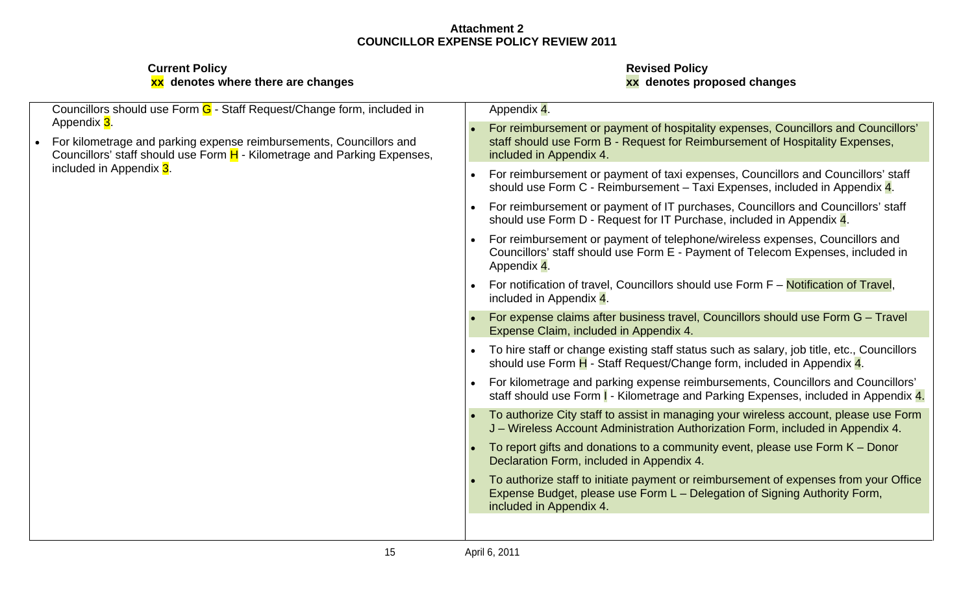| Councillors should use Form $G$ - Staff Request/Change form, included in                                                                                                     | Appendix 4.                                                                                                                                                                                     |
|------------------------------------------------------------------------------------------------------------------------------------------------------------------------------|-------------------------------------------------------------------------------------------------------------------------------------------------------------------------------------------------|
| Appendix <mark>3</mark> .<br>For kilometrage and parking expense reimbursements, Councillors and<br>Councillors' staff should use Form H - Kilometrage and Parking Expenses, | • For reimbursement or payment of hospitality expenses, Councillors and Councillors'<br>staff should use Form B - Request for Reimbursement of Hospitality Expenses,<br>included in Appendix 4. |
| included in Appendix 3.                                                                                                                                                      | • For reimbursement or payment of taxi expenses, Councillors and Councillors' staff<br>should use Form C - Reimbursement - Taxi Expenses, included in Appendix 4.                               |
|                                                                                                                                                                              | For reimbursement or payment of IT purchases, Councillors and Councillors' staff<br>should use Form D - Request for IT Purchase, included in Appendix 4.                                        |
|                                                                                                                                                                              | • For reimbursement or payment of telephone/wireless expenses, Councillors and<br>Councillors' staff should use Form E - Payment of Telecom Expenses, included in<br>Appendix 4.                |
|                                                                                                                                                                              | • For notification of travel, Councillors should use Form F - Notification of Travel,<br>included in Appendix 4.                                                                                |
|                                                                                                                                                                              | • For expense claims after business travel, Councillors should use Form G - Travel<br>Expense Claim, included in Appendix 4.                                                                    |
|                                                                                                                                                                              | • To hire staff or change existing staff status such as salary, job title, etc., Councillors<br>should use Form H - Staff Request/Change form, included in Appendix 4.                          |
|                                                                                                                                                                              | • For kilometrage and parking expense reimbursements, Councillors and Councillors'<br>staff should use Form   - Kilometrage and Parking Expenses, included in Appendix 4.                       |
|                                                                                                                                                                              | • To authorize City staff to assist in managing your wireless account, please use Form<br>J – Wireless Account Administration Authorization Form, included in Appendix 4.                       |
|                                                                                                                                                                              | • To report gifts and donations to a community event, please use Form $K -$ Donor<br>Declaration Form, included in Appendix 4.                                                                  |
|                                                                                                                                                                              | • To authorize staff to initiate payment or reimbursement of expenses from your Office<br>Expense Budget, please use Form L - Delegation of Signing Authority Form,<br>included in Appendix 4.  |
|                                                                                                                                                                              |                                                                                                                                                                                                 |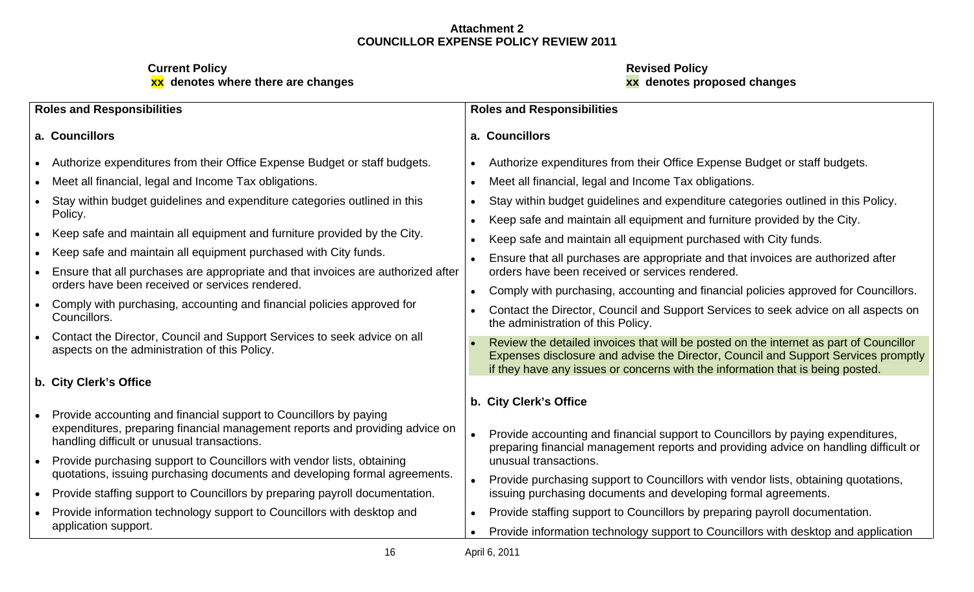| <b>Roles and Responsibilities</b>                                                                                                                                                                | <b>Roles and Responsibilities</b>                                                                                                                                                                                                                              |
|--------------------------------------------------------------------------------------------------------------------------------------------------------------------------------------------------|----------------------------------------------------------------------------------------------------------------------------------------------------------------------------------------------------------------------------------------------------------------|
| a. Councillors                                                                                                                                                                                   | a. Councillors                                                                                                                                                                                                                                                 |
| • Authorize expenditures from their Office Expense Budget or staff budgets.                                                                                                                      | • Authorize expenditures from their Office Expense Budget or staff budgets.                                                                                                                                                                                    |
| Meet all financial, legal and Income Tax obligations.                                                                                                                                            | • Meet all financial, legal and Income Tax obligations.                                                                                                                                                                                                        |
| Stay within budget guidelines and expenditure categories outlined in this<br>Policy.                                                                                                             | Stay within budget guidelines and expenditure categories outlined in this Policy.                                                                                                                                                                              |
| Keep safe and maintain all equipment and furniture provided by the City.                                                                                                                         | • Keep safe and maintain all equipment and furniture provided by the City.<br>• Keep safe and maintain all equipment purchased with City funds.                                                                                                                |
| • Keep safe and maintain all equipment purchased with City funds.                                                                                                                                | Ensure that all purchases are appropriate and that invoices are authorized after                                                                                                                                                                               |
| Ensure that all purchases are appropriate and that invoices are authorized after<br>orders have been received or services rendered.                                                              | orders have been received or services rendered.                                                                                                                                                                                                                |
| Comply with purchasing, accounting and financial policies approved for<br>Councillors.                                                                                                           | Comply with purchasing, accounting and financial policies approved for Councillors.<br>Contact the Director, Council and Support Services to seek advice on all aspects on                                                                                     |
|                                                                                                                                                                                                  | the administration of this Policy.                                                                                                                                                                                                                             |
| Contact the Director, Council and Support Services to seek advice on all<br>aspects on the administration of this Policy.                                                                        | Review the detailed invoices that will be posted on the internet as part of Councillor<br>Expenses disclosure and advise the Director, Council and Support Services promptly<br>if they have any issues or concerns with the information that is being posted. |
| b. City Clerk's Office                                                                                                                                                                           |                                                                                                                                                                                                                                                                |
|                                                                                                                                                                                                  | b. City Clerk's Office                                                                                                                                                                                                                                         |
| Provide accounting and financial support to Councillors by paying<br>expenditures, preparing financial management reports and providing advice on<br>handling difficult or unusual transactions. | Provide accounting and financial support to Councillors by paying expenditures,<br>preparing financial management reports and providing advice on handling difficult or                                                                                        |
| Provide purchasing support to Councillors with vendor lists, obtaining<br>quotations, issuing purchasing documents and developing formal agreements.                                             | unusual transactions.                                                                                                                                                                                                                                          |
| Provide staffing support to Councillors by preparing payroll documentation.                                                                                                                      | Provide purchasing support to Councillors with vendor lists, obtaining quotations,<br>issuing purchasing documents and developing formal agreements.                                                                                                           |
| Provide information technology support to Councillors with desktop and<br>application support.                                                                                                   | Provide staffing support to Councillors by preparing payroll documentation.<br>• Provide information technology support to Councillors with desktop and application                                                                                            |
|                                                                                                                                                                                                  | April 6, 2011                                                                                                                                                                                                                                                  |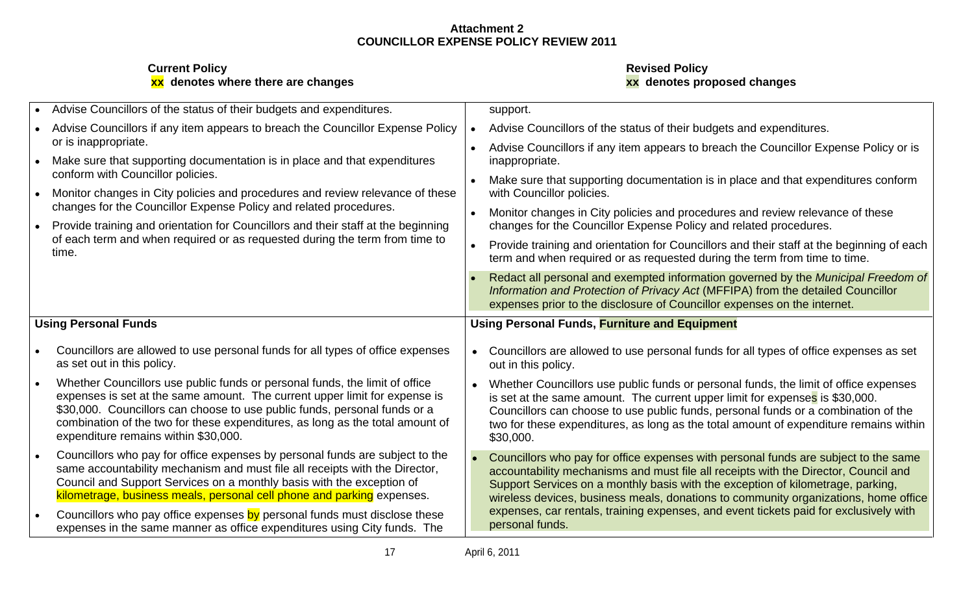| Advise Councillors of the status of their budgets and expenditures.               | support                                                                                                                                                                                                                                          |
|-----------------------------------------------------------------------------------|--------------------------------------------------------------------------------------------------------------------------------------------------------------------------------------------------------------------------------------------------|
| Advise Councillors if any item appears to breach the Councillor Expense Policy    | Advise Councillors of the status of their budgets and expenditures.                                                                                                                                                                              |
| or is inappropriate.                                                              | Advise Councillors if any item appears to breach the Councillor Expense Policy or is                                                                                                                                                             |
| Make sure that supporting documentation is in place and that expenditures         | inappropriate.                                                                                                                                                                                                                                   |
| conform with Councillor policies.                                                 | Make sure that supporting documentation is in place and that expenditures conform                                                                                                                                                                |
| Monitor changes in City policies and procedures and review relevance of these     | with Councillor policies.                                                                                                                                                                                                                        |
| changes for the Councillor Expense Policy and related procedures.                 | Monitor changes in City policies and procedures and review relevance of these                                                                                                                                                                    |
| Provide training and orientation for Councillors and their staff at the beginning | changes for the Councillor Expense Policy and related procedures.                                                                                                                                                                                |
| of each term and when required or as requested during the term from time to       | Provide training and orientation for Councillors and their staff at the beginning of each                                                                                                                                                        |
| time.                                                                             | term and when required or as requested during the term from time to time.                                                                                                                                                                        |
|                                                                                   | Redact all personal and exempted information governed by the Municipal Freedom of<br>Information and Protection of Privacy Act (MFFIPA) from the detailed Councillor<br>expenses prior to the disclosure of Councillor expenses on the internet. |
| <b>Using Personal Funds</b>                                                       | <b>Using Personal Funds, Furniture and Equipment</b>                                                                                                                                                                                             |
| Councillors are allowed to use personal funds for all types of office expenses    | Councillors are allowed to use personal funds for all types of office expenses as set                                                                                                                                                            |
| as set out in this policy.                                                        | out in this policy.                                                                                                                                                                                                                              |
| Whether Councillors use public funds or personal funds, the limit of office       | Mhether Councillors use public funds or personal funds, the limit of office expenses                                                                                                                                                             |
| expenses is set at the same amount. The current upper limit for expense is        | is set at the same amount. The current upper limit for expenses is \$30,000.                                                                                                                                                                     |
| \$30,000. Councillors can choose to use public funds, personal funds or a         | Councillors can choose to use public funds, personal funds or a combination of the                                                                                                                                                               |
| combination of the two for these expenditures, as long as the total amount of     | two for these expenditures, as long as the total amount of expenditure remains within                                                                                                                                                            |
| expenditure remains within \$30,000.                                              | \$30,000.                                                                                                                                                                                                                                        |
| Councillors who pay for office expenses by personal funds are subject to the      | Councillors who pay for office expenses with personal funds are subject to the same                                                                                                                                                              |
| same accountability mechanism and must file all receipts with the Director,       | accountability mechanisms and must file all receipts with the Director, Council and                                                                                                                                                              |
| Council and Support Services on a monthly basis with the exception of             | Support Services on a monthly basis with the exception of kilometrage, parking,                                                                                                                                                                  |
| kilometrage, business meals, personal cell phone and parking expenses.            | wireless devices, business meals, donations to community organizations, home office                                                                                                                                                              |
| Councillors who pay office expenses by personal funds must disclose these         | expenses, car rentals, training expenses, and event tickets paid for exclusively with                                                                                                                                                            |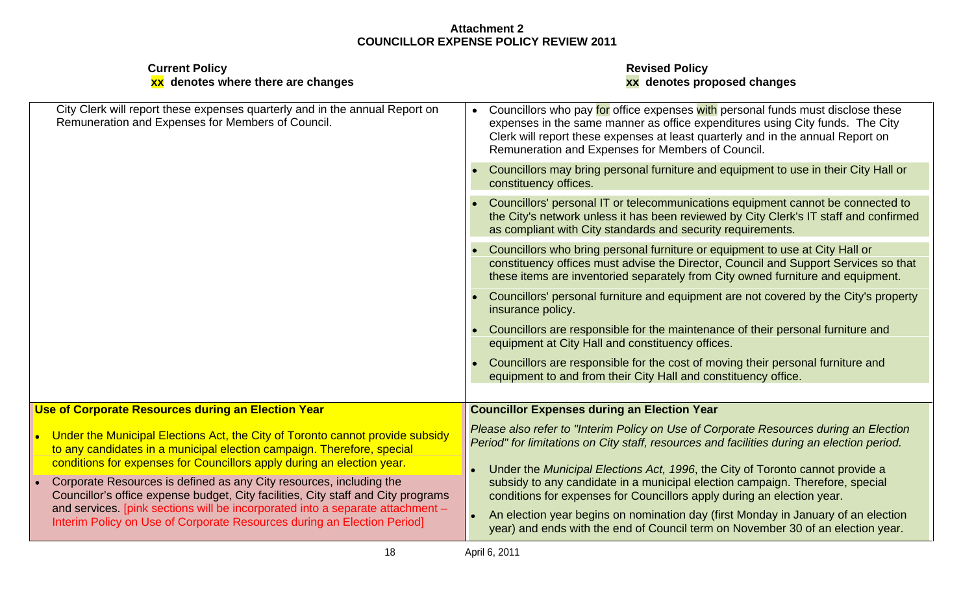| <b>Current Policy</b><br>xx denotes where there are changes                                                                                                                                                                      | <b>Revised Policy</b><br>xx denotes proposed changes                                                                                                                                                                                                                                                       |
|----------------------------------------------------------------------------------------------------------------------------------------------------------------------------------------------------------------------------------|------------------------------------------------------------------------------------------------------------------------------------------------------------------------------------------------------------------------------------------------------------------------------------------------------------|
| City Clerk will report these expenses quarterly and in the annual Report on<br>Remuneration and Expenses for Members of Council.                                                                                                 | • Councillors who pay for office expenses with personal funds must disclose these<br>expenses in the same manner as office expenditures using City funds. The City<br>Clerk will report these expenses at least quarterly and in the annual Report on<br>Remuneration and Expenses for Members of Council. |
|                                                                                                                                                                                                                                  | Councillors may bring personal furniture and equipment to use in their City Hall or<br>constituency offices.                                                                                                                                                                                               |
|                                                                                                                                                                                                                                  | Councillors' personal IT or telecommunications equipment cannot be connected to<br>the City's network unless it has been reviewed by City Clerk's IT staff and confirmed<br>as compliant with City standards and security requirements.                                                                    |
|                                                                                                                                                                                                                                  | Councillors who bring personal furniture or equipment to use at City Hall or<br>constituency offices must advise the Director, Council and Support Services so that<br>these items are inventoried separately from City owned furniture and equipment.                                                     |
|                                                                                                                                                                                                                                  | Councillors' personal furniture and equipment are not covered by the City's property<br>insurance policy.                                                                                                                                                                                                  |
|                                                                                                                                                                                                                                  | Councillors are responsible for the maintenance of their personal furniture and<br>equipment at City Hall and constituency offices.                                                                                                                                                                        |
|                                                                                                                                                                                                                                  | Councillors are responsible for the cost of moving their personal furniture and<br>equipment to and from their City Hall and constituency office.                                                                                                                                                          |
| Use of Corporate Resources during an Election Year                                                                                                                                                                               | <b>Councillor Expenses during an Election Year</b>                                                                                                                                                                                                                                                         |
| Under the Municipal Elections Act, the City of Toronto cannot provide subsid<br>to any candidates in a municipal election campaign. Therefore, special<br>conditions for expenses for Councillors apply during an election year. | Please also refer to "Interim Policy on Use of Corporate Resources during an Election<br>Period" for limitations on City staff, resources and facilities during an election period.                                                                                                                        |
| Corporate Resources is defined as any City resources, including the<br>Councillor's office expense budget, City facilities, City staff and City programs                                                                         | Under the Municipal Elections Act, 1996, the City of Toronto cannot provide a<br>subsidy to any candidate in a municipal election campaign. Therefore, special<br>conditions for expenses for Councillors apply during an election year.                                                                   |
| and services. [pink sections will be incorporated into a separate attachment -<br>Interim Policy on Use of Corporate Resources during an Election Period]                                                                        | An election year begins on nomination day (first Monday in January of an election<br>year) and ends with the end of Council term on November 30 of an election year.                                                                                                                                       |
| 18                                                                                                                                                                                                                               | April 6, 2011                                                                                                                                                                                                                                                                                              |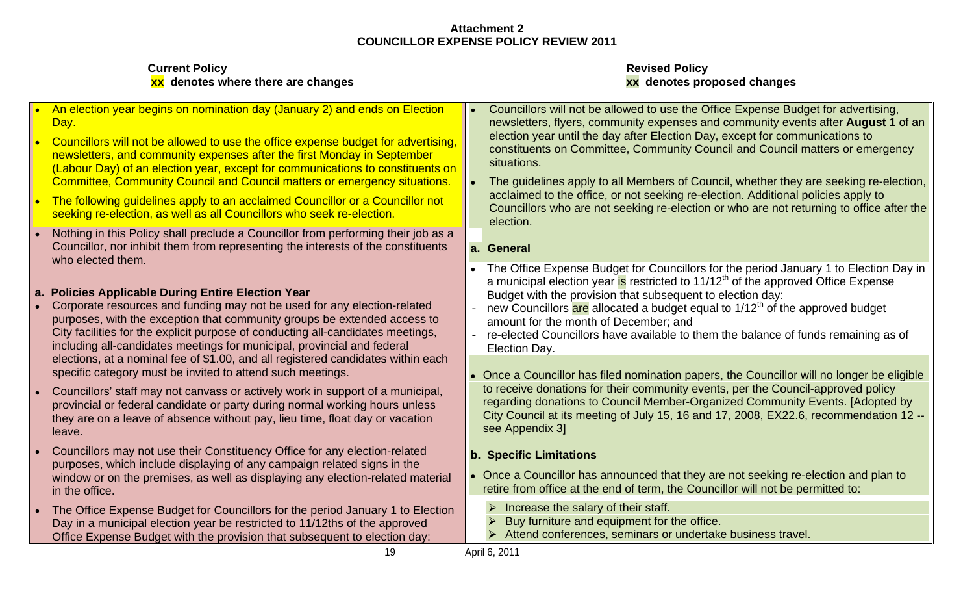| <b>Current Policy</b><br>xx denotes where there are changes                                                                                                                                                                                                                                                                                                                                                                                                                                                                                                                                                                                                                                                                                                                           | <b>Revised Policy</b><br>xx denotes proposed changes                                                                                                                                                                                                                                                                                                                                                                                                                                                                                                                                                                                                                                                                                                                                                                                                                             |
|---------------------------------------------------------------------------------------------------------------------------------------------------------------------------------------------------------------------------------------------------------------------------------------------------------------------------------------------------------------------------------------------------------------------------------------------------------------------------------------------------------------------------------------------------------------------------------------------------------------------------------------------------------------------------------------------------------------------------------------------------------------------------------------|----------------------------------------------------------------------------------------------------------------------------------------------------------------------------------------------------------------------------------------------------------------------------------------------------------------------------------------------------------------------------------------------------------------------------------------------------------------------------------------------------------------------------------------------------------------------------------------------------------------------------------------------------------------------------------------------------------------------------------------------------------------------------------------------------------------------------------------------------------------------------------|
| • An election year begins on nomination day (January 2) and ends on Election<br>Councillors will not be allowed to use the office expense budget for advertising.<br>newsletters, and community expenses after the first Monday in September<br>(Labour Day) of an election year, except for communications to constituents on<br>Committee, Community Council and Council matters or emergency situations.<br>The following guidelines apply to an acclaimed Councillor or a Councillor not<br>seeking re-election, as well as all Councillors who seek re-election.<br>Nothing in this Policy shall preclude a Councillor from performing their job as a                                                                                                                            | Councillors will not be allowed to use the Office Expense Budget for advertising,<br>newsletters, flyers, community expenses and community events after August 1 of an<br>election year until the day after Election Day, except for communications to<br>constituents on Committee, Community Council and Council matters or emergency<br>situations.<br>The guidelines apply to all Members of Council, whether they are seeking re-election,<br>acclaimed to the office, or not seeking re-election. Additional policies apply to<br>Councillors who are not seeking re-election or who are not returning to office after the<br>election                                                                                                                                                                                                                                     |
| Councillor, nor inhibit them from representing the interests of the constituents<br>who elected them.                                                                                                                                                                                                                                                                                                                                                                                                                                                                                                                                                                                                                                                                                 | a. General                                                                                                                                                                                                                                                                                                                                                                                                                                                                                                                                                                                                                                                                                                                                                                                                                                                                       |
| a. Policies Applicable During Entire Election Year<br>Corporate resources and funding may not be used for any election-related<br>purposes, with the exception that community groups be extended access to<br>City facilities for the explicit purpose of conducting all-candidates meetings,<br>including all-candidates meetings for municipal, provincial and federal<br>elections, at a nominal fee of \$1.00, and all registered candidates within each<br>specific category must be invited to attend such meetings.<br>Councillors' staff may not canvass or actively work in support of a municipal,<br>provincial or federal candidate or party during normal working hours unless<br>they are on a leave of absence without pay, lieu time, float day or vacation<br>leave. | The Office Expense Budget for Councillors for the period January 1 to Election Day in<br>a municipal election year is restricted to 11/12 <sup>th</sup> of the approved Office Expense<br>Budget with the provision that subsequent to election day:<br>new Councillors are allocated a budget equal to 1/12 <sup>th</sup> of the approved budget<br>amount for the month of December; and<br>re-elected Councillors have available to them the balance of funds remaining as of<br>Election Day.<br>• Once a Councillor has filed nomination papers, the Councillor will no longer be eligible<br>to receive donations for their community events, per the Council-approved policy<br>regarding donations to Council Member-Organized Community Events. [Adopted by<br>City Council at its meeting of July 15, 16 and 17, 2008, EX22.6, recommendation 12 --<br>see Appendix 3] |
| Councillors may not use their Constituency Office for any election-related<br>purposes, which include displaying of any campaign related signs in the<br>window or on the premises, as well as displaying any election-related material<br>in the office.                                                                                                                                                                                                                                                                                                                                                                                                                                                                                                                             | <b>b. Specific Limitations</b><br>Once a Councillor has announced that they are not seeking re-election and plan to<br>retire from office at the end of term, the Councillor will not be permitted to:                                                                                                                                                                                                                                                                                                                                                                                                                                                                                                                                                                                                                                                                           |
| The Office Expense Budget for Councillors for the period January 1 to Election<br>Day in a municipal election year be restricted to 11/12ths of the approved<br>Office Expense Budget with the provision that subsequent to election day:                                                                                                                                                                                                                                                                                                                                                                                                                                                                                                                                             | Increase the salary of their staff.<br>Buy furniture and equipment for the office.<br>> Attend conferences, seminars or undertake business travel.                                                                                                                                                                                                                                                                                                                                                                                                                                                                                                                                                                                                                                                                                                                               |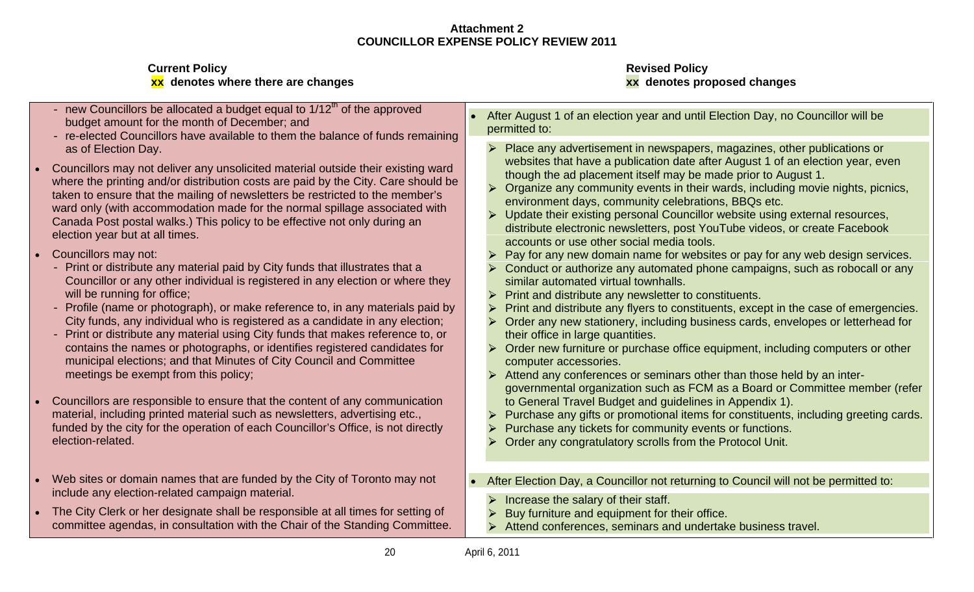- budget amount for the month of December; and<br>permitted to:
- re-elected Councillors have available to them the balance of funds remaining
- 20 Applies the allocate is a budget equal to 1/2th of the approved<br>
budget amount to the new Council of the approximation of the allocate and the allocate and the approximation in the approximation in the approximation of Councillors may not deliver any unsolicited material outside their existing ward where the printing and/or distribution costs are paid by the City. Care should be taken to ensure that the mailing of newsletters be restricted to the member's ward only (with accommodation made for the normal spillage associated with Canada Post postal walks.) This policy to be effective not only during an election year but at all times.
- - Councillor or any other individual is registered in any election or where they will be running for office; Print and distribute any newsletter to constituents.
	-
- Print or distribute any material using City funds that makes reference to, or municipal elections; and that Minutes of City Council and Committee
- Councillors are responsible to ensure that the content of any communication funded by the city for the operation of each Councillor's Office, is not directly election-related. Order any congratulatory scrolls from the Protocol Unit.
- include any election-related campaign material.
- The City Clerk or her designate shall be responsible at all times for setting of  $\bullet$ committee agendas, in consultation with the Chair of the Standing Committee.  $\Box$
- After August 1 of an election year and until Election Day, no Councillor will be permitted to:
- as of Election Day. Place any advertisement in newspapers, magazines, other publications or websites that have a publication date after August 1 of an election year, even though the ad placement itself may be made prior to August 1.
	- Organize any community events in their wards, including movie nights, picnics, environment days, community celebrations, BBQs etc.
	- $\triangleright$  Update their existing personal Councillor website using external resources, distribute electronic newsletters, post YouTube videos, or create Facebook accounts or use other social media tools.
- Councillors may not:  $\begin{vmatrix} P & P \end{vmatrix}$  Pay for any new domain name for websites or pay for any web design services.
- Print or distribute any material paid by City funds that illustrates that a  $\longrightarrow$  Conduct or authorize any automated phone campaigns, such as robocall or any similar automated virtual townhalls.
	-
- Profile (name or photograph), or make reference to, in any materials paid by  $\|\rightarrow\|$ Print and distribute any flyers to constituents, except in the case of emergencies.
	- City funds, any individual who is registered as a candidate in any election;  $\qquad$  > Order any new stationery, including business cards, envelopes or letterhead for  $\qquad$ their office in large quantities.
	- contains the names or photographs, or identifies registered candidates for  $\quad$  > Order new furniture or purchase office equipment, including computers or other  $\qquad$ computer accessories.
	- meetings be exempt from this policy; and the second of the second of the Attend any conferences or seminars other than those held by an intergovernmental organization such as FCM as a Board or Committee member (refer to General Travel Budget and guidelines in Appendix 1).
- material, including printed material such as newsletters, advertising etc.,  $\qquad \qquad \blacktriangleright$  Purchase any gifts or promotional items for constituents, including greeting cards.
	- Purchase any tickets for community events or functions.
	-
- Web sites or domain names that are funded by the City of Toronto may not **After Election Day, a Councillor not returning to Council will not be permitted to:** 
	- Increase the salary of their staff.
	- Buy furniture and equipment for their office.
	- Attend conferences, seminars and undertake business travel.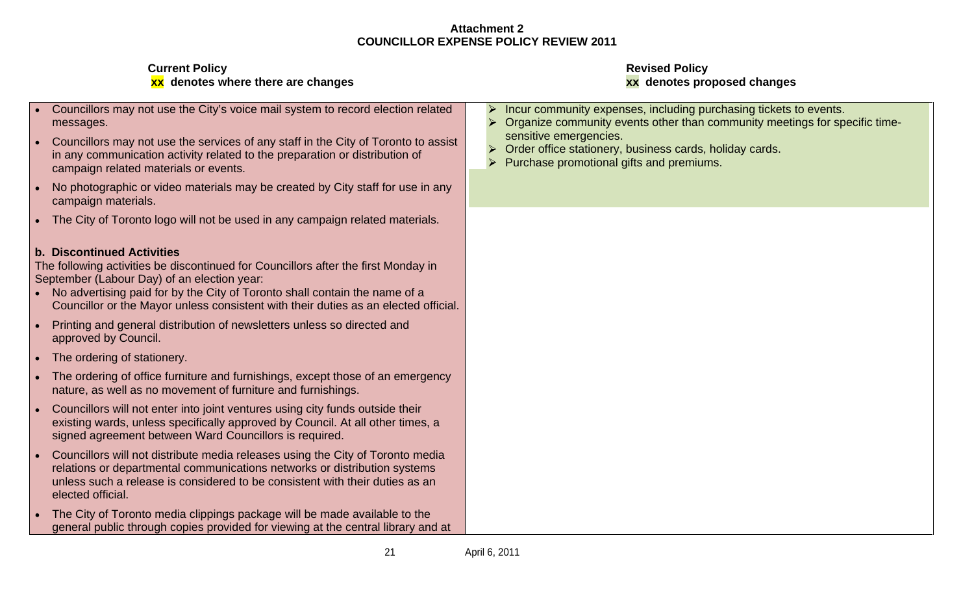| <b>Current Policy</b><br>xx denotes where there are changes                                                                                                                                                                                                                                                                              | <b>Revised Policy</b><br>xx denotes proposed changes                                                                                                                                                                                                                                              |
|------------------------------------------------------------------------------------------------------------------------------------------------------------------------------------------------------------------------------------------------------------------------------------------------------------------------------------------|---------------------------------------------------------------------------------------------------------------------------------------------------------------------------------------------------------------------------------------------------------------------------------------------------|
| Councillors may not use the City's voice mail system to record election related<br>messages.<br>Councillors may not use the services of any staff in the City of Toronto to assist<br>in any communication activity related to the preparation or distribution of<br>campaign related materials or events.                               | Incur community expenses, including purchasing tickets to events.<br>Organize community events other than community meetings for specific time-<br>sensitive emergencies.<br>Order office stationery, business cards, holiday cards.<br>$\triangleright$ Purchase promotional gifts and premiums. |
| No photographic or video materials may be created by City staff for use in any<br>campaign materials.                                                                                                                                                                                                                                    |                                                                                                                                                                                                                                                                                                   |
| The City of Toronto logo will not be used in any campaign related materials.                                                                                                                                                                                                                                                             |                                                                                                                                                                                                                                                                                                   |
| <b>Discontinued Activities</b><br>The following activities be discontinued for Councillors after the first Monday in<br>September (Labour Day) of an election year:<br>No advertising paid for by the City of Toronto shall contain the name of a<br>Councillor or the Mayor unless consistent with their duties as an elected official. |                                                                                                                                                                                                                                                                                                   |
| Printing and general distribution of newsletters unless so directed and<br>approved by Council.                                                                                                                                                                                                                                          |                                                                                                                                                                                                                                                                                                   |
| The ordering of stationery.                                                                                                                                                                                                                                                                                                              |                                                                                                                                                                                                                                                                                                   |
| The ordering of office furniture and furnishings, except those of an emergency<br>nature, as well as no movement of furniture and furnishings.                                                                                                                                                                                           |                                                                                                                                                                                                                                                                                                   |
| Councillors will not enter into joint ventures using city funds outside their<br>existing wards, unless specifically approved by Council. At all other times, a<br>signed agreement between Ward Councillors is required.                                                                                                                |                                                                                                                                                                                                                                                                                                   |
| Councillors will not distribute media releases using the City of Toronto media<br>relations or departmental communications networks or distribution systems<br>unless such a release is considered to be consistent with their duties as an<br>elected official.                                                                         |                                                                                                                                                                                                                                                                                                   |
| The City of Toronto media clippings package will be made available to the                                                                                                                                                                                                                                                                |                                                                                                                                                                                                                                                                                                   |

## **xx** denotes proposed changes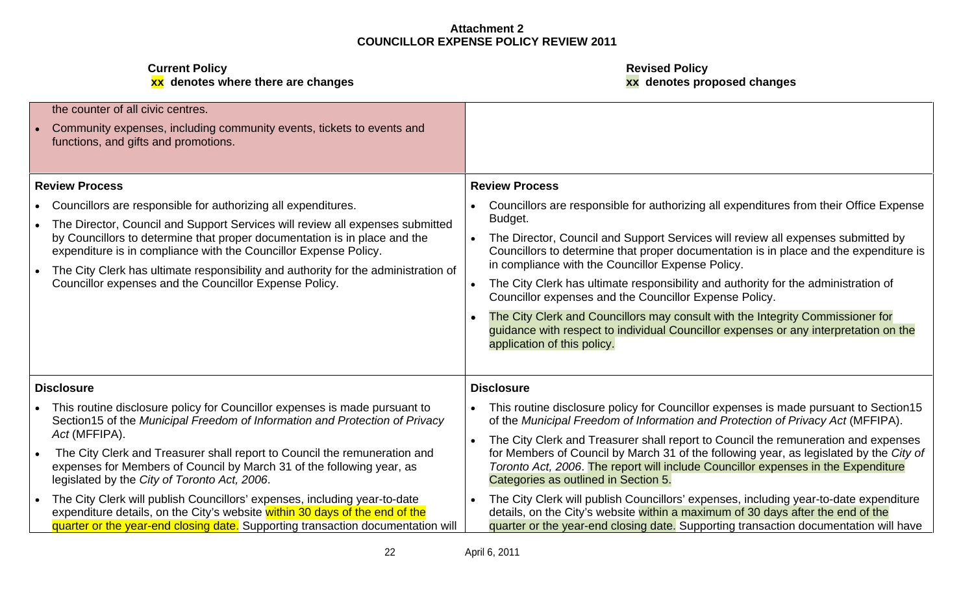**xx denotes where there are changes xx denotes proposed changes**

**Current Policy Revised Policy**

| the counter of all civic centres.                                                                             |                                                                                                                                                                                                       |
|---------------------------------------------------------------------------------------------------------------|-------------------------------------------------------------------------------------------------------------------------------------------------------------------------------------------------------|
| Community expenses, including community events, tickets to events and<br>functions, and gifts and promotions. |                                                                                                                                                                                                       |
| <b>Review Process</b>                                                                                         | <b>Review Process</b>                                                                                                                                                                                 |
| Councillors are responsible for authorizing all expenditures.                                                 | Councillors are responsible for authorizing all expenditures from their Office Expense                                                                                                                |
| The Director, Council and Support Services will review all expenses submitted                                 | Budget.                                                                                                                                                                                               |
| by Councillors to determine that proper documentation is in place and the                                     | The Director, Council and Support Services will review all expenses submitted by                                                                                                                      |
| expenditure is in compliance with the Councillor Expense Policy.                                              | Councillors to determine that proper documentation is in place and the expenditure is                                                                                                                 |
| The City Clerk has ultimate responsibility and authority for the administration of                            | in compliance with the Councillor Expense Policy.                                                                                                                                                     |
| Councillor expenses and the Councillor Expense Policy.                                                        | The City Clerk has ultimate responsibility and authority for the administration of<br>Councillor expenses and the Councillor Expense Policy.                                                          |
|                                                                                                               | The City Clerk and Councillors may consult with the Integrity Commissioner for<br>guidance with respect to individual Councillor expenses or any interpretation on the<br>application of this policy. |
| <b>Disclosure</b>                                                                                             | <b>Disclosure</b>                                                                                                                                                                                     |
| This routine disclosure policy for Councillor expenses is made pursuant to                                    | This routine disclosure policy for Councillor expenses is made pursuant to Section15                                                                                                                  |
| Section15 of the Municipal Freedom of Information and Protection of Privacy                                   | of the Municipal Freedom of Information and Protection of Privacy Act (MFFIPA).                                                                                                                       |
| Act (MFFIPA).                                                                                                 | The City Clerk and Treasurer shall report to Council the remuneration and expenses                                                                                                                    |
| The City Clerk and Treasurer shall report to Council the remuneration and                                     | for Members of Council by March 31 of the following year, as legislated by the City of                                                                                                                |
| expenses for Members of Council by March 31 of the following year, as                                         | Toronto Act, 2006. The report will include Councillor expenses in the Expenditure                                                                                                                     |
| legislated by the City of Toronto Act, 2006.                                                                  | Categories as outlined in Section 5.                                                                                                                                                                  |
| The City Clerk will publish Councillors' expenses, including year-to-date                                     | The City Clerk will publish Councillors' expenses, including year-to-date expenditure                                                                                                                 |
| expenditure details, on the City's website within 30 days of the end of the                                   | details, on the City's website within a maximum of 30 days after the end of the                                                                                                                       |
| quarter or the year-end closing date. Supporting transaction documentation will                               | quarter or the year-end closing date. Supporting transaction documentation will have                                                                                                                  |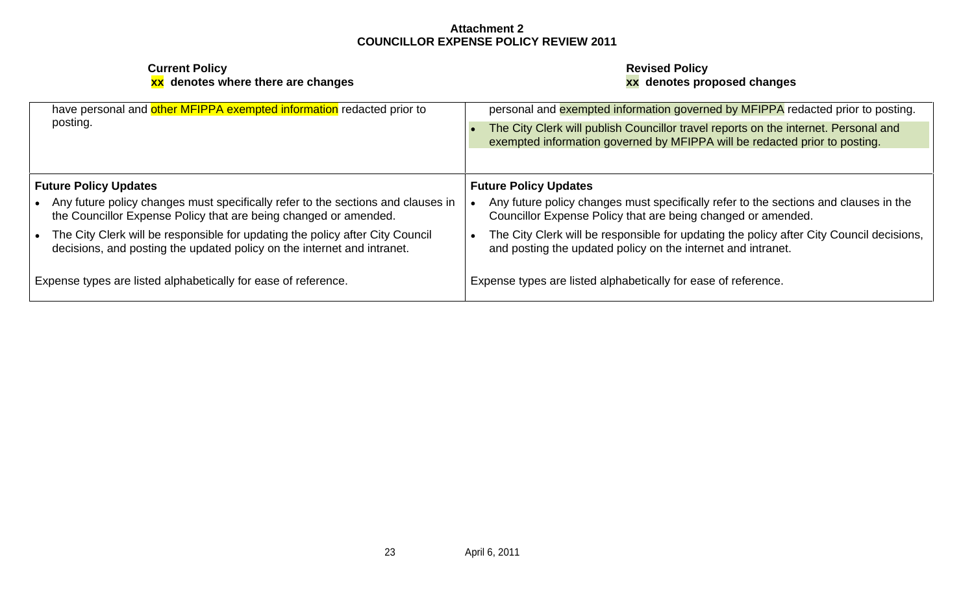| have personal and other MFIPPA exempted information redacted prior to<br>posting. | personal and exempted information governed by MFIPPA redacted prior to posting.<br>The City Clerk will publish Councillor travel reports on the internet. Personal and<br>exempted information governed by MFIPPA will be redacted prior to posting. |
|-----------------------------------------------------------------------------------|------------------------------------------------------------------------------------------------------------------------------------------------------------------------------------------------------------------------------------------------------|
| <b>Future Policy Updates</b>                                                      | <b>Future Policy Updates</b>                                                                                                                                                                                                                         |
| Any future policy changes must specifically refer to the sections and clauses in  | Any future policy changes must specifically refer to the sections and clauses in the                                                                                                                                                                 |
| the Councillor Expense Policy that are being changed or amended.                  | Councillor Expense Policy that are being changed or amended.                                                                                                                                                                                         |
| The City Clerk will be responsible for updating the policy after City Council     | The City Clerk will be responsible for updating the policy after City Council decisions,                                                                                                                                                             |
| decisions, and posting the updated policy on the internet and intranet.           | and posting the updated policy on the internet and intranet.                                                                                                                                                                                         |
| Expense types are listed alphabetically for ease of reference.                    | Expense types are listed alphabetically for ease of reference.                                                                                                                                                                                       |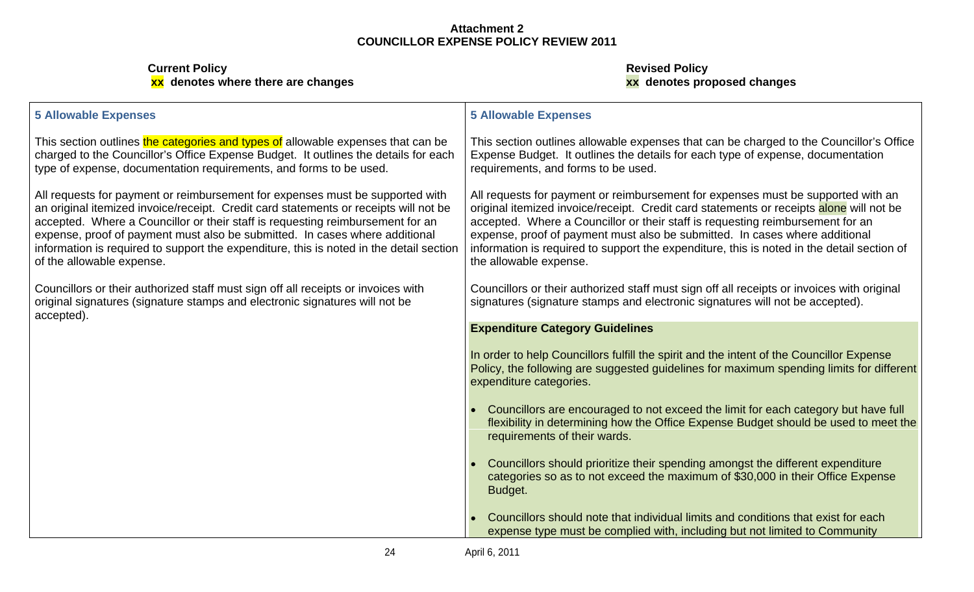#### **Current Policy Revised Policy xx denotes where there are changes xx denotes proposed changes**

### **5 Allowable Expenses**

type of expense, documentation requirements, and forms to be used.

All requests for payment or reimbursement for expenses must be supported with of the allowable expense.

original signatures (signature stamps and electronic signatures will not be accepted).

#### **5 Allowable Expenses**

This section outlines <mark>the categories and types of</mark> allowable expenses that can be  $\;\;\;\;$  This section outlines allowable expenses that can be charged to the Councillor's Office  $\;\;\;$ charged to the Councillor's Office Expense Budget. It outlines the details for each │Expense Budget. It outlines the details for each type of expense, documentation │ requirements, and forms to be used.

an original itemized invoice/receipt. Credit card statements or receipts will not be  $\;\;\mid$  original itemized invoice/receipt. Credit card statements or receipts alone will not be  $\;\;\mid$ accepted. Where a Councillor or their staff is requesting reimbursement for an laccepted. Where a Councillor or their staff is requesting reimbursement for an lacked to the intered out the intered out to the intered out to expense, proof of payment must also be submitted. In cases where additional expense, proof of payment must also be submitted. In cases where additional information is required to support the expenditure, this is noted in the detail section | information is required to support the expenditure, this is noted in the detail section of | All requests for payment or reimbursement for expenses must be supported with an the allowable expense.

Councillors or their authorized staff must sign off all receipts or invoices with  $\qquad \qquad \vert$  Councillors or their authorized staff must sign off all receipts or invoices with original  $\qquad \vert$ signatures (signature stamps and electronic signatures will not be accepted).

### **Expenditure Category Guidelines**

In order to help Councillors fulfill the spirit and the intent of the Councillor Expense Policy, the following are suggested guidelines for maximum spending limits for different expenditure categories.

- Councillors are encouraged to not exceed the limit for each category but have full flexibility in determining how the Office Expense Budget should be used to meet the requirements of their wards.
- Councillors should prioritize their spending amongst the different expenditure categories so as to not exceed the maximum of \$30,000 in their Office Expense Budget. And the contract of the contract of the contract of the contract of the contract of the contract of th
- Councillors should note that individual limits and conditions that exist for each expense type must be complied with, including but not limited to Community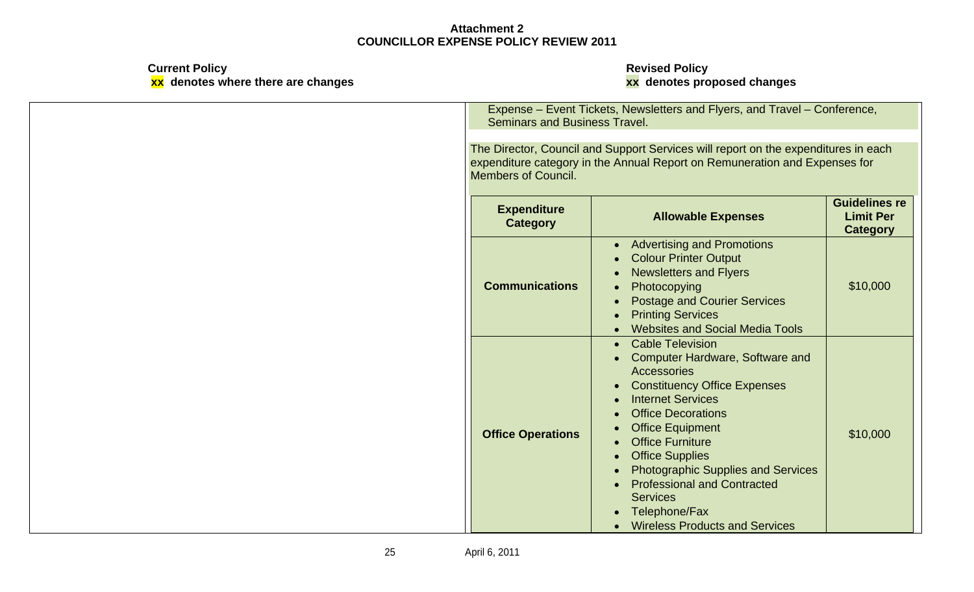**Current Policy Revised Policy xx denotes where there are changes xx denotes proposed changes**

> Expense – Event Tickets, Newsletters and Flyers, and Travel – Conference, Seminars and Business Travel.

The Director, Council and Support Services will report on the expenditures in each expenditure category in the Annual Report on Remuneration and Expenses for Members of Council.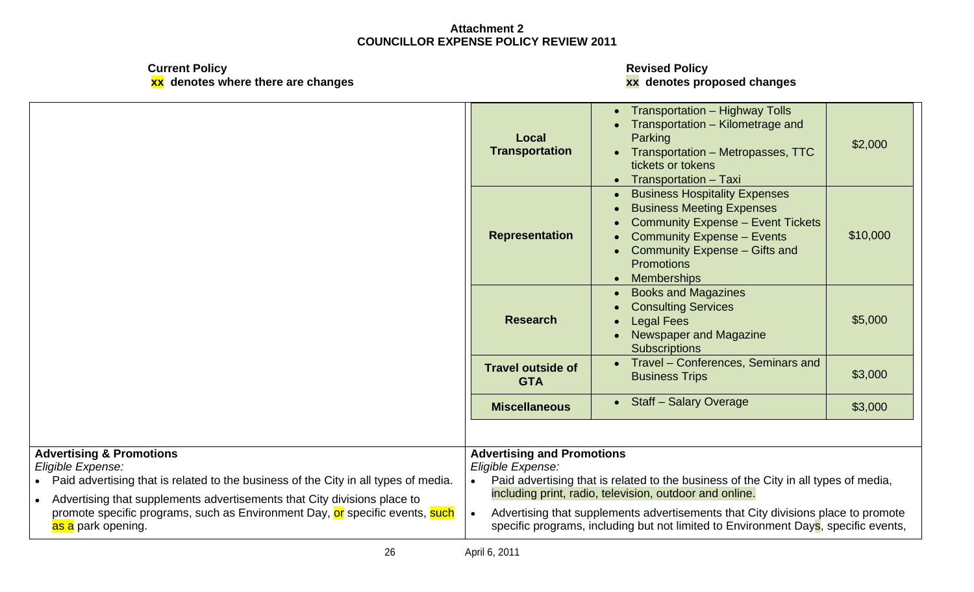**xx denotes where there are changes xx denotes proposed changes**

**Current Policy Revised Policy**

|                                                                                                                                                                                                                                                                                                                                                | Local<br>Transportation                                | • Transportation - Highway Tolls<br>• Transportation - Kilometrage and<br>Parking<br>• Transportation - Metropasses, TTC<br>tickets or tokens<br>• Transportation - Taxi                                                                                                                                                 | \$2,000  |
|------------------------------------------------------------------------------------------------------------------------------------------------------------------------------------------------------------------------------------------------------------------------------------------------------------------------------------------------|--------------------------------------------------------|--------------------------------------------------------------------------------------------------------------------------------------------------------------------------------------------------------------------------------------------------------------------------------------------------------------------------|----------|
|                                                                                                                                                                                                                                                                                                                                                | Representation                                         | • Business Hospitality Expenses<br>• Business Meeting Expenses<br>• Community Expense - Event Tickets  <br>• Community Expense - Events<br>• Community Expense - Gifts and<br>Promotions<br>• Memberships                                                                                                                | \$10,000 |
|                                                                                                                                                                                                                                                                                                                                                | <b>Research</b>                                        | • Books and Magazines<br>• Consulting Services<br>• Legal Fees<br>• Newspaper and Magazine<br>Subscriptions                                                                                                                                                                                                              | \$5,000  |
|                                                                                                                                                                                                                                                                                                                                                | <b>Travel outside of</b><br><b>GTA</b>                 | • Travel – Conferences, Seminars and<br><b>Business Trips</b>                                                                                                                                                                                                                                                            | \$3,000  |
|                                                                                                                                                                                                                                                                                                                                                | <b>Miscellaneous</b>                                   | • Staff - Salary Overage                                                                                                                                                                                                                                                                                                 | \$3,000  |
| <b>Advertising &amp; Promotions</b><br>Eligible Expense:<br>Paid advertising that is related to the business of the City in all types of media.<br>Advertising that supplements advertisements that City divisions place to<br>promote specific programs, such as Environment Day, or specific events, such<br><mark>as a</mark> park opening. | <b>Advertising and Promotions</b><br>Eligible Expense: | Paid advertising that is related to the business of the City in all types of media,<br>including print, radio, television, outdoor and online.<br>Advertising that supplements advertisements that City divisions place to promote<br>specific programs, including but not limited to Environment Days, specific events, |          |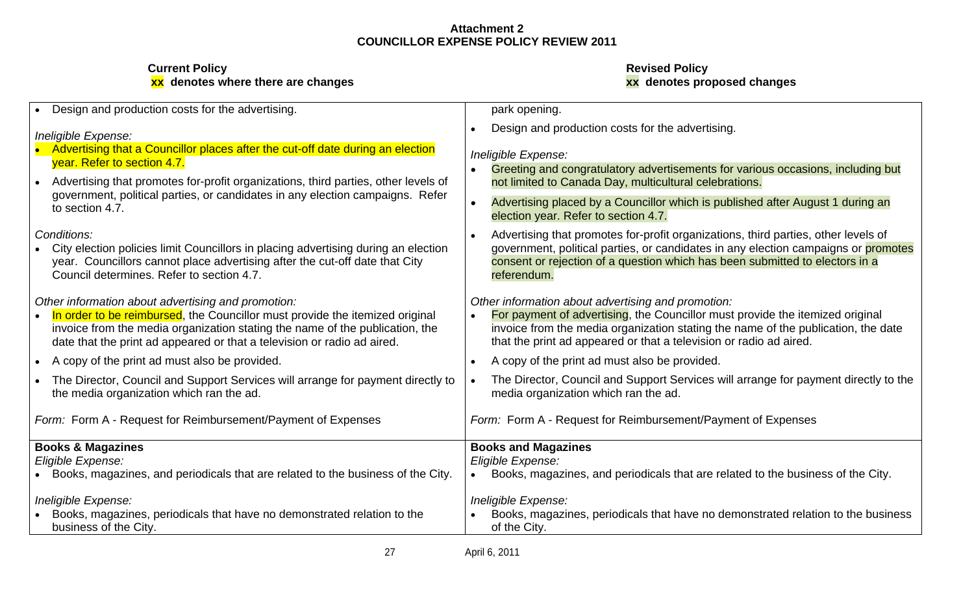| Design and production costs for the advertising.                                                                         | park opening.                                                                               |
|--------------------------------------------------------------------------------------------------------------------------|---------------------------------------------------------------------------------------------|
|                                                                                                                          | Design and production costs for the advertising.                                            |
| Ineligible Expense:                                                                                                      |                                                                                             |
| Advertising that a Councillor places after the cut-off date during an election<br>year. Refer to section 4.7.            | Ineligible Expense:                                                                         |
|                                                                                                                          | • Greeting and congratulatory advertisements for various occasions, including but           |
| Advertising that promotes for-profit organizations, third parties, other levels of                                       | not limited to Canada Day, multicultural celebrations.                                      |
| government, political parties, or candidates in any election campaigns. Refer<br>to section 4.7.                         | Advertising placed by a Councillor which is published after August 1 during an              |
|                                                                                                                          | election year. Refer to section 4.7.                                                        |
| Conditions:                                                                                                              | Advertising that promotes for-profit organizations, third parties, other levels of          |
| City election policies limit Councillors in placing advertising during an election                                       | government, political parties, or candidates in any election campaigns or promotes          |
| year. Councillors cannot place advertising after the cut-off date that City<br>Council determines. Refer to section 4.7. | consent or rejection of a question which has been submitted to electors in a<br>referendum. |
|                                                                                                                          |                                                                                             |
| Other information about advertising and promotion:                                                                       | Other information about advertising and promotion:                                          |
| In order to be reimbursed, the Councillor must provide the itemized original                                             | For payment of advertising, the Councillor must provide the itemized original               |
| invoice from the media organization stating the name of the publication, the                                             | invoice from the media organization stating the name of the publication, the date           |
| date that the print ad appeared or that a television or radio ad aired.                                                  | that the print ad appeared or that a television or radio ad aired.                          |
| A copy of the print ad must also be provided.                                                                            | • A copy of the print ad must also be provided.                                             |
| The Director, Council and Support Services will arrange for payment directly to                                          | The Director, Council and Support Services will arrange for payment directly to the         |
| the media organization which ran the ad.                                                                                 | media organization which ran the ad.                                                        |
| Form: Form A - Request for Reimbursement/Payment of Expenses                                                             | Form: Form A - Request for Reimbursement/Payment of Expenses                                |
|                                                                                                                          |                                                                                             |
| <b>Books &amp; Magazines</b>                                                                                             | <b>Books and Magazines</b>                                                                  |
| Eligible Expense:                                                                                                        | Eligible Expense:                                                                           |
| Books, magazines, and periodicals that are related to the business of the City.                                          | Books, magazines, and periodicals that are related to the business of the City.             |
| Ineligible Expense:                                                                                                      | Ineligible Expense:                                                                         |
| Books, magazines, periodicals that have no demonstrated relation to the                                                  | Books, magazines, periodicals that have no demonstrated relation to the business            |
| business of the City.                                                                                                    | of the City.                                                                                |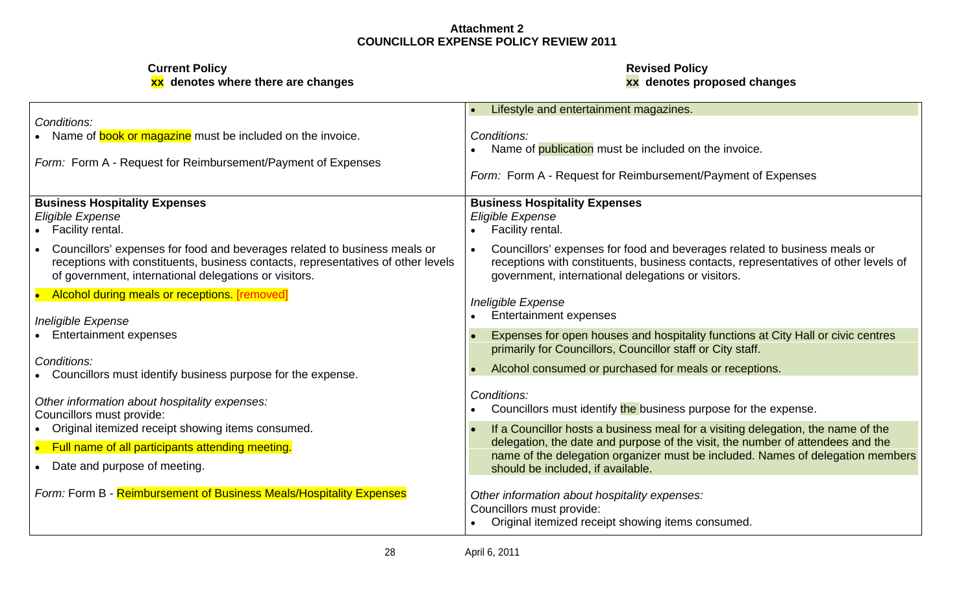**xx denotes where there are changes xx denotes proposed changes**

**Current Policy Revised Policy**

|                                                                                                                                                               | Lifestyle and entertainment magazines                                                                                                                            |
|---------------------------------------------------------------------------------------------------------------------------------------------------------------|------------------------------------------------------------------------------------------------------------------------------------------------------------------|
| Conditions:                                                                                                                                                   |                                                                                                                                                                  |
| Name of <b>book or magazine</b> must be included on the invoice.                                                                                              | Conditions:                                                                                                                                                      |
|                                                                                                                                                               | • Name of publication must be included on the invoice.                                                                                                           |
| Form: Form A - Request for Reimbursement/Payment of Expenses                                                                                                  |                                                                                                                                                                  |
|                                                                                                                                                               | Form: Form A - Request for Reimbursement/Payment of Expenses                                                                                                     |
| <b>Business Hospitality Expenses</b>                                                                                                                          |                                                                                                                                                                  |
|                                                                                                                                                               | <b>Business Hospitality Expenses</b>                                                                                                                             |
| Eligible Expense                                                                                                                                              | Eligible Expense                                                                                                                                                 |
| Facility rental.                                                                                                                                              | • Facility rental                                                                                                                                                |
| Councillors' expenses for food and beverages related to business meals or<br>receptions with constituents, business contacts, representatives of other levels | Councillors' expenses for food and beverages related to business meals or<br>receptions with constituents, business contacts, representatives of other levels of |
| of government, international delegations or visitors.                                                                                                         | government, international delegations or visitors.                                                                                                               |
| Alcohol during meals or receptions. [removed]                                                                                                                 |                                                                                                                                                                  |
|                                                                                                                                                               | Ineligible Expense                                                                                                                                               |
| <b>Ineligible Expense</b>                                                                                                                                     | <b>Entertainment expenses</b>                                                                                                                                    |
| <b>Entertainment expenses</b>                                                                                                                                 | Expenses for open houses and hospitality functions at City Hall or civic centres                                                                                 |
|                                                                                                                                                               | primarily for Councillors, Councillor staff or City staff.                                                                                                       |
| Conditions:                                                                                                                                                   |                                                                                                                                                                  |
| Councillors must identify business purpose for the expense.                                                                                                   | Alcohol consumed or purchased for meals or receptions.                                                                                                           |
|                                                                                                                                                               |                                                                                                                                                                  |
| Other information about hospitality expenses:                                                                                                                 | Conditions:                                                                                                                                                      |
| Councillors must provide:                                                                                                                                     | Councillors must identify the business purpose for the expense.                                                                                                  |
| • Original itemized receipt showing items consumed.                                                                                                           | If a Councillor hosts a business meal for a visiting delegation, the name of the                                                                                 |
| Full name of all participants attending meeting.                                                                                                              | delegation, the date and purpose of the visit, the number of attendees and the                                                                                   |
| Date and purpose of meeting.                                                                                                                                  | name of the delegation organizer must be included. Names of delegation members                                                                                   |
|                                                                                                                                                               | should be included, if available.                                                                                                                                |
| Form: Form B - Reimbursement of Business Meals/Hospitality Expenses                                                                                           | Other information about hospitality expenses:                                                                                                                    |
|                                                                                                                                                               | Councillors must provide:                                                                                                                                        |
|                                                                                                                                                               | • Original itemized receipt showing items consumed.                                                                                                              |
|                                                                                                                                                               |                                                                                                                                                                  |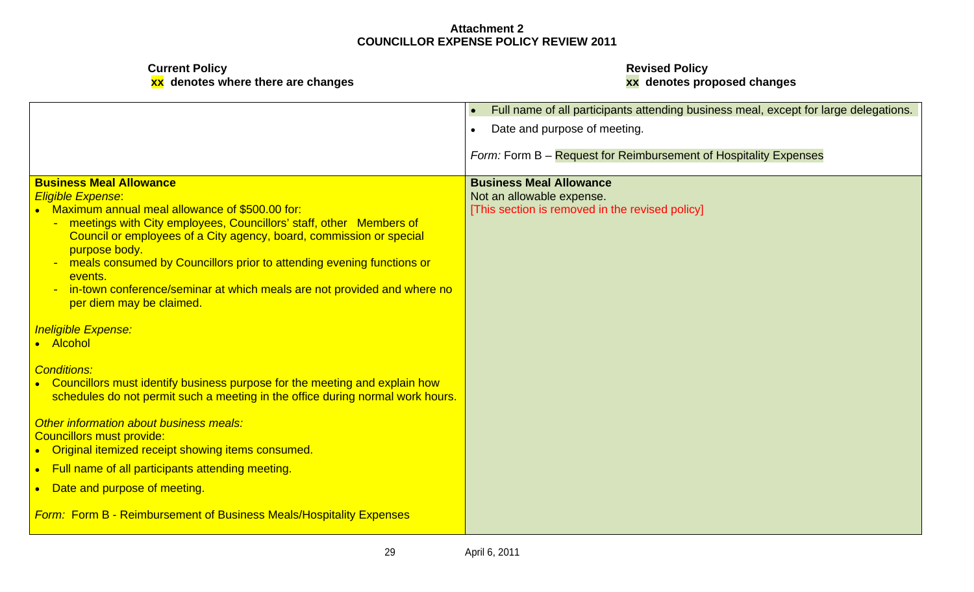**Current Policy Revised Policy**

**xx denotes where there are changes xx denotes proposed changes**

|                                                                                          | $\bullet$ Full name of all participants attending business meal, except for large delegations. |
|------------------------------------------------------------------------------------------|------------------------------------------------------------------------------------------------|
|                                                                                          | Date and purpose of meeting.                                                                   |
|                                                                                          | Form: Form B - Request for Reimbursement of Hospitality Expenses                               |
| <b>Business Meal Allowance</b>                                                           | <b>Business Meal Allowance</b>                                                                 |
| <b>Eligible Expense:</b>                                                                 | Not an allowable expense.                                                                      |
| • Maximum annual meal allowance of \$500.00 for:                                         | [This section is removed in the revised policy]                                                |
| - meetings with City employees, Councillors' staff, other Members of                     |                                                                                                |
| Council or employees of a City agency, board, commission or special                      |                                                                                                |
| purpose body.<br>- meals consumed by Councillors prior to attending evening functions or |                                                                                                |
| events.                                                                                  |                                                                                                |
| - in-town conference/seminar at which meals are not provided and where no                |                                                                                                |
| per diem may be claimed.                                                                 |                                                                                                |
|                                                                                          |                                                                                                |
| <b>Ineligible Expense:</b><br>• Alcohol                                                  |                                                                                                |
|                                                                                          |                                                                                                |
| <b>Conditions:</b>                                                                       |                                                                                                |
| • Councillors must identify business purpose for the meeting and explain how             |                                                                                                |
| schedules do not permit such a meeting in the office during normal work hours.           |                                                                                                |
|                                                                                          |                                                                                                |
| Other information about business meals:<br>Councillors must provide:                     |                                                                                                |
| • Original itemized receipt showing items consumed.                                      |                                                                                                |
| • Full name of all participants attending meeting.                                       |                                                                                                |
|                                                                                          |                                                                                                |
| • Date and purpose of meeting.                                                           |                                                                                                |
| <b>Form: Form B - Reimbursement of Business Meals/Hospitality Expenses</b>               |                                                                                                |
|                                                                                          |                                                                                                |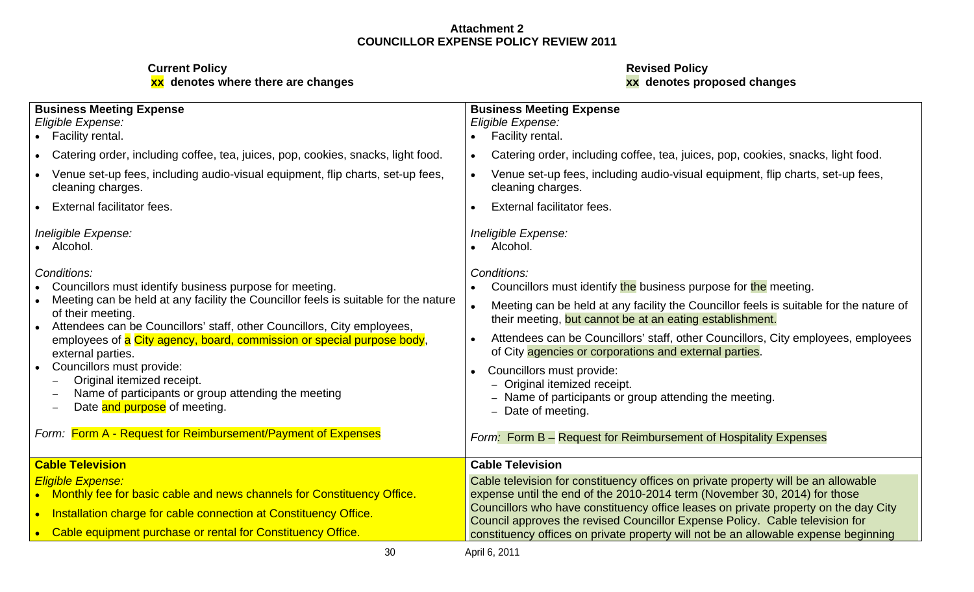**xx denotes where there are changes xx denotes proposed changes**

## **Current Policy Revised Policy**

| <b>Business Meeting Expense</b>                                                                     | <b>Business Meeting Expense</b>                                                                                                                                     |  |
|-----------------------------------------------------------------------------------------------------|---------------------------------------------------------------------------------------------------------------------------------------------------------------------|--|
| Eligible Expense:                                                                                   | Eligible Expense:                                                                                                                                                   |  |
| • Facility rental.                                                                                  | • Facility rental.                                                                                                                                                  |  |
| Catering order, including coffee, tea, juices, pop, cookies, snacks, light food.                    | Catering order, including coffee, tea, juices, pop, cookies, snacks, light food.                                                                                    |  |
| Venue set-up fees, including audio-visual equipment, flip charts, set-up fees,<br>cleaning charges. | Venue set-up fees, including audio-visual equipment, flip charts, set-up fees,<br>cleaning charges.                                                                 |  |
| <b>External facilitator fees.</b>                                                                   | External facilitator fees.                                                                                                                                          |  |
| Ineligible Expense:                                                                                 | Ineligible Expense:                                                                                                                                                 |  |
| Alcohol.                                                                                            | • Alcohol.                                                                                                                                                          |  |
| Conditions:                                                                                         | Conditions:                                                                                                                                                         |  |
| Councillors must identify business purpose for meeting                                              | • Councillors must identify the business purpose for the meeting.                                                                                                   |  |
| • Meeting can be held at any facility the Councillor feels is suitable for the nature               | Meeting can be held at any facility the Councillor feels is suitable for the nature of                                                                              |  |
| of their meeting.<br>Attendees can be Councillors' staff, other Councillors, City employees,        | their meeting, but cannot be at an eating establishment.                                                                                                            |  |
| employees of a City agency, board, commission or special purpose body,                              | Attendees can be Councillors' staff, other Councillors, City employees, employees                                                                                   |  |
| external parties.                                                                                   | of City agencies or corporations and external parties.                                                                                                              |  |
| Councillors must provide:                                                                           | Councillors must provide:                                                                                                                                           |  |
| Original itemized receipt.                                                                          | - Original itemized receipt.                                                                                                                                        |  |
| Name of participants or group attending the meeting                                                 | - Name of participants or group attending the meeting.                                                                                                              |  |
| Date and purpose of meeting.                                                                        | - Date of meeting.                                                                                                                                                  |  |
| Form: Form A - Request for Reimbursement/Payment of Expenses                                        | Form: Form B - Request for Reimbursement of Hospitality Expenses                                                                                                    |  |
| <b>Cable Television</b>                                                                             | <b>Cable Television</b>                                                                                                                                             |  |
| <b>Eligible Expense:</b>                                                                            | Cable television for constituency offices on private property will be an allowable                                                                                  |  |
| • Monthly fee for basic cable and news channels for Constituency Office.                            | expense until the end of the 2010-2014 term (November 30, 2014) for those                                                                                           |  |
| • Installation charge for cable connection at Constituency Office.                                  | Councillors who have constituency office leases on private property on the day City                                                                                 |  |
| • Cable equipment purchase or rental for Constituency Office.                                       | Council approves the revised Councillor Expense Policy. Cable television for<br>constituency offices on private property will not be an allowable expense beginning |  |
| 30                                                                                                  | April 6, 2011                                                                                                                                                       |  |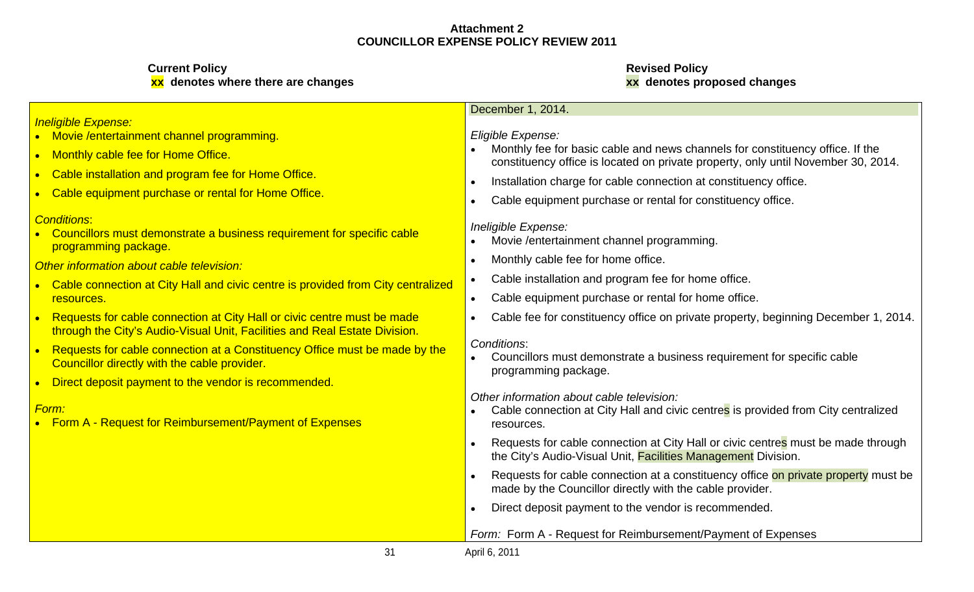## **Current Policy Revised Policy**

# **xx denotes where there are changes xx denotes proposed changes**

#### December 1, 2014.

### Eligible Expense:

- Monthly cable fee for Home Office.<br>Constituency office is located on private property, only until November 30, 2014. Monthly fee for basic cable and news channels for constituency office. If the
	- Installation charge for cable connection at constituency office.
	- Cable equipment purchase or rental for constituency office.

### Ineligible Expense:

- Movie /entertainment channel programming.
- Monthly cable fee for home office.
- Cable installation and program fee for home office.
- 
- Requests for cable connection at City Hall or civic centre must be made **All C**able fee for constituency office on private property, beginning December 1, 2014. |

### Conditions:

Councillors must demonstrate a business requirement for specific cable programming package.

Other information about cable television:

- <u>Form:</u> we can be a statement of the connection at City Hall and civic centre<mark>s</mark> is provided from City centralized ∣ resources. The contract of the contract of the contract of the contract of the contract of the contract of the contract of the contract of the contract of the contract of the contract of the contract of the contract of the
	- Requests for cable connection at City Hall or civic centres must be made through the City's Audio-Visual Unit, Facilities Management Division.
	- Requests for cable connection at a constituency office on private property must be made by the Councillor directly with the cable provider.
	- Direct deposit payment to the vendor is recommended.

### Form: Form A - Request for Reimbursement/Payment of Expenses

### Ineligible Expense:

- Movie /entertainment channel programming.
- $\bullet$
- Cable installation and program fee for Home Office.  $\bullet$
- **Cable equipment purchase or rental for Home Office.**  $\bullet$

### **Conditions: Executive Conditions:** The Conditions of the Conditions of the Conditions: The Conditions: The Conditions of the Conditions: The Conditions: The Conditions of the Conditions of the Conditions of the Conditions

• Councillors must demonstrate a business requirement for specific cable programming package.

### Other information about cable television:

- Cable connection at City Hall and civic centre is provided from City centralized resources. The cable equipment purchase or rental for home office. The cable equipment purchase or rental for home office.
- through the City's Audio-Visual Unit, Facilities and Real Estate Division.
- Requests for cable connection at a Constituency Office must be made by the Conditions:  $\bullet$ Councillor directly with the cable provider.
- Direct deposit payment to the vendor is recommended.  $\bullet$

• Form A - Request for Reimbursement/Payment of Expenses **Form A** resources.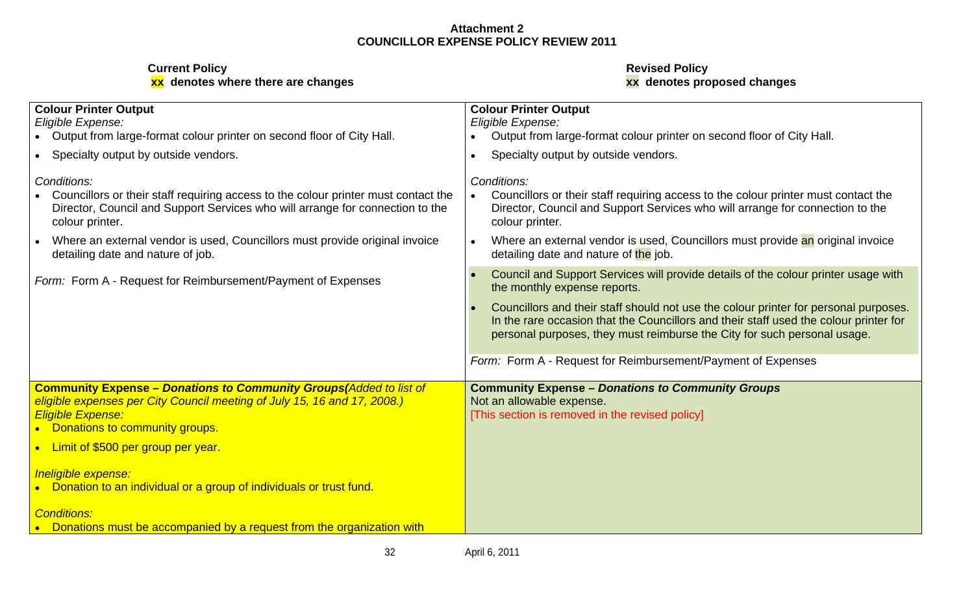## **Current Policy Revised Policy**

## **xx denotes where there are changes xx denotes proposed changes**

| <b>Colour Printer Output</b>                                                                                                                                                                                         | <b>Colour Printer Output</b>                                                                                                                                                                                                                              |
|----------------------------------------------------------------------------------------------------------------------------------------------------------------------------------------------------------------------|-----------------------------------------------------------------------------------------------------------------------------------------------------------------------------------------------------------------------------------------------------------|
| Eligible Expense:                                                                                                                                                                                                    | Eligible Expense:                                                                                                                                                                                                                                         |
| Output from large-format colour printer on second floor of City Hall.                                                                                                                                                | Output from large-format colour printer on second floor of City Hall.                                                                                                                                                                                     |
| Specialty output by outside vendors.                                                                                                                                                                                 | Specialty output by outside vendors.                                                                                                                                                                                                                      |
| Conditions:<br>Councillors or their staff requiring access to the colour printer must contact the<br>Director, Council and Support Services who will arrange for connection to the<br>colour printer.                | Conditions:<br>Councillors or their staff requiring access to the colour printer must contact the<br>Director, Council and Support Services who will arrange for connection to the<br>colour printer.                                                     |
| Where an external vendor is used, Councillors must provide original invoice<br>detailing date and nature of job.                                                                                                     | Where an external vendor is used, Councillors must provide an original invoice<br>detailing date and nature of the job.                                                                                                                                   |
| Form: Form A - Request for Reimbursement/Payment of Expenses                                                                                                                                                         | Council and Support Services will provide details of the colour printer usage with<br>the monthly expense reports.                                                                                                                                        |
|                                                                                                                                                                                                                      | Councillors and their staff should not use the colour printer for personal purposes.<br>In the rare occasion that the Councillors and their staff used the colour printer for<br>personal purposes, they must reimburse the City for such personal usage. |
|                                                                                                                                                                                                                      | Form: Form A - Request for Reimbursement/Payment of Expenses                                                                                                                                                                                              |
| <b>Community Expense - Donations to Community Groups (Added to list of</b><br>eligible expenses per City Council meeting of July 15, 16 and 17, 2008.)<br><b>Eligible Expense:</b><br>Donations to community groups. | <b>Community Expense - Donations to Community Groups</b><br>Not an allowable expense.<br>[This section is removed in the revised policy]                                                                                                                  |
| Limit of \$500 per group per year.                                                                                                                                                                                   |                                                                                                                                                                                                                                                           |
| Ineligible expense:<br>Donation to an individual or a group of individuals or trust fund.                                                                                                                            |                                                                                                                                                                                                                                                           |
| <b>Conditions:</b><br>Donations must be accompanied by a request from the organization with                                                                                                                          |                                                                                                                                                                                                                                                           |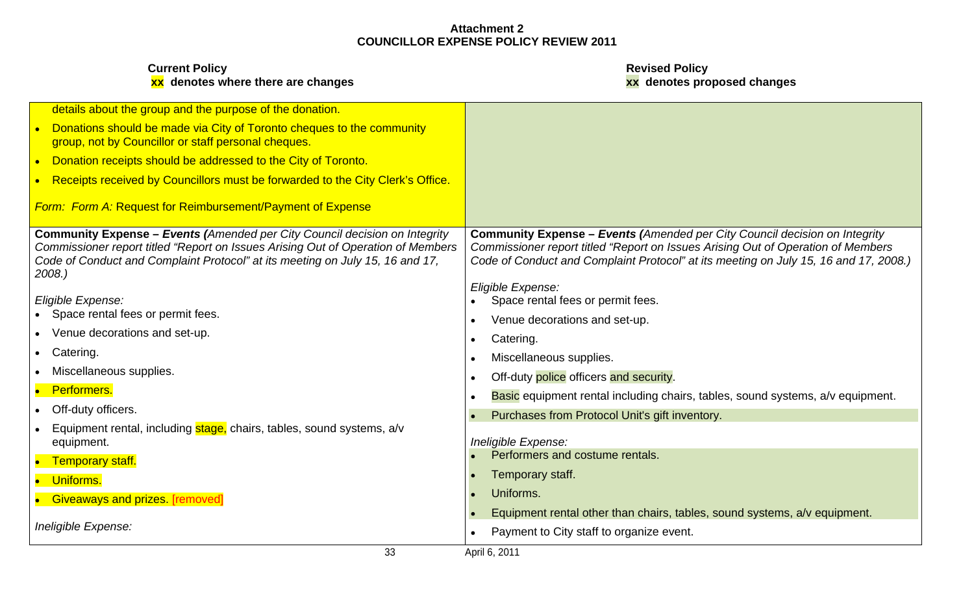| details about the group and the purpose of the donation.                                                                                                          |                                                                                                                                                                          |
|-------------------------------------------------------------------------------------------------------------------------------------------------------------------|--------------------------------------------------------------------------------------------------------------------------------------------------------------------------|
| Donations should be made via City of Toronto cheques to the community<br>group, not by Councillor or staff personal cheques.                                      |                                                                                                                                                                          |
| • Donation receipts should be addressed to the City of Toronto.                                                                                                   |                                                                                                                                                                          |
| • Receipts received by Councillors must be forwarded to the City Clerk's Office.                                                                                  |                                                                                                                                                                          |
| Form: Form A: Request for Reimbursement/Payment of Expense                                                                                                        |                                                                                                                                                                          |
| <b>Community Expense - Events (Amended per City Council decision on Integrity</b>                                                                                 | <b>Community Expense - Events (Amended per City Council decision on Integrity</b>                                                                                        |
| Commissioner report titled "Report on Issues Arising Out of Operation of Members<br>Code of Conduct and Complaint Protocol" at its meeting on July 15, 16 and 17, | Commissioner report titled "Report on Issues Arising Out of Operation of Members<br>Code of Conduct and Complaint Protocol" at its meeting on July 15, 16 and 17, 2008.) |
| 2008.                                                                                                                                                             |                                                                                                                                                                          |
|                                                                                                                                                                   | Eligible Expense:                                                                                                                                                        |
| Eligible Expense:                                                                                                                                                 | Space rental fees or permit fees.                                                                                                                                        |
| • Space rental fees or permit fees.                                                                                                                               | Venue decorations and set-up.                                                                                                                                            |
| • Venue decorations and set-up.                                                                                                                                   | Catering.                                                                                                                                                                |
| • Catering.                                                                                                                                                       | Miscellaneous supplies.                                                                                                                                                  |
| • Miscellaneous supplies.                                                                                                                                         | Off-duty police officers and security.                                                                                                                                   |
| • Performers.                                                                                                                                                     | <b>Basic</b> equipment rental including chairs, tables, sound systems, a/v equipment.                                                                                    |
| • Off-duty officers.                                                                                                                                              | Purchases from Protocol Unit's gift inventory.                                                                                                                           |
| • Equipment rental, including stage, chairs, tables, sound systems, a/v                                                                                           |                                                                                                                                                                          |
| equipment.                                                                                                                                                        | Ineligible Expense:                                                                                                                                                      |
| • Temporary staff.                                                                                                                                                | Performers and costume rentals.                                                                                                                                          |
| • Uniforms.                                                                                                                                                       | Temporary staff.                                                                                                                                                         |
| • Giveaways and prizes. [removed]                                                                                                                                 | Uniforms.                                                                                                                                                                |
|                                                                                                                                                                   | Equipment rental other than chairs, tables, sound systems, a/v equipment.                                                                                                |
| Ineligible Expense:                                                                                                                                               | Payment to City staff to organize event.                                                                                                                                 |
| 33                                                                                                                                                                | April 6, 2011                                                                                                                                                            |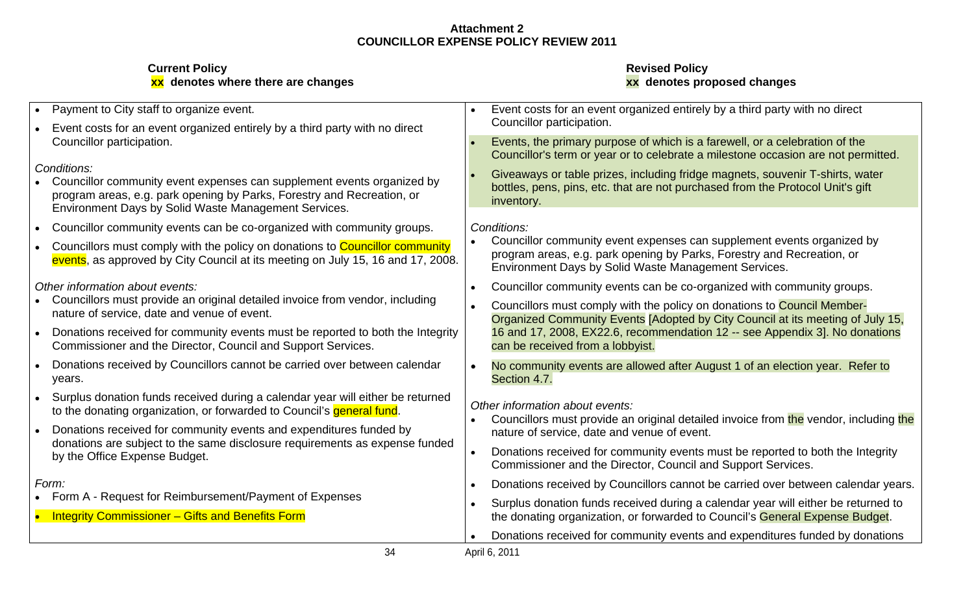| <b>Current Policy</b>              | <b>Revised Policy</b>       |  |
|------------------------------------|-----------------------------|--|
| xx denotes where there are changes | xx denotes proposed changes |  |

# **xx denotes where there are changes xx denotes proposed changes**

| Payment to City staff to organize event.<br>Event costs for an event organized entirely by a third party with no direct                                                                                                 | Event costs for an event organized entirely by a third party with no direct<br>Councillor participation.                                                                                                 |
|-------------------------------------------------------------------------------------------------------------------------------------------------------------------------------------------------------------------------|----------------------------------------------------------------------------------------------------------------------------------------------------------------------------------------------------------|
| Councillor participation.                                                                                                                                                                                               | Events, the primary purpose of which is a farewell, or a celebration of the<br>Councillor's term or year or to celebrate a milestone occasion are not permitted.                                         |
| Conditions:<br>Councillor community event expenses can supplement events organized by<br>program areas, e.g. park opening by Parks, Forestry and Recreation, or<br>Environment Days by Solid Waste Management Services. | Giveaways or table prizes, including fridge magnets, souvenir T-shirts, water<br>bottles, pens, pins, etc. that are not purchased from the Protocol Unit's gift<br>inventory.                            |
| Councillor community events can be co-organized with community groups.                                                                                                                                                  | Conditions.                                                                                                                                                                                              |
| Councillors must comply with the policy on donations to Councillor community<br>events, as approved by City Council at its meeting on July 15, 16 and 17, 2008.                                                         | Councillor community event expenses can supplement events organized by<br>program areas, e.g. park opening by Parks, Forestry and Recreation, or<br>Environment Days by Solid Waste Management Services. |
| Other information about events:                                                                                                                                                                                         | Councillor community events can be co-organized with community groups.                                                                                                                                   |
| Councillors must provide an original detailed invoice from vendor, including<br>nature of service, date and venue of event.                                                                                             | Councillors must comply with the policy on donations to Council Member-<br>Organized Community Events [Adopted by City Council at its meeting of July 15,                                                |
| Donations received for community events must be reported to both the Integrity<br>Commissioner and the Director, Council and Support Services.                                                                          | 16 and 17, 2008, EX22.6, recommendation 12 -- see Appendix 3]. No donations<br>can be received from a lobbyist.                                                                                          |
| Donations received by Councillors cannot be carried over between calendar<br>vears.                                                                                                                                     | No community events are allowed after August 1 of an election year. Refer to<br>Section 4.7.                                                                                                             |
| Surplus donation funds received during a calendar year will either be returned<br>to the donating organization, or forwarded to Council's general fund.                                                                 | Other information about events:<br>Councillors must provide an original detailed invoice from the vendor, including the                                                                                  |
| Donations received for community events and expenditures funded by                                                                                                                                                      | nature of service, date and venue of event.                                                                                                                                                              |
| donations are subject to the same disclosure requirements as expense funded<br>by the Office Expense Budget.                                                                                                            | Donations received for community events must be reported to both the Integrity<br>Commissioner and the Director, Council and Support Services.                                                           |
|                                                                                                                                                                                                                         | Donations received by Councillors cannot be carried over between calendar years.                                                                                                                         |
| Form A - Request for Reimbursement/Payment of Expenses<br>Integrity Commissioner - Gifts and Benefits Form                                                                                                              | Surplus donation funds received during a calendar year will either be returned to<br>the donating organization, or forwarded to Council's General Expense Budget.                                        |
|                                                                                                                                                                                                                         | Donations received for community events and expenditures funded by donations                                                                                                                             |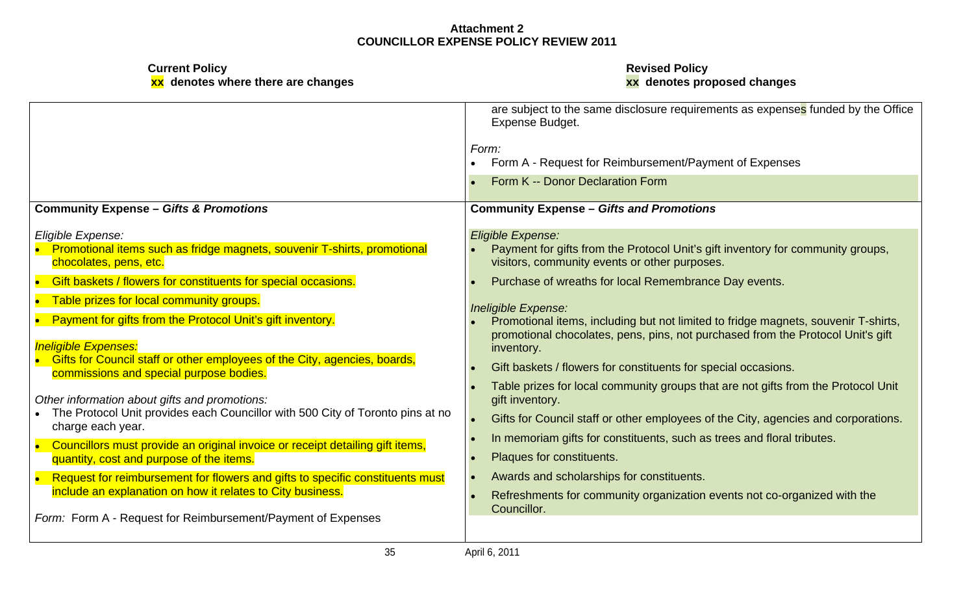|                                                                                  | are subject to the same disclosure requirements as expenses funded by the Office<br>Expense Budget.<br>Form A - Request for Reimbursement/Payment of Expenses |
|----------------------------------------------------------------------------------|---------------------------------------------------------------------------------------------------------------------------------------------------------------|
|                                                                                  | Form K -- Donor Declaration Form                                                                                                                              |
| <b>Community Expense - Gifts &amp; Promotions</b>                                | <b>Community Expense - Gifts and Promotions</b>                                                                                                               |
| Eligible Expense:                                                                | Eligible Expense:                                                                                                                                             |
| • Promotional items such as fridge magnets, souvenir T-shirts, promotional       | Payment for gifts from the Protocol Unit's gift inventory for community groups,                                                                               |
| chocolates, pens, etc.                                                           | visitors, community events or other purposes.                                                                                                                 |
| Gift baskets / flowers for constituents for special occasions.                   | Purchase of wreaths for local Remembrance Day events.                                                                                                         |
| Table prizes for local community groups.                                         | Ineligible Expense:                                                                                                                                           |
| • Payment for gifts from the Protocol Unit's gift inventory.                     | Promotional items, including but not limited to fridge magnets, souvenir T-shirts,                                                                            |
| <b>Ineligible Expenses:</b>                                                      | promotional chocolates, pens, pins, not purchased from the Protocol Unit's gift                                                                               |
| <b>Gifts for Council staff or other employees of the City, agencies, boards,</b> | inventory.                                                                                                                                                    |
| commissions and special purpose bodies.                                          | Gift baskets / flowers for constituents for special occasions.                                                                                                |
| Other information about gifts and promotions:                                    | Table prizes for local community groups that are not gifts from the Protocol Unit                                                                             |
| • The Protocol Unit provides each Councillor with 500 City of Toronto pins at no | gift inventory.                                                                                                                                               |
| charge each year.                                                                | Gifts for Council staff or other employees of the City, agencies and corporations.                                                                            |
| Councillors must provide an original invoice or receipt detailing gift items,    | In memoriam gifts for constituents, such as trees and floral tributes.                                                                                        |
| quantity, cost and purpose of the items.                                         | <b>Plaques for constituents.</b>                                                                                                                              |
| Request for reimbursement for flowers and gifts to specific constituents must    | Awards and scholarships for constituents.                                                                                                                     |
| include an explanation on how it relates to City business.                       | Refreshments for community organization events not co-organized with the                                                                                      |
| Form: Form A - Request for Reimbursement/Payment of Expenses                     | Councillor.                                                                                                                                                   |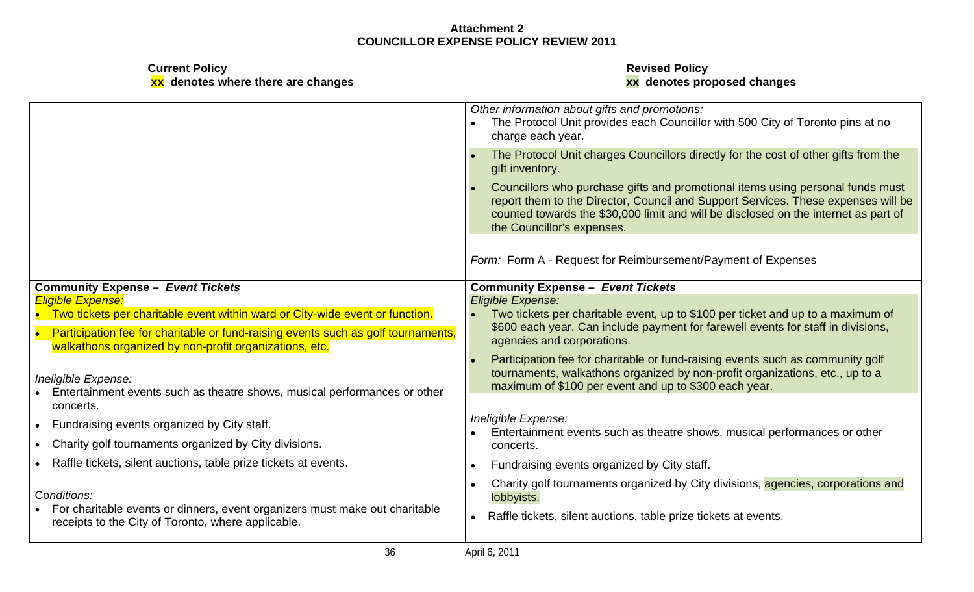| <b>Current Policy</b>              | <b>Revised Policy</b>       |  |
|------------------------------------|-----------------------------|--|
| xx denotes where there are changes | xx denotes proposed changes |  |

# **xx denotes where there are changes xx denotes proposed changes**

|                                                                                                                                                    | Other information about gifts and promotions:<br>The Protocol Unit provides each Councillor with 500 City of Toronto pins at no<br>charge each year.                                                                                                                                     |
|----------------------------------------------------------------------------------------------------------------------------------------------------|------------------------------------------------------------------------------------------------------------------------------------------------------------------------------------------------------------------------------------------------------------------------------------------|
|                                                                                                                                                    | The Protocol Unit charges Councillors directly for the cost of other gifts from the<br>gift inventory.                                                                                                                                                                                   |
|                                                                                                                                                    | Councillors who purchase gifts and promotional items using personal funds must<br>report them to the Director, Council and Support Services. These expenses will be<br>counted towards the \$30,000 limit and will be disclosed on the internet as part of<br>the Councillor's expenses. |
|                                                                                                                                                    | Form: Form A - Request for Reimbursement/Payment of Expenses                                                                                                                                                                                                                             |
| Community Expense - Event Tickets<br><b>Eligible Expense.</b>                                                                                      | <b>Community Expense - Event Tickets</b><br>Eligible Expense:                                                                                                                                                                                                                            |
| • Two tickets per charitable event within ward or City-wide event or function.                                                                     | • Two tickets per charitable event, up to \$100 per ticket and up to a maximum of                                                                                                                                                                                                        |
| Participation fee for charitable or fund-raising events such as golf tournaments,<br>walkathons organized by non-profit organizations, etc.        | \$600 each year. Can include payment for farewell events for staff in divisions,<br>agencies and corporations.                                                                                                                                                                           |
| Ineligible Expense:<br>Entertainment events such as theatre shows, musical performances or other<br>concerts.                                      | Participation fee for charitable or fund-raising events such as community golf<br>tournaments, walkathons organized by non-profit organizations, etc., up to a<br>maximum of \$100 per event and up to \$300 each year.                                                                  |
| • Fundraising events organized by City staff.                                                                                                      | Ineligible Expense:<br>Entertainment events such as theatre shows, musical performances or other                                                                                                                                                                                         |
| • Charity golf tournaments organized by City divisions.                                                                                            | concerts                                                                                                                                                                                                                                                                                 |
| • Raffle tickets, silent auctions, table prize tickets at events.                                                                                  | Fundraising events organized by City staff.                                                                                                                                                                                                                                              |
| Conditions:<br>• For charitable events or dinners, event organizers must make out charitable<br>receipts to the City of Toronto, where applicable. | Charity golf tournaments organized by City divisions, agencies, corporations and<br>lobbyists.<br>Raffle tickets, silent auctions, table prize tickets at events.                                                                                                                        |
| 36                                                                                                                                                 | April 6, 2011                                                                                                                                                                                                                                                                            |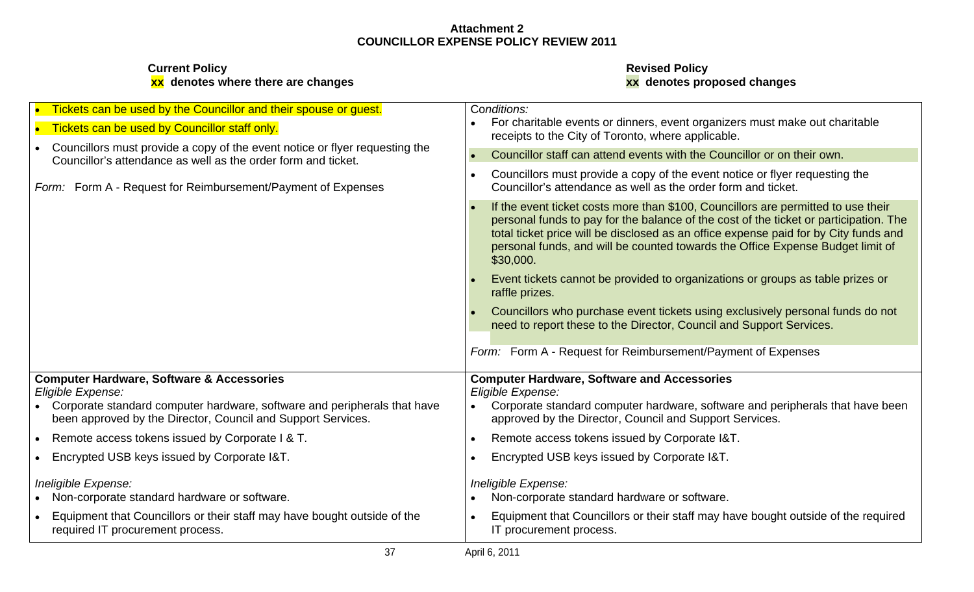| • Tickets can be used by the Councillor and their spouse or guest.                                                                           | Conditions:                                                                                                                                                                                                                                                                                                                                                       |
|----------------------------------------------------------------------------------------------------------------------------------------------|-------------------------------------------------------------------------------------------------------------------------------------------------------------------------------------------------------------------------------------------------------------------------------------------------------------------------------------------------------------------|
| • Tickets can be used by Councillor staff only.                                                                                              | • For charitable events or dinners, event organizers must make out charitable<br>receipts to the City of Toronto, where applicable.                                                                                                                                                                                                                               |
| Councillors must provide a copy of the event notice or flyer requesting the<br>Councillor's attendance as well as the order form and ticket. | Councillor staff can attend events with the Councillor or on their own.                                                                                                                                                                                                                                                                                           |
| Form: Form A - Request for Reimbursement/Payment of Expenses                                                                                 | Councillors must provide a copy of the event notice or flyer requesting the<br>Councillor's attendance as well as the order form and ticket.                                                                                                                                                                                                                      |
|                                                                                                                                              | If the event ticket costs more than \$100, Councillors are permitted to use their<br>personal funds to pay for the balance of the cost of the ticket or participation. The<br>total ticket price will be disclosed as an office expense paid for by City funds and<br>personal funds, and will be counted towards the Office Expense Budget limit of<br>\$30,000. |
|                                                                                                                                              | Event tickets cannot be provided to organizations or groups as table prizes or<br>raffle prizes.                                                                                                                                                                                                                                                                  |
|                                                                                                                                              | Councillors who purchase event tickets using exclusively personal funds do not<br>need to report these to the Director, Council and Support Services.                                                                                                                                                                                                             |
|                                                                                                                                              | Form: Form A - Request for Reimbursement/Payment of Expenses                                                                                                                                                                                                                                                                                                      |
| <b>Computer Hardware, Software &amp; Accessories</b><br>Eligible Expense:                                                                    | <b>Computer Hardware, Software and Accessories</b><br>Eligible Expense:                                                                                                                                                                                                                                                                                           |
| Corporate standard computer hardware, software and peripherals that have<br>been approved by the Director, Council and Support Services.     | Corporate standard computer hardware, software and peripherals that have been<br>approved by the Director, Council and Support Services.                                                                                                                                                                                                                          |
| Remote access tokens issued by Corporate I & T.                                                                                              | Remote access tokens issued by Corporate I&T.                                                                                                                                                                                                                                                                                                                     |
| Encrypted USB keys issued by Corporate I&T.                                                                                                  | Encrypted USB keys issued by Corporate I&T.                                                                                                                                                                                                                                                                                                                       |
| Ineligible Expense:<br>• Non-corporate standard hardware or software.                                                                        | Ineligible Expense:<br>• Non-corporate standard hardware or software.                                                                                                                                                                                                                                                                                             |
| Equipment that Councillors or their staff may have bought outside of the                                                                     | Equipment that Councillors or their staff may have bought outside of the required                                                                                                                                                                                                                                                                                 |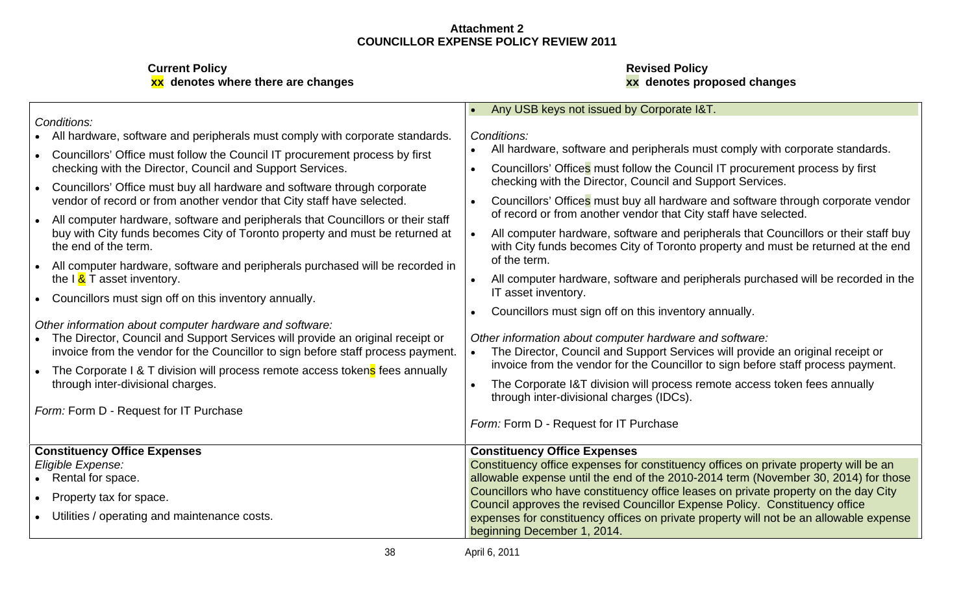| Conditions:                                                                                                                                                          | • Any USB keys not issued by Corporate I&T.                                                                                                                             |
|----------------------------------------------------------------------------------------------------------------------------------------------------------------------|-------------------------------------------------------------------------------------------------------------------------------------------------------------------------|
|                                                                                                                                                                      |                                                                                                                                                                         |
| All hardware, software and peripherals must comply with corporate standards.                                                                                         | Conditions:                                                                                                                                                             |
| Councillors' Office must follow the Council IT procurement process by first                                                                                          | All hardware, software and peripherals must comply with corporate standards.                                                                                            |
| checking with the Director, Council and Support Services.                                                                                                            | Councillors' Offices must follow the Council IT procurement process by first                                                                                            |
| Councillors' Office must buy all hardware and software through corporate<br>vendor of record or from another vendor that City staff have selected.                   | checking with the Director, Council and Support Services.<br>Councillors' Offices must buy all hardware and software through corporate vendor                           |
| All computer hardware, software and peripherals that Councillors or their staff                                                                                      | of record or from another vendor that City staff have selected.                                                                                                         |
| buy with City funds becomes City of Toronto property and must be returned at<br>the end of the term.                                                                 | All computer hardware, software and peripherals that Councillors or their staff buy<br>with City funds becomes City of Toronto property and must be returned at the end |
| All computer hardware, software and peripherals purchased will be recorded in<br>the I & T asset inventory.                                                          | of the term.<br>All computer hardware, software and peripherals purchased will be recorded in the                                                                       |
| Councillors must sign off on this inventory annually                                                                                                                 | IT asset inventory.                                                                                                                                                     |
| Other information about computer hardware and software:                                                                                                              | Councillors must sign off on this inventory annually.                                                                                                                   |
| • The Director, Council and Support Services will provide an original receipt or<br>invoice from the vendor for the Councillor to sign before staff process payment. | Other information about computer hardware and software:<br>The Director, Council and Support Services will provide an original receipt or                               |
| The Corporate I & T division will process remote access tokens fees annually                                                                                         | invoice from the vendor for the Councillor to sign before staff process payment.                                                                                        |
| through inter-divisional charges.                                                                                                                                    | The Corporate I&T division will process remote access token fees annually<br>through inter-divisional charges (IDCs).                                                   |
| Form: Form D - Request for IT Purchase                                                                                                                               |                                                                                                                                                                         |
|                                                                                                                                                                      | Form: Form D - Request for IT Purchase                                                                                                                                  |
| <b>Constituency Office Expenses</b>                                                                                                                                  | <b>Constituency Office Expenses</b>                                                                                                                                     |
| Eligible Expense:                                                                                                                                                    | Constituency office expenses for constituency offices on private property will be an                                                                                    |
| • Rental for space                                                                                                                                                   | allowable expense until the end of the 2010-2014 term (November 30, 2014) for those                                                                                     |
| Property tax for space.                                                                                                                                              | Councillors who have constituency office leases on private property on the day City<br>Council approves the revised Councillor Expense Policy. Constituency office      |
| Utilities / operating and maintenance costs.                                                                                                                         | expenses for constituency offices on private property will not be an allowable expense                                                                                  |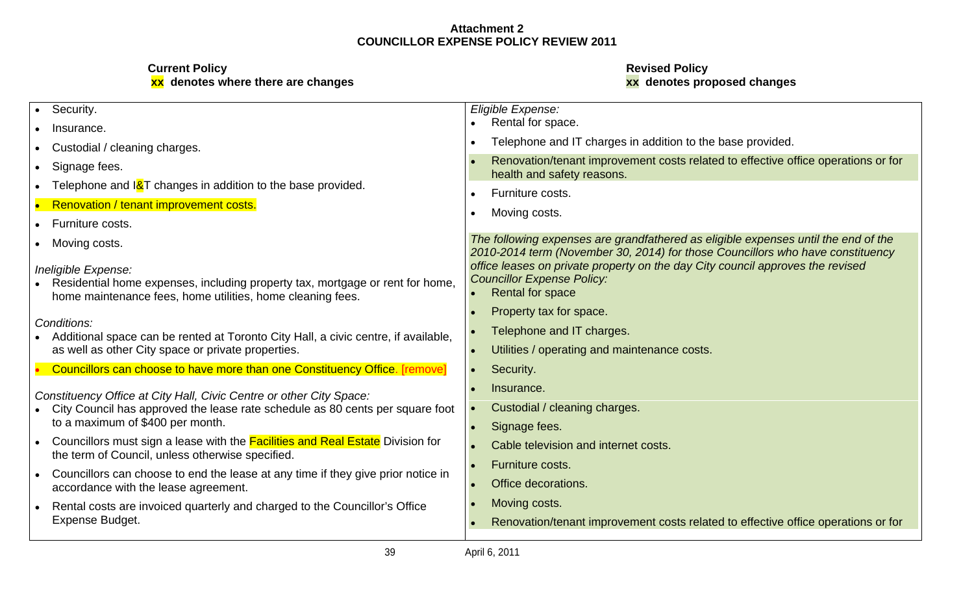| Security.                                                                                                                                                          | Eligible Expense:                                                                                                                                                    |
|--------------------------------------------------------------------------------------------------------------------------------------------------------------------|----------------------------------------------------------------------------------------------------------------------------------------------------------------------|
| Insurance.                                                                                                                                                         | • Rental for space.                                                                                                                                                  |
| Custodial / cleaning charges.                                                                                                                                      | Telephone and IT charges in addition to the base provided.                                                                                                           |
| Signage fees.                                                                                                                                                      | Renovation/tenant improvement costs related to effective office operations or for<br>health and safety reasons.                                                      |
| Telephone and I&T changes in addition to the base provided.                                                                                                        | Furniture costs.                                                                                                                                                     |
| Renovation / tenant improvement costs.                                                                                                                             | Moving costs.                                                                                                                                                        |
| Furniture costs.                                                                                                                                                   |                                                                                                                                                                      |
| Moving costs.                                                                                                                                                      | The following expenses are grandfathered as eligible expenses until the end of the<br>2010-2014 term (November 30, 2014) for those Councillors who have constituency |
| Ineligible Expense:<br>Residential home expenses, including property tax, mortgage or rent for home,<br>home maintenance fees, home utilities, home cleaning fees. | office leases on private property on the day City council approves the revised<br><b>Councillor Expense Policy:</b><br>• Rental for space                            |
| Conditions:                                                                                                                                                        | Property tax for space.                                                                                                                                              |
| Additional space can be rented at Toronto City Hall, a civic centre, if available,                                                                                 | Telephone and IT charges.                                                                                                                                            |
| as well as other City space or private properties.                                                                                                                 | Utilities / operating and maintenance costs.                                                                                                                         |
| Councillors can choose to have more than one Constituency Office. [remove]                                                                                         | Security.                                                                                                                                                            |
| Constituency Office at City Hall, Civic Centre or other City Space:                                                                                                | Insurance.                                                                                                                                                           |
| City Council has approved the lease rate schedule as 80 cents per square foot                                                                                      | Custodial / cleaning charges.                                                                                                                                        |
| to a maximum of \$400 per month.                                                                                                                                   | Signage fees.                                                                                                                                                        |
| Councillors must sign a lease with the Facilities and Real Estate Division for<br>the term of Council, unless otherwise specified.                                 | Cable television and internet costs.                                                                                                                                 |
|                                                                                                                                                                    | Furniture costs.                                                                                                                                                     |
| Councillors can choose to end the lease at any time if they give prior notice in<br>accordance with the lease agreement.                                           | <b>Office decorations.</b>                                                                                                                                           |
| Rental costs are invoiced quarterly and charged to the Councillor's Office                                                                                         | Moving costs.                                                                                                                                                        |
| Expense Budget.                                                                                                                                                    | Renovation/tenant improvement costs related to effective office operations or for                                                                                    |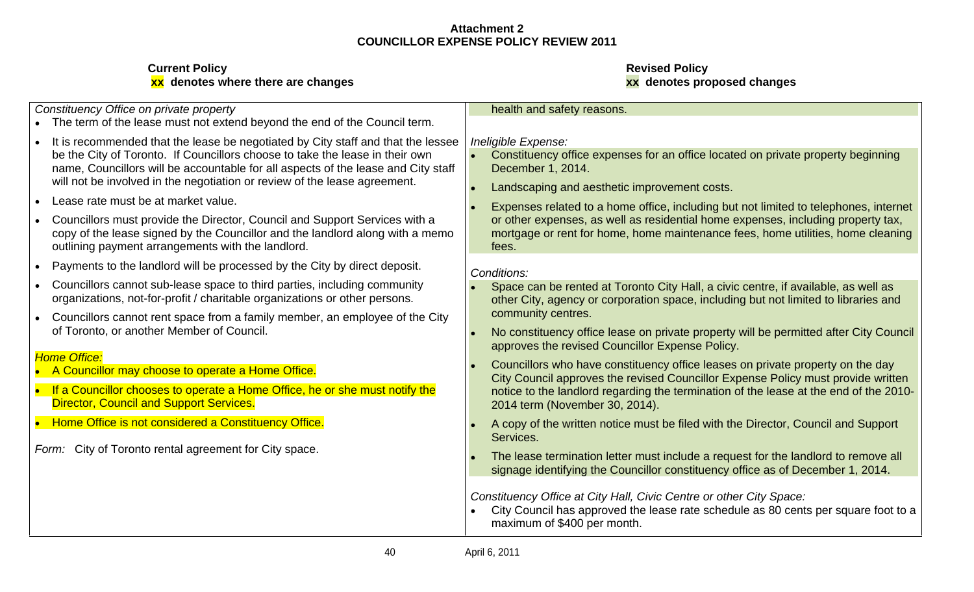# **Current Policy Revised Policy xx denotes where there are changes xx denotes proposed changes**

Constituency Office on private property

- The term of the lease must not extend beyond the end of the Council term.
- It is recommended that the lease be negotiated by City staff and that the lessee name, Councillors will be accountable for all aspects of the lease and City staff will not be involved in the negotiation or review of the lease agreement.
- 
- outlining payment arrangements with the landlord. The same state of the state of the state of the state of the state of the state of the state of the state of the state of the state of the state of the state of the state o
- Payments to the landlord will be processed by the City by direct deposit.  $\bigcap_{\text{Conditions}}$  $\bullet$
- 
- Councillors cannot rent space from a family member, an employee of the City

- A Councillor may choose to operate a Home Office.
- Director, Council and Support Services.
- 

Form: City of Toronto rental agreement for City space.

# health and safety reasons.

# Ineligible Expense:

- be the City of Toronto. If Councillors choose to take the lease in their own  $\|\cdot\|$  Constituency office expenses for an office located on private property beginning  $\|\cdot\|$ December 1, 2014.
	- Landscaping and aesthetic improvement costs.
- Lease rate must be at market value.<br>
Lease rate must be at market value.<br>
Lease rate must be at market value. Councillors must provide the Director, Council and Support Services with a  $\Box$  or other expenses, as well as residential home expenses, including property tax,  $\Box$ copy of the lease signed by the Councillor and the landlord along with a memo  $\parallel$  mortgage or rent for home, home maintenance fees, home utilities, home cleaning  $\parallel$ fees. And the contract of the contract of the contract of the contract of the contract of the contract of the c

# Conditions:

- Councillors cannot sub-lease space to third parties, including community **Space can be rented at Toronto City Hall**, a civic centre, if available, as well as organizations, not-for-profit / charitable organizations or other persons. The other City, agency or corporation space, including but not limited to libraries and Terminal Charles and Terminal Charles and Terminal Charles community centres.
- of Toronto, or another Member of Council. The same of the state of the constituency office lease on private property will be permitted after City Council approves the revised Councillor Expense Policy.
- Home Office:<br>
Councillors who have constituency office leases on private property on the day If a Councillor chooses to operate a Home Office, he or she must notify the subset of the landlord regarding the termination of the lease at the end of the 2010-City Council approves the revised Councillor Expense Policy must provide written 2014 term (November 30, 2014).
	- Home Office is not considered a Constituency Office. The Mannel of the written notice must be filed with the Director, Council and Support and Support Services. The contract of the contract of the contract of the contract of the contract of the contract of the contract of the contract of the contract of the contract of the contract of the contract of the contract of the
		- The lease termination letter must include a request for the landlord to remove all signage identifying the Councillor constituency office as of December 1, 2014.

Constituency Office at City Hall, Civic Centre or other City Space:

City Council has approved the lease rate schedule as 80 cents per square foot to a maximum of \$400 per month.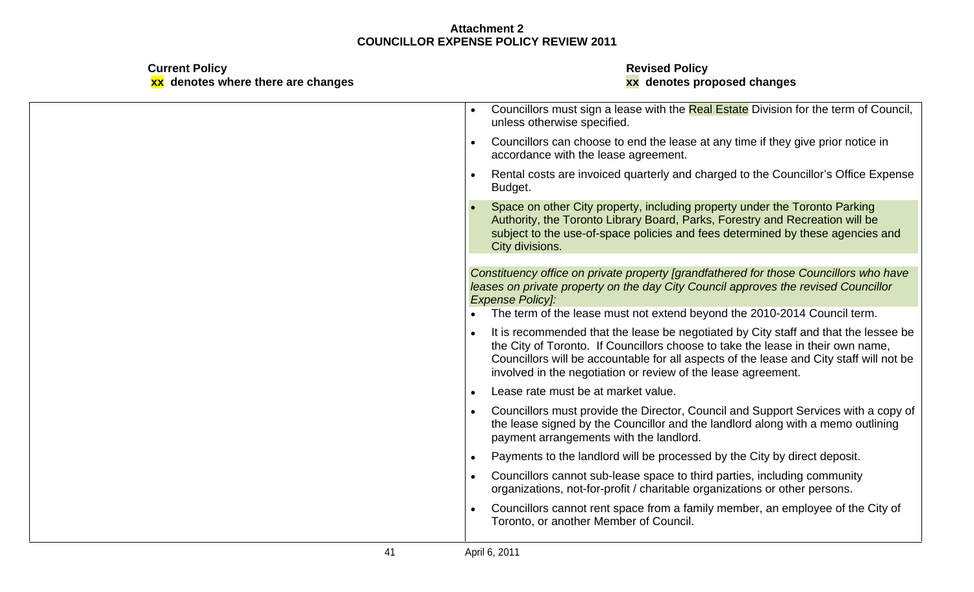| <b>Current Policy</b><br>xx denotes where there are changes | <b>Revised Policy</b><br>xx denotes proposed changes                                                                                                                                                                                                                                                                                 |
|-------------------------------------------------------------|--------------------------------------------------------------------------------------------------------------------------------------------------------------------------------------------------------------------------------------------------------------------------------------------------------------------------------------|
|                                                             | • Councillors must sign a lease with the Real Estate Division for the term of Council,<br>unless otherwise specified.                                                                                                                                                                                                                |
|                                                             | Councillors can choose to end the lease at any time if they give prior notice in<br>accordance with the lease agreement.                                                                                                                                                                                                             |
|                                                             | Rental costs are invoiced quarterly and charged to the Councillor's Office Expense<br>Budget.                                                                                                                                                                                                                                        |
|                                                             | Space on other City property, including property under the Toronto Parking<br>Authority, the Toronto Library Board, Parks, Forestry and Recreation will be<br>subject to the use-of-space policies and fees determined by these agencies and<br>City divisions.                                                                      |
|                                                             | Constituency office on private property [grandfathered for those Councillors who have<br>leases on private property on the day City Council approves the revised Councillor<br><b>Expense Policy]:</b><br>• The term of the lease must not extend beyond the 2010-2014 Council term.                                                 |
|                                                             | • It is recommended that the lease be negotiated by City staff and that the lessee be<br>the City of Toronto. If Councillors choose to take the lease in their own name,<br>Councillors will be accountable for all aspects of the lease and City staff will not be<br>involved in the negotiation or review of the lease agreement. |
|                                                             | Lease rate must be at market value.                                                                                                                                                                                                                                                                                                  |
|                                                             | Councillors must provide the Director, Council and Support Services with a copy of<br>the lease signed by the Councillor and the landlord along with a memo outlining<br>payment arrangements with the landlord.                                                                                                                     |
|                                                             | Payments to the landlord will be processed by the City by direct deposit.                                                                                                                                                                                                                                                            |
|                                                             | Councillors cannot sub-lease space to third parties, including community<br>organizations, not-for-profit / charitable organizations or other persons.                                                                                                                                                                               |
|                                                             | Councillors cannot rent space from a family member, an employee of the City of<br>Toronto, or another Member of Council.                                                                                                                                                                                                             |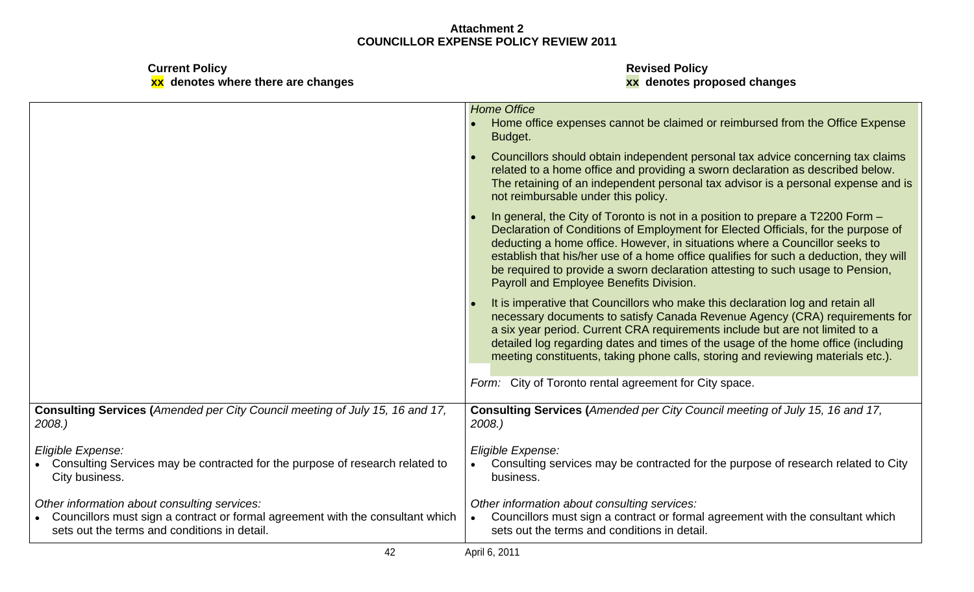**Current Policy Revised Policy**

# **xx denotes where there are changes xx denotes proposed changes**

|                                                                                                                                                                                | <b>Home Office</b>                                                                                                                                                                                                                                                                                                                                                                                                                                                       |
|--------------------------------------------------------------------------------------------------------------------------------------------------------------------------------|--------------------------------------------------------------------------------------------------------------------------------------------------------------------------------------------------------------------------------------------------------------------------------------------------------------------------------------------------------------------------------------------------------------------------------------------------------------------------|
|                                                                                                                                                                                | Home office expenses cannot be claimed or reimbursed from the Office Expense<br>Budget.                                                                                                                                                                                                                                                                                                                                                                                  |
|                                                                                                                                                                                | Councillors should obtain independent personal tax advice concerning tax claims<br>related to a home office and providing a sworn declaration as described below.<br>The retaining of an independent personal tax advisor is a personal expense and is<br>not reimbursable under this policy.                                                                                                                                                                            |
|                                                                                                                                                                                | In general, the City of Toronto is not in a position to prepare a T2200 Form -<br>Declaration of Conditions of Employment for Elected Officials, for the purpose of<br>deducting a home office. However, in situations where a Councillor seeks to<br>establish that his/her use of a home office qualifies for such a deduction, they will<br>be required to provide a sworn declaration attesting to such usage to Pension,<br>Payroll and Employee Benefits Division. |
|                                                                                                                                                                                | It is imperative that Councillors who make this declaration log and retain all<br>necessary documents to satisfy Canada Revenue Agency (CRA) requirements for<br>a six year period. Current CRA requirements include but are not limited to a<br>detailed log regarding dates and times of the usage of the home office (including<br>meeting constituents, taking phone calls, storing and reviewing materials etc.).                                                   |
|                                                                                                                                                                                | Form: City of Toronto rental agreement for City space.                                                                                                                                                                                                                                                                                                                                                                                                                   |
| Consulting Services (Amended per City Council meeting of July 15, 16 and 17,<br>2008.                                                                                          | Consulting Services (Amended per City Council meeting of July 15, 16 and 17,<br>2008.)                                                                                                                                                                                                                                                                                                                                                                                   |
| Eligible Expense:<br>Consulting Services may be contracted for the purpose of research related to<br>City business.                                                            | Eligible Expense:<br>Consulting services may be contracted for the purpose of research related to City<br>business.                                                                                                                                                                                                                                                                                                                                                      |
| Other information about consulting services:<br>Councillors must sign a contract or formal agreement with the consultant which<br>sets out the terms and conditions in detail. | Other information about consulting services:<br>Councillors must sign a contract or formal agreement with the consultant which<br>sets out the terms and conditions in detail.                                                                                                                                                                                                                                                                                           |
|                                                                                                                                                                                | April 6, 2011                                                                                                                                                                                                                                                                                                                                                                                                                                                            |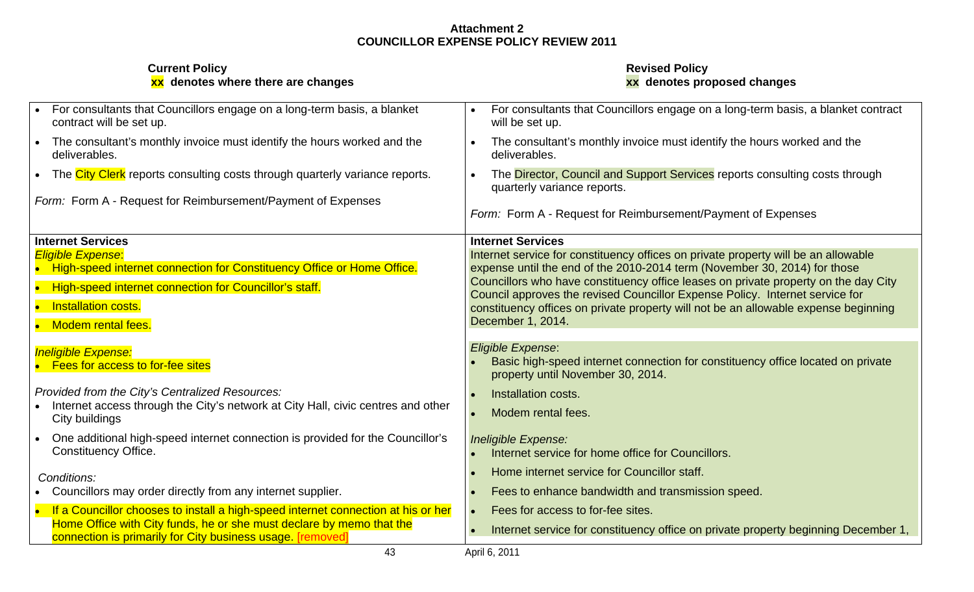| <b>Current Policy</b><br>xx denotes where there are changes                                                                        | <b>Revised Policy</b><br>xx denotes proposed changes                                                                                                             |
|------------------------------------------------------------------------------------------------------------------------------------|------------------------------------------------------------------------------------------------------------------------------------------------------------------|
| • For consultants that Councillors engage on a long-term basis, a blanket<br>contract will be set up.                              | • For consultants that Councillors engage on a long-term basis, a blanket contract<br>will be set up.                                                            |
| The consultant's monthly invoice must identify the hours worked and the<br>deliverables.                                           | The consultant's monthly invoice must identify the hours worked and the<br>deliverables.                                                                         |
| The City Clerk reports consulting costs through quarterly variance reports.                                                        | The Director, Council and Support Services reports consulting costs through<br>quarterly variance reports.                                                       |
| Form: Form A - Request for Reimbursement/Payment of Expenses                                                                       | Form: Form A - Request for Reimbursement/Payment of Expenses                                                                                                     |
| Internet Services                                                                                                                  | <b>Internet Services</b>                                                                                                                                         |
| <b>Eligible Expense:</b>                                                                                                           | Internet service for constituency offices on private property will be an allowable                                                                               |
| High-speed internet connection for Constituency Office or Home Office.                                                             | expense until the end of the 2010-2014 term (November 30, 2014) for those<br>Councillors who have constituency office leases on private property on the day City |
| High-speed internet connection for Councillor's staff.                                                                             | Council approves the revised Councillor Expense Policy. Internet service for                                                                                     |
| • Installation costs.                                                                                                              | constituency offices on private property will not be an allowable expense beginning                                                                              |
| Modem rental fees                                                                                                                  | December 1, 2014.                                                                                                                                                |
| <b>Ineligible Expense:</b>                                                                                                         | Eligible Expense:                                                                                                                                                |
| <b>Fees for access to for-fee sites</b>                                                                                            | Basic high-speed internet connection for constituency office located on private<br>property until November 30, 2014.                                             |
| Provided from the City's Centralized Resources:                                                                                    | • Installation costs.                                                                                                                                            |
| • Internet access through the City's network at City Hall, civic centres and other<br>City buildings                               | • Modem rental fees.                                                                                                                                             |
| One additional high-speed internet connection is provided for the Councillor's                                                     | Ineligible Expense:                                                                                                                                              |
| <b>Constituency Office.</b>                                                                                                        | • Internet service for home office for Councillors.                                                                                                              |
| Conditions:                                                                                                                        | Home internet service for Councillor staff.                                                                                                                      |
| Councillors may order directly from any internet supplier.                                                                         | • Fees to enhance bandwidth and transmission speed.                                                                                                              |
| If a Councillor chooses to install a high-speed internet connection at his or her                                                  | Fees for access to for-fee sites.                                                                                                                                |
| Home Office with City funds, he or she must declare by memo that the<br>connection is primarily for City business usage. [removed] | • Internet service for constituency office on private property beginning December 1,                                                                             |
| 43                                                                                                                                 | April 6, 2011                                                                                                                                                    |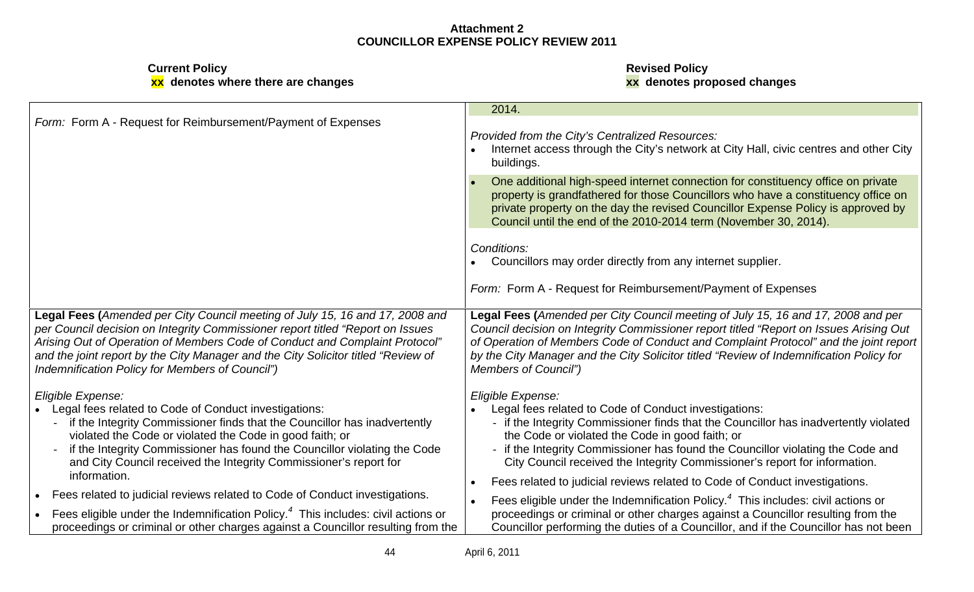|                                                                                                                                                                                                                                                                                                                                                                                           | 2014.                                                                                                                                                                                                                                                                                                                                                                                                                                                                   |
|-------------------------------------------------------------------------------------------------------------------------------------------------------------------------------------------------------------------------------------------------------------------------------------------------------------------------------------------------------------------------------------------|-------------------------------------------------------------------------------------------------------------------------------------------------------------------------------------------------------------------------------------------------------------------------------------------------------------------------------------------------------------------------------------------------------------------------------------------------------------------------|
| Form: Form A - Request for Reimbursement/Payment of Expenses                                                                                                                                                                                                                                                                                                                              | Provided from the City's Centralized Resources:<br>Internet access through the City's network at City Hall, civic centres and other City<br>buildings.                                                                                                                                                                                                                                                                                                                  |
|                                                                                                                                                                                                                                                                                                                                                                                           | One additional high-speed internet connection for constituency office on private<br>property is grandfathered for those Councillors who have a constituency office on<br>private property on the day the revised Councillor Expense Policy is approved by<br>Council until the end of the 2010-2014 term (November 30, 2014).                                                                                                                                           |
|                                                                                                                                                                                                                                                                                                                                                                                           | Conditions:<br>Councillors may order directly from any internet supplier.                                                                                                                                                                                                                                                                                                                                                                                               |
|                                                                                                                                                                                                                                                                                                                                                                                           | Form: Form A - Request for Reimbursement/Payment of Expenses                                                                                                                                                                                                                                                                                                                                                                                                            |
| Legal Fees (Amended per City Council meeting of July 15, 16 and 17, 2008 and<br>per Council decision on Integrity Commissioner report titled "Report on Issues<br>Arising Out of Operation of Members Code of Conduct and Complaint Protocol"<br>and the joint report by the City Manager and the City Solicitor titled "Review of<br>Indemnification Policy for Members of Council")     | Legal Fees (Amended per City Council meeting of July 15, 16 and 17, 2008 and per<br>Council decision on Integrity Commissioner report titled "Report on Issues Arising Out<br>of Operation of Members Code of Conduct and Complaint Protocol" and the joint report<br>by the City Manager and the City Solicitor titled "Review of Indemnification Policy for<br><b>Members of Council")</b>                                                                            |
| Eligible Expense:<br>Legal fees related to Code of Conduct investigations:<br>- if the Integrity Commissioner finds that the Councillor has inadvertently<br>violated the Code or violated the Code in good faith; or<br>- if the Integrity Commissioner has found the Councillor violating the Code<br>and City Council received the Integrity Commissioner's report for<br>information. | Eligible Expense:<br>• Legal fees related to Code of Conduct investigations:<br>- if the Integrity Commissioner finds that the Councillor has inadvertently violated<br>the Code or violated the Code in good faith; or<br>- if the Integrity Commissioner has found the Councillor violating the Code and<br>City Council received the Integrity Commissioner's report for information.<br>Fees related to judicial reviews related to Code of Conduct investigations. |
| Fees related to judicial reviews related to Code of Conduct investigations.                                                                                                                                                                                                                                                                                                               | Fees eligible under the Indemnification Policy. <sup>4</sup> This includes: civil actions or                                                                                                                                                                                                                                                                                                                                                                            |
| Fees eligible under the Indemnification Policy. $4$ This includes: civil actions or<br>proceedings or criminal or other charges against a Councillor resulting from the                                                                                                                                                                                                                   | proceedings or criminal or other charges against a Councillor resulting from the<br>Councillor performing the duties of a Councillor, and if the Councillor has not been                                                                                                                                                                                                                                                                                                |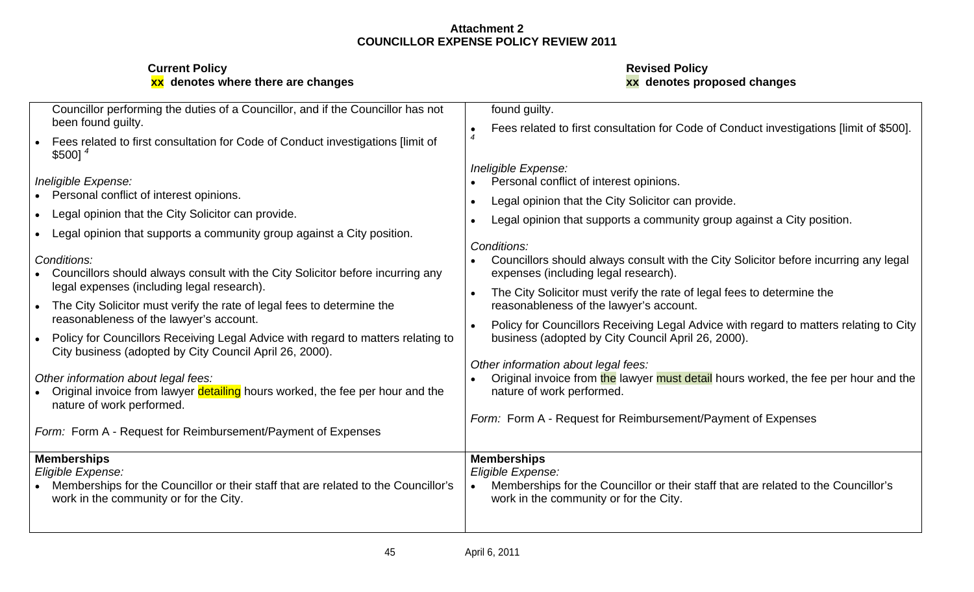| Councillor performing the duties of a Councillor, and if the Councillor has not                                                                   | found guilty.                                                                                                                                             |
|---------------------------------------------------------------------------------------------------------------------------------------------------|-----------------------------------------------------------------------------------------------------------------------------------------------------------|
| been found guilty.                                                                                                                                | Fees related to first consultation for Code of Conduct investigations [limit of \$500].                                                                   |
| Fees related to first consultation for Code of Conduct investigations [limit of<br>\$500]                                                         |                                                                                                                                                           |
| Ineligible Expense:                                                                                                                               | Ineligible Expense:<br>• Personal conflict of interest opinions.                                                                                          |
| Personal conflict of interest opinions.                                                                                                           | Legal opinion that the City Solicitor can provide.                                                                                                        |
| Legal opinion that the City Solicitor can provide.                                                                                                | • Legal opinion that supports a community group against a City position.                                                                                  |
| Legal opinion that supports a community group against a City position.                                                                            | Conditions:                                                                                                                                               |
| Conditions:<br>Councillors should always consult with the City Solicitor before incurring any                                                     | • Councillors should always consult with the City Solicitor before incurring any legal<br>expenses (including legal research).                            |
| legal expenses (including legal research).                                                                                                        | The City Solicitor must verify the rate of legal fees to determine the                                                                                    |
| The City Solicitor must verify the rate of legal fees to determine the<br>reasonableness of the lawyer's account.                                 | reasonableness of the lawyer's account.                                                                                                                   |
| Policy for Councillors Receiving Legal Advice with regard to matters relating to<br>City business (adopted by City Council April 26, 2000).       | Policy for Councillors Receiving Legal Advice with regard to matters relating to City<br>business (adopted by City Council April 26, 2000).               |
| Other information about legal fees:<br>Original invoice from lawyer detailing hours worked, the fee per hour and the<br>nature of work performed. | Other information about legal fees:<br>• Original invoice from the lawyer must detail hours worked, the fee per hour and the<br>nature of work performed. |
| Form: Form A - Request for Reimbursement/Payment of Expenses                                                                                      | Form: Form A - Request for Reimbursement/Payment of Expenses                                                                                              |
| <b>Memberships</b>                                                                                                                                | <b>Memberships</b>                                                                                                                                        |
| Eligible Expense:<br>Memberships for the Councillor or their staff that are related to the Councillor's                                           | Eligible Expense:<br>Memberships for the Councillor or their staff that are related to the Councillor's                                                   |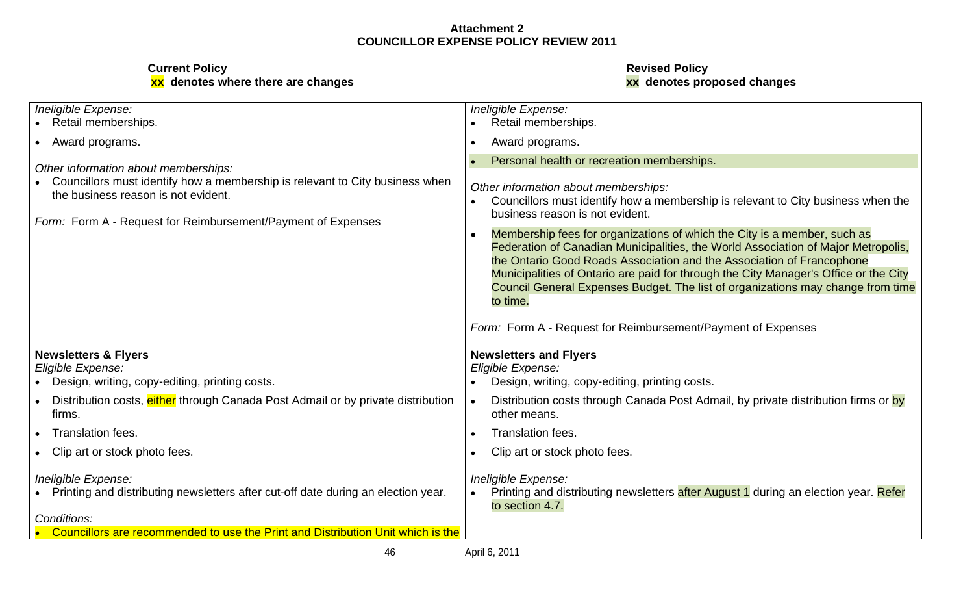| Ineligible Expense:<br>• Retail memberships.                                                                                                                                                                                | Ineligible Expense:<br>Retail memberships.                                                                                                                                                                                                                                                                                                                                                                                                                                                                                                                                                                                                 |
|-----------------------------------------------------------------------------------------------------------------------------------------------------------------------------------------------------------------------------|--------------------------------------------------------------------------------------------------------------------------------------------------------------------------------------------------------------------------------------------------------------------------------------------------------------------------------------------------------------------------------------------------------------------------------------------------------------------------------------------------------------------------------------------------------------------------------------------------------------------------------------------|
| • Award programs.                                                                                                                                                                                                           | Award programs.                                                                                                                                                                                                                                                                                                                                                                                                                                                                                                                                                                                                                            |
| Other information about memberships:<br>Councillors must identify how a membership is relevant to City business when<br>the business reason is not evident.<br>Form: Form A - Request for Reimbursement/Payment of Expenses | Personal health or recreation memberships.<br>Other information about memberships:<br>Councillors must identify how a membership is relevant to City business when the<br>business reason is not evident.<br>Membership fees for organizations of which the City is a member, such as<br>Federation of Canadian Municipalities, the World Association of Major Metropolis,<br>the Ontario Good Roads Association and the Association of Francophone<br>Municipalities of Ontario are paid for through the City Manager's Office or the City<br>Council General Expenses Budget. The list of organizations may change from time<br>to time. |
| Newsletters & Flyers<br>Eligible Expense:                                                                                                                                                                                   | Form: Form A - Request for Reimbursement/Payment of Expenses<br><b>Newsletters and Flyers</b><br>Eligible Expense:                                                                                                                                                                                                                                                                                                                                                                                                                                                                                                                         |
| • Design, writing, copy-editing, printing costs.                                                                                                                                                                            | Design, writing, copy-editing, printing costs.                                                                                                                                                                                                                                                                                                                                                                                                                                                                                                                                                                                             |
| Distribution costs, either through Canada Post Admail or by private distribution<br>firms.                                                                                                                                  | Distribution costs through Canada Post Admail, by private distribution firms or by<br>other means.                                                                                                                                                                                                                                                                                                                                                                                                                                                                                                                                         |
| Translation fees.                                                                                                                                                                                                           | Translation fees.                                                                                                                                                                                                                                                                                                                                                                                                                                                                                                                                                                                                                          |
| Clip art or stock photo fees.                                                                                                                                                                                               | Clip art or stock photo fees.                                                                                                                                                                                                                                                                                                                                                                                                                                                                                                                                                                                                              |
| Ineligible Expense:<br>• Printing and distributing newsletters after cut-off date during an election year.<br>Conditions:<br>Councillors are recommended to use the Print and Distribution Unit which is the                | Ineligible Expense:<br>Printing and distributing newsletters after August 1 during an election year. Refer<br>to section 4.7.                                                                                                                                                                                                                                                                                                                                                                                                                                                                                                              |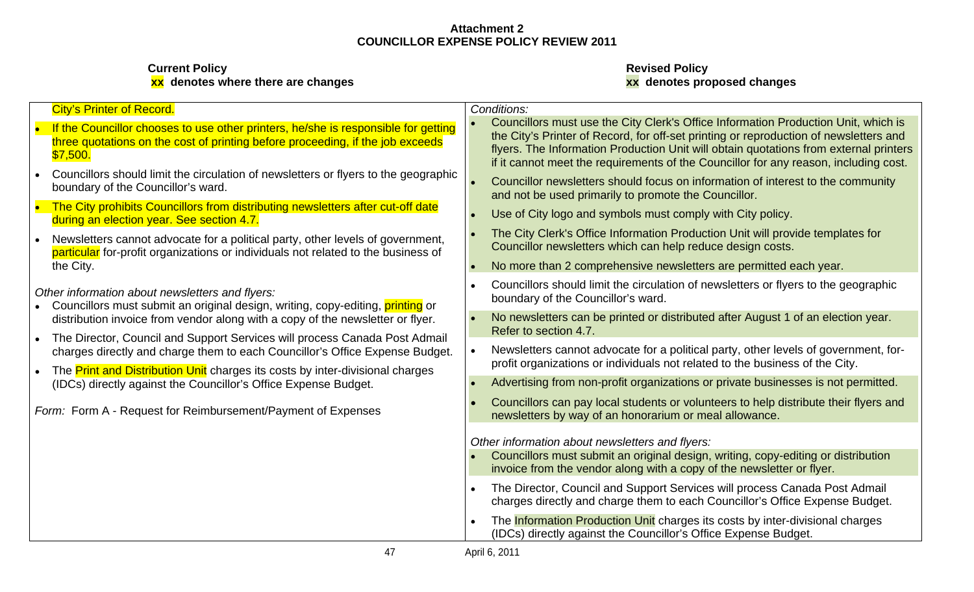| <b>City's Printer of Record.</b>                                                                                                                                                 | Conditions:                                                                                                                                                                                                                                                                                                                                                  |
|----------------------------------------------------------------------------------------------------------------------------------------------------------------------------------|--------------------------------------------------------------------------------------------------------------------------------------------------------------------------------------------------------------------------------------------------------------------------------------------------------------------------------------------------------------|
| If the Councillor chooses to use other printers, he/she is responsible for getting<br>three quotations on the cost of printing before proceeding, if the job exceeds<br>\$7,500. | Councillors must use the City Clerk's Office Information Production Unit, which is<br>the City's Printer of Record, for off-set printing or reproduction of newsletters and<br>flyers. The Information Production Unit will obtain quotations from external printers<br>if it cannot meet the requirements of the Councillor for any reason, including cost. |
| Councillors should limit the circulation of newsletters or flyers to the geographic<br>boundary of the Councillor's ward.                                                        | Councillor newsletters should focus on information of interest to the community<br>and not be used primarily to promote the Councillor.                                                                                                                                                                                                                      |
| The City prohibits Councillors from distributing newsletters after cut-off date<br>during an election year. See section 4.7.                                                     | Use of City logo and symbols must comply with City policy.                                                                                                                                                                                                                                                                                                   |
| Newsletters cannot advocate for a political party, other levels of government,<br>particular for-profit organizations or individuals not related to the business of              | The City Clerk's Office Information Production Unit will provide templates for<br>Councillor newsletters which can help reduce design costs.                                                                                                                                                                                                                 |
| the City.                                                                                                                                                                        | No more than 2 comprehensive newsletters are permitted each year.                                                                                                                                                                                                                                                                                            |
| Other information about newsletters and flyers:<br>Councillors must submit an original design, writing, copy-editing, printing or                                                | Councillors should limit the circulation of newsletters or flyers to the geographic<br>boundary of the Councillor's ward.                                                                                                                                                                                                                                    |
| distribution invoice from vendor along with a copy of the newsletter or flyer.                                                                                                   | No newsletters can be printed or distributed after August 1 of an election year.<br>Refer to section 4.7.                                                                                                                                                                                                                                                    |
| The Director, Council and Support Services will process Canada Post Admail<br>charges directly and charge them to each Councillor's Office Expense Budget.                       | Newsletters cannot advocate for a political party, other levels of government, for-                                                                                                                                                                                                                                                                          |
| The Print and Distribution Unit charges its costs by inter-divisional charges<br>(IDCs) directly against the Councillor's Office Expense Budget.                                 | profit organizations or individuals not related to the business of the City.<br>Advertising from non-profit organizations or private businesses is not permitted.                                                                                                                                                                                            |
| Form: Form A - Request for Reimbursement/Payment of Expenses                                                                                                                     | Councillors can pay local students or volunteers to help distribute their flyers and<br>newsletters by way of an honorarium or meal allowance.                                                                                                                                                                                                               |
|                                                                                                                                                                                  | Other information about newsletters and flyers:                                                                                                                                                                                                                                                                                                              |
|                                                                                                                                                                                  | Councillors must submit an original design, writing, copy-editing or distribution<br>invoice from the vendor along with a copy of the newsletter or flyer.                                                                                                                                                                                                   |
|                                                                                                                                                                                  | The Director, Council and Support Services will process Canada Post Admail<br>charges directly and charge them to each Councillor's Office Expense Budget.                                                                                                                                                                                                   |
|                                                                                                                                                                                  | The Information Production Unit charges its costs by inter-divisional charges<br>(IDCs) directly against the Councillor's Office Expense Budget.                                                                                                                                                                                                             |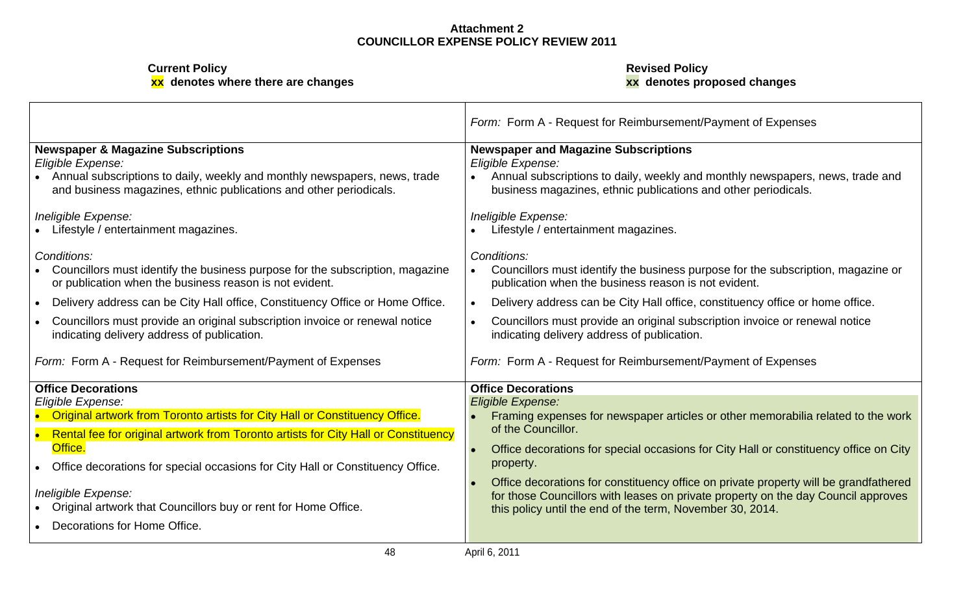**Current Policy Revised Policy**

**xx denotes where there are changes xx denotes proposed changes**

|                                                                                                                                                                                                                       | Form: Form A - Request for Reimbursement/Payment of Expenses                                                                                                                                                                           |
|-----------------------------------------------------------------------------------------------------------------------------------------------------------------------------------------------------------------------|----------------------------------------------------------------------------------------------------------------------------------------------------------------------------------------------------------------------------------------|
| <b>Newspaper &amp; Magazine Subscriptions</b><br>Eligible Expense:<br>Annual subscriptions to daily, weekly and monthly newspapers, news, trade<br>and business magazines, ethnic publications and other periodicals. | <b>Newspaper and Magazine Subscriptions</b><br>Eligible Expense:<br>Annual subscriptions to daily, weekly and monthly newspapers, news, trade and<br>business magazines, ethnic publications and other periodicals.                    |
| Ineligible Expense:<br>Lifestyle / entertainment magazines.                                                                                                                                                           | Ineligible Expense:<br>• Lifestyle / entertainment magazines.                                                                                                                                                                          |
| Conditions:<br>Councillors must identify the business purpose for the subscription, magazine<br>or publication when the business reason is not evident.                                                               | Conditions:<br>Councillors must identify the business purpose for the subscription, magazine or<br>publication when the business reason is not evident.                                                                                |
| Delivery address can be City Hall office, Constituency Office or Home Office.                                                                                                                                         | Delivery address can be City Hall office, constituency office or home office.                                                                                                                                                          |
| Councillors must provide an original subscription invoice or renewal notice<br>indicating delivery address of publication.                                                                                            | Councillors must provide an original subscription invoice or renewal notice<br>indicating delivery address of publication.                                                                                                             |
| Form: Form A - Request for Reimbursement/Payment of Expenses                                                                                                                                                          | Form: Form A - Request for Reimbursement/Payment of Expenses                                                                                                                                                                           |
| <b>Office Decorations</b>                                                                                                                                                                                             | <b>Office Decorations</b>                                                                                                                                                                                                              |
| Eligible Expense:<br><b>Original artwork from Toronto artists for City Hall or Constituency Office.</b>                                                                                                               | <b>Eligible Expense:</b><br>• Framing expenses for newspaper articles or other memorabilia related to the work                                                                                                                         |
| Rental fee for original artwork from Toronto artists for City Hall or Constituency<br>Office.                                                                                                                         | of the Councillor.                                                                                                                                                                                                                     |
| Office decorations for special occasions for City Hall or Constituency Office.                                                                                                                                        | Office decorations for special occasions for City Hall or constituency office on City<br>property.                                                                                                                                     |
| Ineligible Expense:<br>Original artwork that Councillors buy or rent for Home Office.                                                                                                                                 | Office decorations for constituency office on private property will be grandfathered<br>for those Councillors with leases on private property on the day Council approves<br>this policy until the end of the term, November 30, 2014. |
| Decorations for Home Office.                                                                                                                                                                                          |                                                                                                                                                                                                                                        |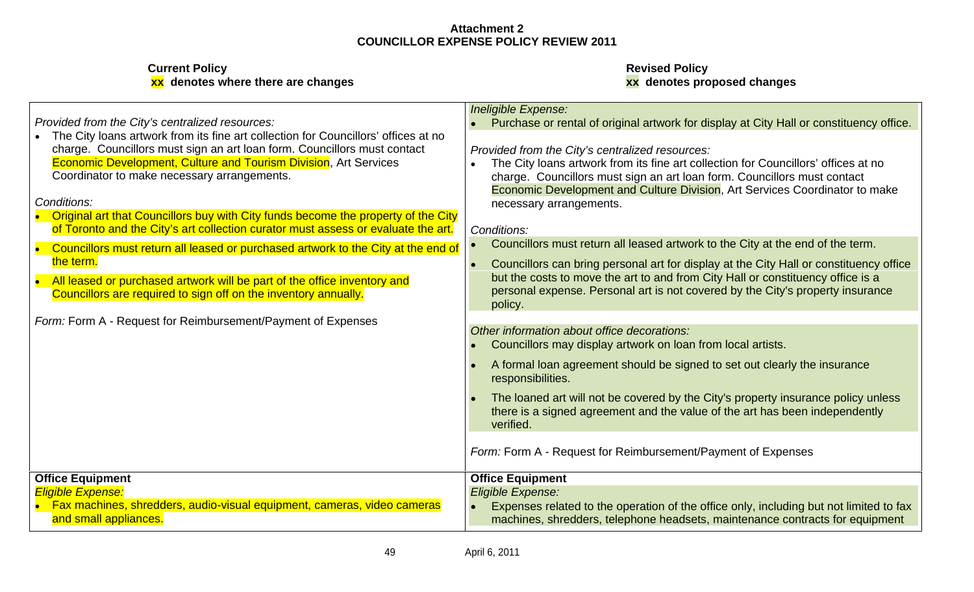|                                                                                                  | Ineligible Expense:                                                                                                                                                    |
|--------------------------------------------------------------------------------------------------|------------------------------------------------------------------------------------------------------------------------------------------------------------------------|
| Provided from the City's centralized resources:                                                  | • Purchase or rental of original artwork for display at City Hall or constituency office.                                                                              |
| The City loans artwork from its fine art collection for Councillors' offices at no               |                                                                                                                                                                        |
| charge. Councillors must sign an art loan form. Councillors must contact                         | Provided from the City's centralized resources:                                                                                                                        |
| <b>Economic Development, Culture and Tourism Division, Art Services</b>                          | • The City loans artwork from its fine art collection for Councillors' offices at no                                                                                   |
| Coordinator to make necessary arrangements.                                                      | charge. Councillors must sign an art loan form. Councillors must contact                                                                                               |
|                                                                                                  | <b>Economic Development and Culture Division, Art Services Coordinator to make</b>                                                                                     |
| Conditions:                                                                                      | necessary arrangements.                                                                                                                                                |
| Original art that Councillors buy with City funds become the property of the City                |                                                                                                                                                                        |
| of Toronto and the City's art collection curator must assess or evaluate the art.   Conditions:  |                                                                                                                                                                        |
| Councillors must return all leased or purchased artwork to the City at the end of                | • Councillors must return all leased artwork to the City at the end of the term.                                                                                       |
| the term                                                                                         | Councillors can bring personal art for display at the City Hall or constituency office                                                                                 |
|                                                                                                  | but the costs to move the art to and from City Hall or constituency office is a                                                                                        |
| All leased or purchased artwork will be part of the office inventory and                         | personal expense. Personal art is not covered by the City's property insurance                                                                                         |
| Councillors are required to sign off on the inventory annually.                                  | policy.                                                                                                                                                                |
|                                                                                                  |                                                                                                                                                                        |
| Form: Form A - Request for Reimbursement/Payment of Expenses                                     | Other information about office decorations:                                                                                                                            |
|                                                                                                  | Councillors may display artwork on loan from local artists.                                                                                                            |
|                                                                                                  |                                                                                                                                                                        |
|                                                                                                  | A formal loan agreement should be signed to set out clearly the insurance                                                                                              |
|                                                                                                  | responsibilities.                                                                                                                                                      |
|                                                                                                  | The loaned art will not be covered by the City's property insurance policy unless                                                                                      |
|                                                                                                  | there is a signed agreement and the value of the art has been independently                                                                                            |
|                                                                                                  | verified.                                                                                                                                                              |
|                                                                                                  |                                                                                                                                                                        |
|                                                                                                  | Form: Form A - Request for Reimbursement/Payment of Expenses                                                                                                           |
|                                                                                                  |                                                                                                                                                                        |
| <b>Office Equipment</b>                                                                          | <b>Office Equipment</b>                                                                                                                                                |
| Eligible Expense:                                                                                | Eligible Expense:                                                                                                                                                      |
|                                                                                                  |                                                                                                                                                                        |
| Fax machines, shredders, audio-visual equipment, cameras, video cameras<br>and small appliances. | Expenses related to the operation of the office only, including but not limited to fax<br>machines, shredders, telephone headsets, maintenance contracts for equipment |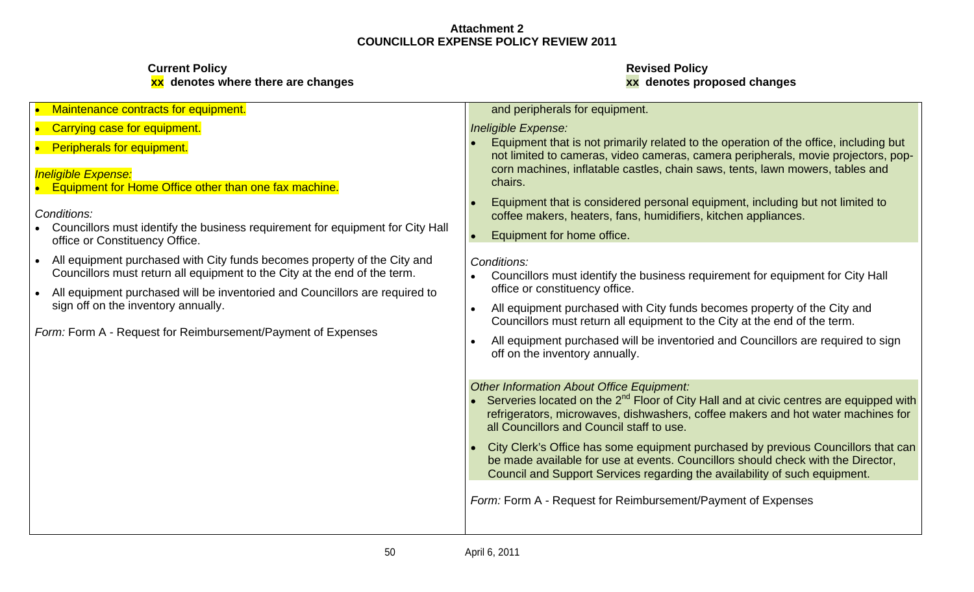| • Carrying case for equipment.<br>• Peripherals for equipment.                                                                                        | Ineligible Expense:                                                                                                                                                                                                                                                              |
|-------------------------------------------------------------------------------------------------------------------------------------------------------|----------------------------------------------------------------------------------------------------------------------------------------------------------------------------------------------------------------------------------------------------------------------------------|
|                                                                                                                                                       |                                                                                                                                                                                                                                                                                  |
|                                                                                                                                                       | Equipment that is not primarily related to the operation of the office, including but<br>not limited to cameras, video cameras, camera peripherals, movie projectors, pop-                                                                                                       |
| <b>Ineligible Expense:</b><br>Equipment for Home Office other than one fax machine.                                                                   | corn machines, inflatable castles, chain saws, tents, lawn mowers, tables and<br>chairs.                                                                                                                                                                                         |
| Conditions:<br>Councillors must identify the business requirement for equipment for City Hall<br>office or Constituency Office.                       | Equipment that is considered personal equipment, including but not limited to<br>coffee makers, heaters, fans, humidifiers, kitchen appliances.<br>Equipment for home office.                                                                                                    |
| All equipment purchased with City funds becomes property of the City and<br>Councillors must return all equipment to the City at the end of the term. | Conditions:<br>Councillors must identify the business requirement for equipment for City Hall                                                                                                                                                                                    |
| All equipment purchased will be inventoried and Councillors are required to                                                                           | office or constituency office.                                                                                                                                                                                                                                                   |
| sign off on the inventory annually.                                                                                                                   | All equipment purchased with City funds becomes property of the City and<br>Councillors must return all equipment to the City at the end of the term.                                                                                                                            |
| Form: Form A - Request for Reimbursement/Payment of Expenses                                                                                          | All equipment purchased will be inventoried and Councillors are required to sign<br>off on the inventory annually.                                                                                                                                                               |
|                                                                                                                                                       | Other Information About Office Equipment:<br>Serveries located on the 2 <sup>nd</sup> Floor of City Hall and at civic centres are equipped with<br>refrigerators, microwaves, dishwashers, coffee makers and hot water machines for<br>all Councillors and Council staff to use. |
|                                                                                                                                                       | City Clerk's Office has some equipment purchased by previous Councillors that can<br>be made available for use at events. Councillors should check with the Director,<br>Council and Support Services regarding the availability of such equipment.                              |
|                                                                                                                                                       | Form: Form A - Request for Reimbursement/Payment of Expenses                                                                                                                                                                                                                     |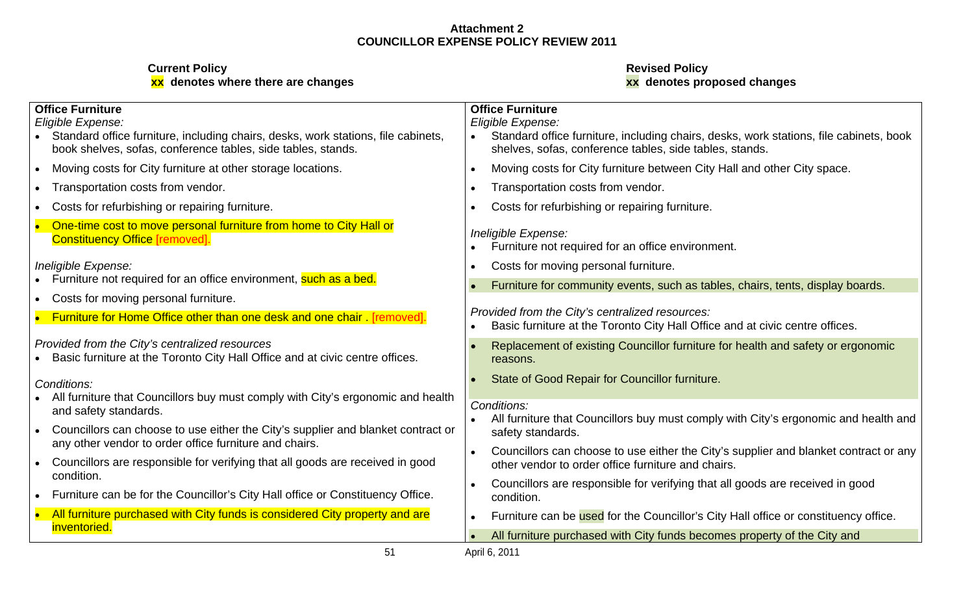# **Current Policy Revised Policy xx denotes where there are changes xx denotes proposed changes**

| <b>Office Furniture</b><br>Eligible Expense:<br>• Standard office furniture, including chairs, desks, work stations, file cabinets, | <b>Office Furniture</b><br>Eligible Expense:<br>• Standard office furniture, including chairs, desks, work stations, file cabinets, book |
|-------------------------------------------------------------------------------------------------------------------------------------|------------------------------------------------------------------------------------------------------------------------------------------|
| book shelves, sofas, conference tables, side tables, stands.                                                                        | shelves, sofas, conference tables, side tables, stands.                                                                                  |
| Moving costs for City furniture at other storage locations.                                                                         | Moving costs for City furniture between City Hall and other City space.                                                                  |
| • Transportation costs from vendor.                                                                                                 | Transportation costs from vendor.                                                                                                        |
| • Costs for refurbishing or repairing furniture.                                                                                    | Costs for refurbishing or repairing furniture.                                                                                           |
| One-time cost to move personal furniture from home to City Hall or<br><b>Constituency Office [removed].</b>                         | Ineligible Expense:<br>• Furniture not required for an office environment.                                                               |
| Ineligible Expense:                                                                                                                 | Costs for moving personal furniture.                                                                                                     |
| • Furniture not required for an office environment, such as a bed.                                                                  | Furniture for community events, such as tables, chairs, tents, display boards.                                                           |
| • Costs for moving personal furniture.<br><b>Furniture for Home Office other than one desk and one chair</b> [removed].             | Provided from the City's centralized resources:<br>Basic furniture at the Toronto City Hall Office and at civic centre offices.          |
| Provided from the City's centralized resources<br>• Basic furniture at the Toronto City Hall Office and at civic centre offices.    | Replacement of existing Councillor furniture for health and safety or ergonomic<br>reasons.                                              |
| Conditions:                                                                                                                         | State of Good Repair for Councillor furniture.                                                                                           |
| • All furniture that Councillors buy must comply with City's ergonomic and health<br>and safety standards.                          | Conditions:                                                                                                                              |
| Councillors can choose to use either the City's supplier and blanket contract or                                                    | • All furniture that Councillors buy must comply with City's ergonomic and health and<br>safety standards.                               |
| any other vendor to order office furniture and chairs.                                                                              | Councillors can choose to use either the City's supplier and blanket contract or any                                                     |
| • Councillors are responsible for verifying that all goods are received in good<br>condition.                                       | other vendor to order office furniture and chairs.                                                                                       |
| Furniture can be for the Councillor's City Hall office or Constituency Office.                                                      | Councillors are responsible for verifying that all goods are received in good<br>condition.                                              |
| All furniture purchased with City funds is considered City property and are                                                         | Furniture can be used for the Councillor's City Hall office or constituency office.                                                      |
| <i>inventoried.</i>                                                                                                                 | • All furniture purchased with City funds becomes property of the City and                                                               |

51 April 6, 2011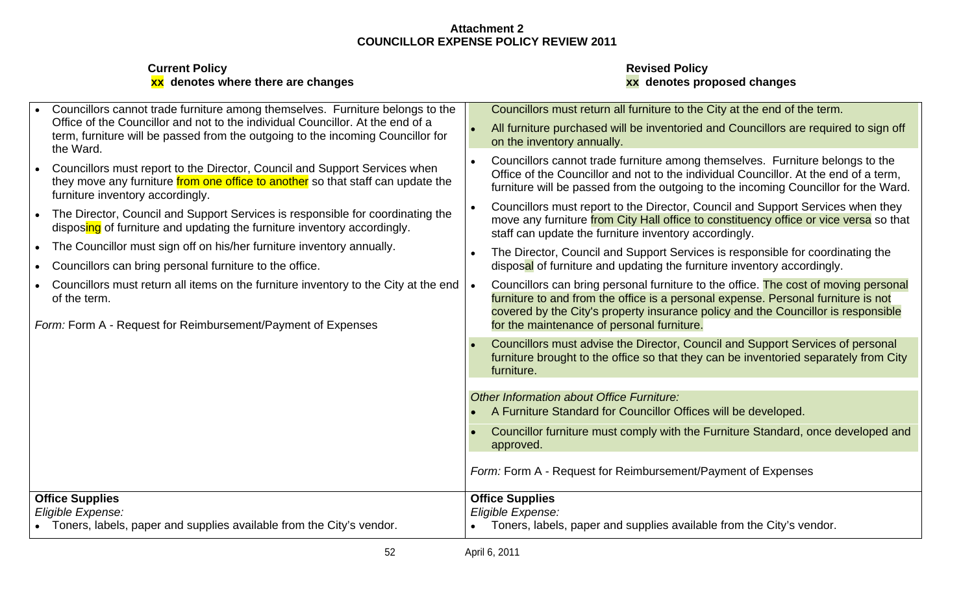| <b>Current Policy</b>                     | <b>Revised Policy</b>   |  |
|-------------------------------------------|-------------------------|--|
| <b>xx</b> denotes where there are changes | enotes proposed changes |  |

# **xx denotes where there are changes xx denotes proposed changes**

| Councillors cannot trade furniture among themselves. Furniture belongs to the                                                                                                                     | Councillors must return all furniture to the City at the end of the term.                                                                                                                                                                                     |
|---------------------------------------------------------------------------------------------------------------------------------------------------------------------------------------------------|---------------------------------------------------------------------------------------------------------------------------------------------------------------------------------------------------------------------------------------------------------------|
| Office of the Councillor and not to the individual Councillor. At the end of a<br>term, furniture will be passed from the outgoing to the incoming Councillor for<br>the Ward.                    | All furniture purchased will be inventoried and Councillors are required to sign off<br>on the inventory annually.                                                                                                                                            |
| Councillors must report to the Director, Council and Support Services when<br>they move any furniture from one office to another so that staff can update the<br>furniture inventory accordingly. | Councillors cannot trade furniture among themselves. Furniture belongs to the<br>Office of the Councillor and not to the individual Councillor. At the end of a term,<br>furniture will be passed from the outgoing to the incoming Councillor for the Ward.  |
| The Director, Council and Support Services is responsible for coordinating the<br>disposing of furniture and updating the furniture inventory accordingly.                                        | Councillors must report to the Director, Council and Support Services when they<br>move any furniture from City Hall office to constituency office or vice versa so that<br>staff can update the furniture inventory accordingly.                             |
| The Councillor must sign off on his/her furniture inventory annually.                                                                                                                             | The Director, Council and Support Services is responsible for coordinating the                                                                                                                                                                                |
| Councillors can bring personal furniture to the office.                                                                                                                                           | disposal of furniture and updating the furniture inventory accordingly.                                                                                                                                                                                       |
| Councillors must return all items on the furniture inventory to the City at the end<br>of the term.                                                                                               | Councillors can bring personal furniture to the office. The cost of moving personal<br>furniture to and from the office is a personal expense. Personal furniture is not<br>covered by the City's property insurance policy and the Councillor is responsible |
| Form: Form A - Request for Reimbursement/Payment of Expenses                                                                                                                                      | for the maintenance of personal furniture.                                                                                                                                                                                                                    |
|                                                                                                                                                                                                   | Councillors must advise the Director, Council and Support Services of personal<br>furniture brought to the office so that they can be inventoried separately from City<br>furniture.                                                                          |
|                                                                                                                                                                                                   | Other Information about Office Furniture:                                                                                                                                                                                                                     |
|                                                                                                                                                                                                   | • A Furniture Standard for Councillor Offices will be developed.                                                                                                                                                                                              |
|                                                                                                                                                                                                   | Councillor furniture must comply with the Furniture Standard, once developed and<br>approved.                                                                                                                                                                 |
|                                                                                                                                                                                                   | Form: Form A - Request for Reimbursement/Payment of Expenses                                                                                                                                                                                                  |
| <b>Office Supplies</b>                                                                                                                                                                            | <b>Office Supplies</b>                                                                                                                                                                                                                                        |
| Eligible Expense:                                                                                                                                                                                 | Eligible Expense:                                                                                                                                                                                                                                             |
| Toners, labels, paper and supplies available from the City's vendor.                                                                                                                              | • Toners, labels, paper and supplies available from the City's vendor.                                                                                                                                                                                        |
| 52                                                                                                                                                                                                | April 6, 2011                                                                                                                                                                                                                                                 |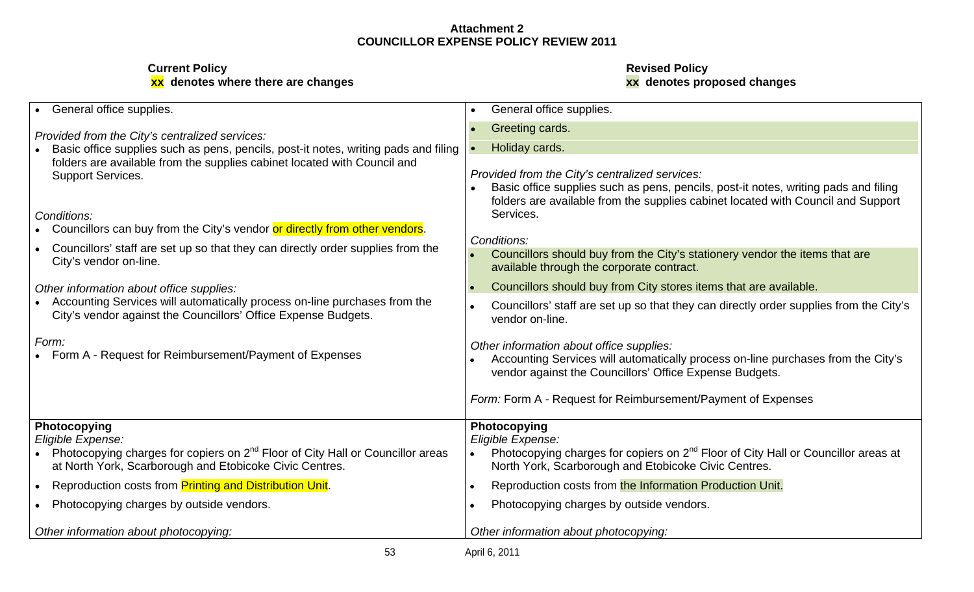| General office supplies.                                                                                                                              | General office supplies.                                                                                                                                                                                                  |
|-------------------------------------------------------------------------------------------------------------------------------------------------------|---------------------------------------------------------------------------------------------------------------------------------------------------------------------------------------------------------------------------|
| Provided from the City's centralized services:<br>Basic office supplies such as pens, pencils, post-it notes, writing pads and filing                 | Greeting cards.<br>Holiday cards.                                                                                                                                                                                         |
| folders are available from the supplies cabinet located with Council and<br><b>Support Services.</b>                                                  | Provided from the City's centralized services:<br>Basic office supplies such as pens, pencils, post-it notes, writing pads and filing<br>folders are available from the supplies cabinet located with Council and Support |
| Conditions:<br>Councillors can buy from the City's vendor or directly from other vendors.                                                             | Services.                                                                                                                                                                                                                 |
| Councillors' staff are set up so that they can directly order supplies from the<br>City's vendor on-line.                                             | Conditions:<br>Councillors should buy from the City's stationery vendor the items that are<br>available through the corporate contract.                                                                                   |
| Other information about office supplies:                                                                                                              | Councillors should buy from City stores items that are available.                                                                                                                                                         |
| Accounting Services will automatically process on-line purchases from the<br>City's vendor against the Councillors' Office Expense Budgets.           | Councillors' staff are set up so that they can directly order supplies from the City's<br>vendor on-line.                                                                                                                 |
| Form:<br>Form A - Request for Reimbursement/Payment of Expenses                                                                                       | Other information about office supplies:<br>Accounting Services will automatically process on-line purchases from the City's<br>vendor against the Councillors' Office Expense Budgets.                                   |
|                                                                                                                                                       | Form: Form A - Request for Reimbursement/Payment of Expenses                                                                                                                                                              |
| <b>Photocopying</b><br>Eligible Expense:                                                                                                              | Photocopying<br>Eligible Expense:                                                                                                                                                                                         |
| Photocopying charges for copiers on 2 <sup>nd</sup> Floor of City Hall or Councillor areas<br>at North York, Scarborough and Etobicoke Civic Centres. | Photocopying charges for copiers on 2 <sup>nd</sup> Floor of City Hall or Councillor areas at<br>North York, Scarborough and Etobicoke Civic Centres.                                                                     |
| Reproduction costs from Printing and Distribution Unit.                                                                                               | Reproduction costs from the Information Production Unit.                                                                                                                                                                  |
| Photocopying charges by outside vendors.                                                                                                              | Photocopying charges by outside vendors.                                                                                                                                                                                  |
| Other information about photocopying:                                                                                                                 | Other information about photocopying:                                                                                                                                                                                     |
| 53                                                                                                                                                    | April 6, 2011                                                                                                                                                                                                             |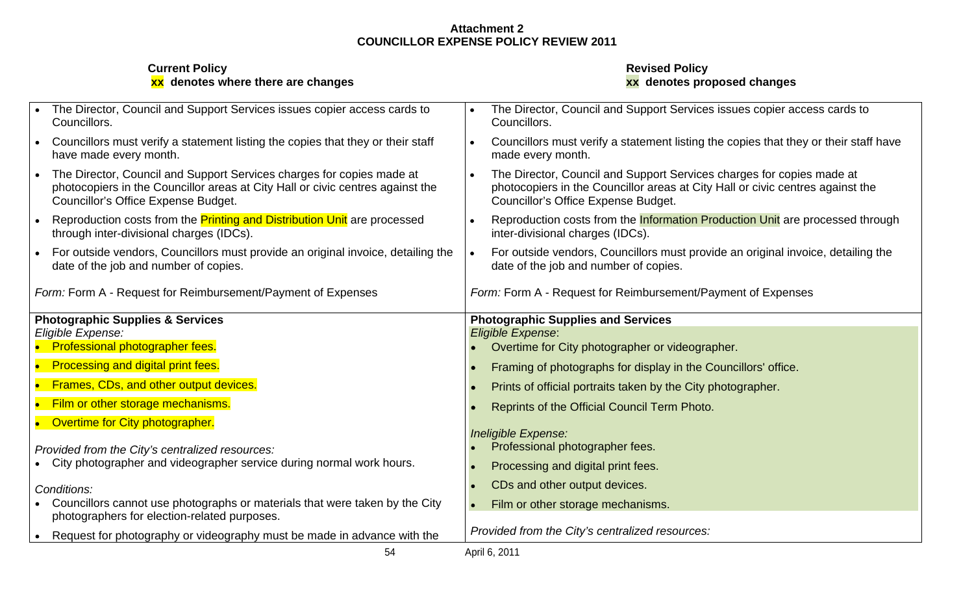| <b>Current Policy</b><br>xx denotes where there are changes                                                                                                                                    | <b>Revised Policy</b><br>xx denotes proposed changes                                                                                                                                           |
|------------------------------------------------------------------------------------------------------------------------------------------------------------------------------------------------|------------------------------------------------------------------------------------------------------------------------------------------------------------------------------------------------|
| The Director, Council and Support Services issues copier access cards to<br>Councillors.                                                                                                       | The Director, Council and Support Services issues copier access cards to<br>Councillors.                                                                                                       |
| Councillors must verify a statement listing the copies that they or their staff<br>have made every month.                                                                                      | Councillors must verify a statement listing the copies that they or their staff have<br>made every month                                                                                       |
| The Director, Council and Support Services charges for copies made at<br>photocopiers in the Councillor areas at City Hall or civic centres against the<br>Councillor's Office Expense Budget. | The Director, Council and Support Services charges for copies made at<br>photocopiers in the Councillor areas at City Hall or civic centres against the<br>Councillor's Office Expense Budget. |
| Reproduction costs from the <b>Printing and Distribution Unit</b> are processed<br>through inter-divisional charges (IDCs).                                                                    | Reproduction costs from the Information Production Unit are processed through<br>inter-divisional charges (IDCs).                                                                              |
| For outside vendors, Councillors must provide an original invoice, detailing the<br>date of the job and number of copies.                                                                      | For outside vendors, Councillors must provide an original invoice, detailing the<br>date of the job and number of copies.                                                                      |
| Form: Form A - Request for Reimbursement/Payment of Expenses                                                                                                                                   | Form: Form A - Request for Reimbursement/Payment of Expenses                                                                                                                                   |
| <b>Photographic Supplies &amp; Services</b><br>Eligible Expense:                                                                                                                               | <b>Photographic Supplies and Services</b><br>Eligible Expense:                                                                                                                                 |
| <b>Professional photographer fees.</b>                                                                                                                                                         | Overtime for City photographer or videographer.                                                                                                                                                |
| <b>Processing and digital print fees.</b>                                                                                                                                                      | Framing of photographs for display in the Councillors' office.                                                                                                                                 |
| <b>Frames, CDs, and other output devices.</b>                                                                                                                                                  | Prints of official portraits taken by the City photographer.                                                                                                                                   |
| Film or other storage mechanisms.                                                                                                                                                              | Reprints of the Official Council Term Photo.                                                                                                                                                   |
| Overtime for City photographer.                                                                                                                                                                |                                                                                                                                                                                                |
| Provided from the City's centralized resources:                                                                                                                                                | Ineligible Expense:<br>Professional photographer fees.                                                                                                                                         |
| City photographer and videographer service during normal work hours.                                                                                                                           | Processing and digital print fees.                                                                                                                                                             |
| Conditions:                                                                                                                                                                                    | CDs and other output devices.                                                                                                                                                                  |
| Councillors cannot use photographs or materials that were taken by the City<br>photographers for election-related purposes.                                                                    | Film or other storage mechanisms.                                                                                                                                                              |
| Request for photography or videography must be made in advance with the                                                                                                                        | Provided from the City's centralized resources:                                                                                                                                                |
| -54                                                                                                                                                                                            | April 6, 2011                                                                                                                                                                                  |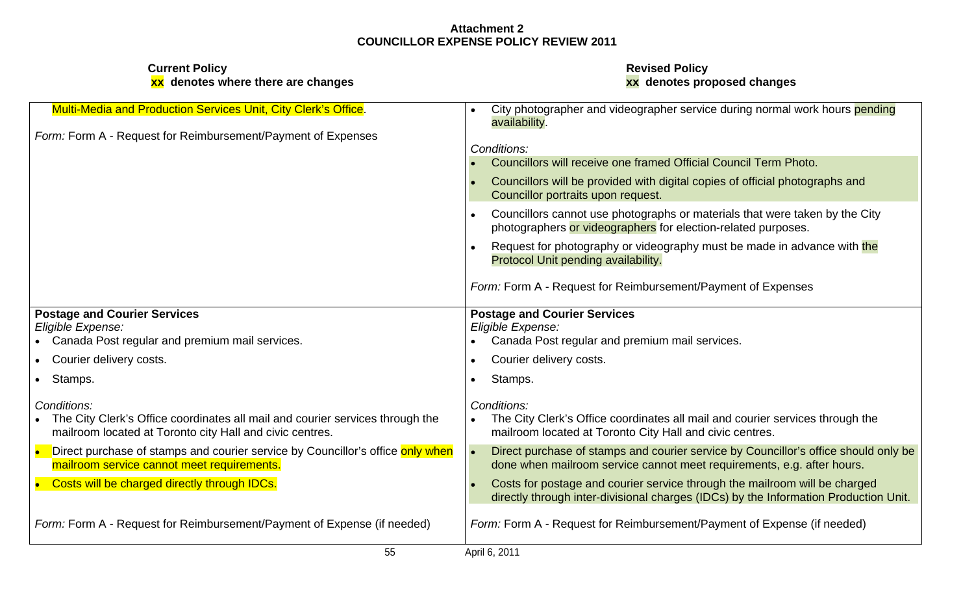| <b>Multi-Media and Production Services Unit, City Clerk's Office</b>                                                                      | City photographer and videographer service during normal work hours pending<br>availability.                                                                       |
|-------------------------------------------------------------------------------------------------------------------------------------------|--------------------------------------------------------------------------------------------------------------------------------------------------------------------|
| Form: Form A - Request for Reimbursement/Payment of Expenses                                                                              |                                                                                                                                                                    |
|                                                                                                                                           | Conditions:                                                                                                                                                        |
|                                                                                                                                           | Councillors will receive one framed Official Council Term Photo.                                                                                                   |
|                                                                                                                                           | Councillors will be provided with digital copies of official photographs and<br>Councillor portraits upon request.                                                 |
|                                                                                                                                           | Councillors cannot use photographs or materials that were taken by the City<br>photographers or videographers for election-related purposes.                       |
|                                                                                                                                           | Request for photography or videography must be made in advance with the<br>Protocol Unit pending availability.                                                     |
|                                                                                                                                           | Form: Form A - Request for Reimbursement/Payment of Expenses                                                                                                       |
| <b>Postage and Courier Services</b>                                                                                                       | <b>Postage and Courier Services</b>                                                                                                                                |
| Eligible Expense:                                                                                                                         | Eligible Expense:                                                                                                                                                  |
| Canada Post regular and premium mail services.                                                                                            | Canada Post regular and premium mail services.                                                                                                                     |
| Courier delivery costs.                                                                                                                   | Courier delivery costs.                                                                                                                                            |
| Stamps.                                                                                                                                   | Stamps.                                                                                                                                                            |
| Conditions:                                                                                                                               | Conditions:                                                                                                                                                        |
| The City Clerk's Office coordinates all mail and courier services through the<br>mailroom located at Toronto city Hall and civic centres. | The City Clerk's Office coordinates all mail and courier services through the<br>mailroom located at Toronto City Hall and civic centres.                          |
| Direct purchase of stamps and courier service by Councillor's office only when<br>mailroom service cannot meet requirements.              | Direct purchase of stamps and courier service by Councillor's office should only be<br>done when mailroom service cannot meet requirements, e.g. after hours.      |
| Costs will be charged directly through IDCs.                                                                                              | Costs for postage and courier service through the mailroom will be charged<br>directly through inter-divisional charges (IDCs) by the Information Production Unit. |
| Form: Form A - Request for Reimbursement/Payment of Expense (if needed)                                                                   | Form: Form A - Request for Reimbursement/Payment of Expense (if needed)                                                                                            |
| 55                                                                                                                                        | April 6, 2011                                                                                                                                                      |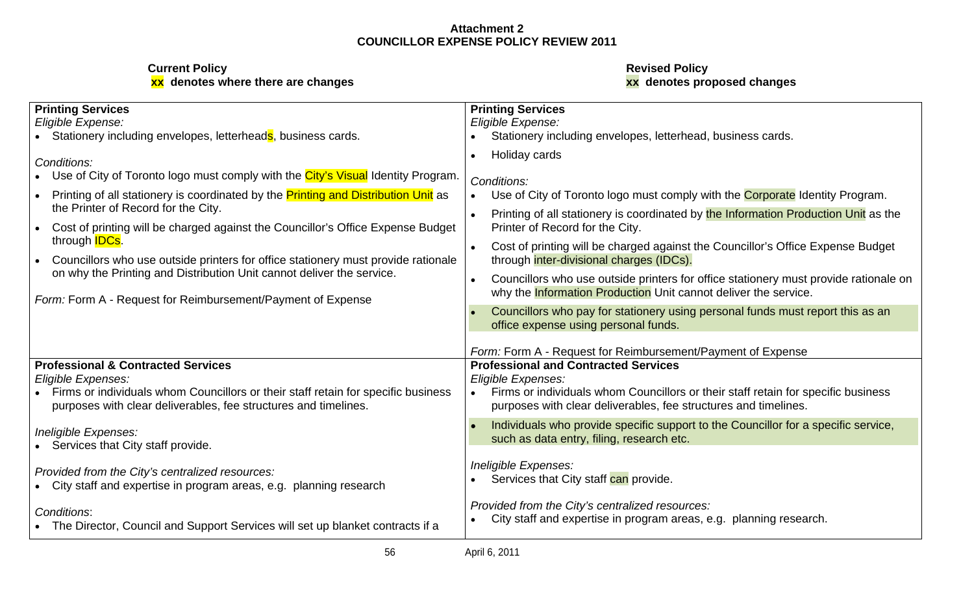| <b>Printing Services</b>                                                                                                                             | <b>Printing Services</b>                                                                                                                                                   |
|------------------------------------------------------------------------------------------------------------------------------------------------------|----------------------------------------------------------------------------------------------------------------------------------------------------------------------------|
| Eligible Expense:                                                                                                                                    | Eligible Expense:                                                                                                                                                          |
| Stationery including envelopes, letterheads, business cards.                                                                                         | Stationery including envelopes, letterhead, business cards.                                                                                                                |
| Conditions:<br>Use of City of Toronto logo must comply with the City's Visual Identity Program.                                                      | • Holiday cards<br>Conditions:                                                                                                                                             |
| Printing of all stationery is coordinated by the Printing and Distribution Unit as<br>the Printer of Record for the City.                            | Use of City of Toronto logo must comply with the <b>Corporate</b> Identity Program.<br>Printing of all stationery is coordinated by the Information Production Unit as the |
| Cost of printing will be charged against the Councillor's Office Expense Budget                                                                      | Printer of Record for the City.                                                                                                                                            |
| through <b>IDCs</b> .<br>Councillors who use outside printers for office stationery must provide rationale                                           | Cost of printing will be charged against the Councillor's Office Expense Budget<br>through inter-divisional charges (IDCs).                                                |
| on why the Printing and Distribution Unit cannot deliver the service.                                                                                | Councillors who use outside printers for office stationery must provide rationale on                                                                                       |
| Form: Form A - Request for Reimbursement/Payment of Expense                                                                                          | why the <b>Information Production</b> Unit cannot deliver the service.                                                                                                     |
|                                                                                                                                                      | Councillors who pay for stationery using personal funds must report this as an<br>office expense using personal funds.                                                     |
| <b>Professional &amp; Contracted Services</b>                                                                                                        | Form: Form A - Request for Reimbursement/Payment of Expense<br><b>Professional and Contracted Services</b>                                                                 |
| Eligible Expenses:                                                                                                                                   | Eligible Expenses:                                                                                                                                                         |
| Firms or individuals whom Councillors or their staff retain for specific business<br>purposes with clear deliverables, fee structures and timelines. | Firms or individuals whom Councillors or their staff retain for specific business<br>purposes with clear deliverables, fee structures and timelines.                       |
| Ineligible Expenses:<br>Services that City staff provide.                                                                                            | Individuals who provide specific support to the Councillor for a specific service,<br>such as data entry, filing, research etc.                                            |
| Provided from the City's centralized resources:<br>• City staff and expertise in program areas, e.g. planning research                               | Ineligible Expenses:<br>• Services that City staff can provide.                                                                                                            |
| Conditions:<br>• The Director, Council and Support Services will set up blanket contracts if a                                                       | Provided from the City's centralized resources:<br>• City staff and expertise in program areas, e.g. planning research.                                                    |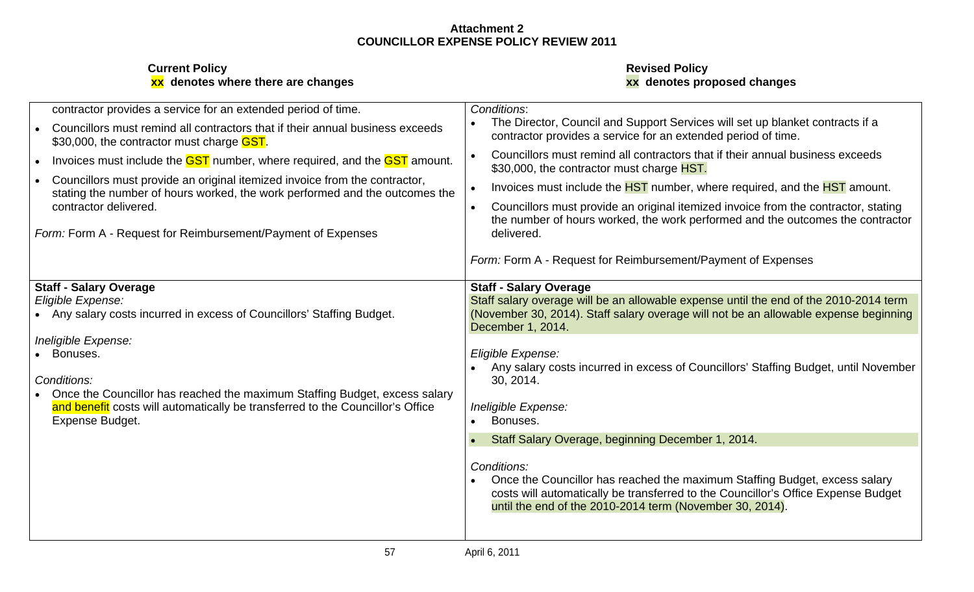| contractor provides a service for an extended period of time.                                                                                             | Conditions:                                                                                                                                                          |
|-----------------------------------------------------------------------------------------------------------------------------------------------------------|----------------------------------------------------------------------------------------------------------------------------------------------------------------------|
| Councillors must remind all contractors that if their annual business exceeds<br>\$30,000, the contractor must charge <b>GST</b> .                        | The Director, Council and Support Services will set up blanket contracts if a<br>contractor provides a service for an extended period of time.                       |
| Invoices must include the <b>GST</b> number, where required, and the <b>GST</b> amount.                                                                   | Councillors must remind all contractors that if their annual business exceeds<br>\$30,000, the contractor must charge HST.                                           |
| Councillors must provide an original itemized invoice from the contractor,<br>stating the number of hours worked, the work performed and the outcomes the | Invoices must include the <b>HST</b> number, where required, and the <b>HST</b> amount.                                                                              |
| contractor delivered.                                                                                                                                     | Councillors must provide an original itemized invoice from the contractor, stating<br>the number of hours worked, the work performed and the outcomes the contractor |
| Form: Form A - Request for Reimbursement/Payment of Expenses                                                                                              | delivered.                                                                                                                                                           |
|                                                                                                                                                           | Form: Form A - Request for Reimbursement/Payment of Expenses                                                                                                         |
| <b>Staff - Salary Overage</b>                                                                                                                             | <b>Staff - Salary Overage</b>                                                                                                                                        |
| Eligible Expense:                                                                                                                                         | Staff salary overage will be an allowable expense until the end of the 2010-2014 term                                                                                |
| • Any salary costs incurred in excess of Councillors' Staffing Budget.                                                                                    | (November 30, 2014). Staff salary overage will not be an allowable expense beginning<br>December 1, 2014.                                                            |
| Ineligible Expense:                                                                                                                                       |                                                                                                                                                                      |
| Bonuses.                                                                                                                                                  | Eligible Expense:<br>Any salary costs incurred in excess of Councillors' Staffing Budget, until November                                                             |
| Conditions:                                                                                                                                               | 30, 2014.                                                                                                                                                            |
| Once the Councillor has reached the maximum Staffing Budget, excess salary                                                                                |                                                                                                                                                                      |
| and benefit costs will automatically be transferred to the Councillor's Office                                                                            | Ineligible Expense:                                                                                                                                                  |
| Expense Budget.                                                                                                                                           | Bonuses.                                                                                                                                                             |
|                                                                                                                                                           | Staff Salary Overage, beginning December 1, 2014.                                                                                                                    |
|                                                                                                                                                           | Conditions:                                                                                                                                                          |
|                                                                                                                                                           | Once the Councillor has reached the maximum Staffing Budget, excess salary                                                                                           |
|                                                                                                                                                           | costs will automatically be transferred to the Councillor's Office Expense Budget                                                                                    |
|                                                                                                                                                           | until the end of the 2010-2014 term (November 30, 2014).                                                                                                             |
|                                                                                                                                                           |                                                                                                                                                                      |
|                                                                                                                                                           |                                                                                                                                                                      |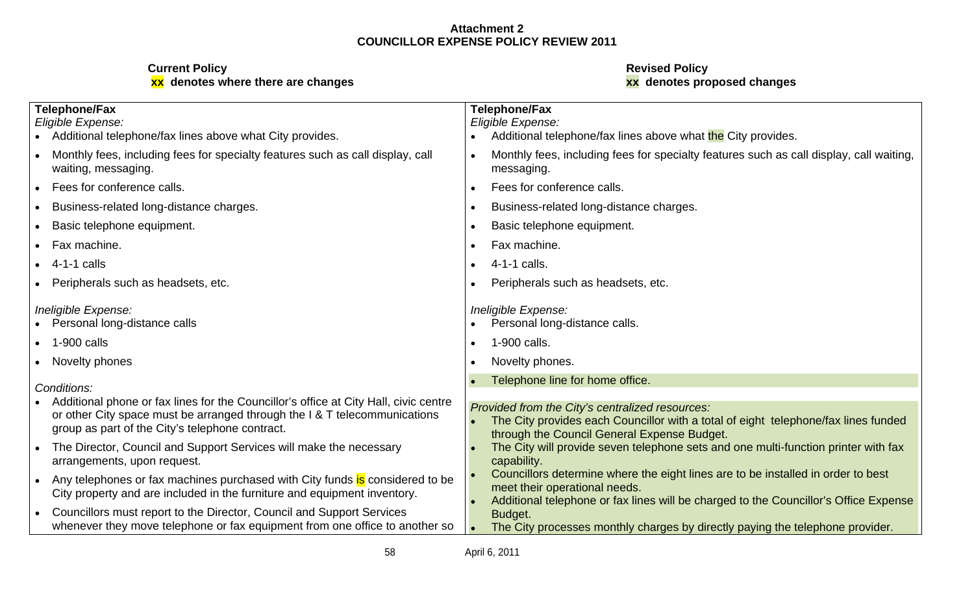| <b>Telephone/Fax</b><br>Eligible Expense:<br>Additional telephone/fax lines above what City provides.                                                                                                                | <b>Telephone/Fax</b><br>Eligible Expense:<br>Additional telephone/fax lines above what the City provides.                                                                                                 |
|----------------------------------------------------------------------------------------------------------------------------------------------------------------------------------------------------------------------|-----------------------------------------------------------------------------------------------------------------------------------------------------------------------------------------------------------|
| Monthly fees, including fees for specialty features such as call display, call<br>waiting, messaging.                                                                                                                | Monthly fees, including fees for specialty features such as call display, call waiting,<br>messaging.                                                                                                     |
| Fees for conference calls.                                                                                                                                                                                           | Fees for conference calls.                                                                                                                                                                                |
| Business-related long-distance charges.                                                                                                                                                                              | Business-related long-distance charges.                                                                                                                                                                   |
| Basic telephone equipment.                                                                                                                                                                                           | Basic telephone equipment.                                                                                                                                                                                |
| Fax machine.                                                                                                                                                                                                         | Fax machine.                                                                                                                                                                                              |
| 4-1-1 calls                                                                                                                                                                                                          | 4-1-1 calls.                                                                                                                                                                                              |
| Peripherals such as headsets, etc.                                                                                                                                                                                   | Peripherals such as headsets, etc.                                                                                                                                                                        |
| Ineligible Expense:<br>Personal long-distance calls                                                                                                                                                                  | Ineligible Expense:<br>Personal long-distance calls.                                                                                                                                                      |
| 1-900 calls                                                                                                                                                                                                          | 1-900 calls.                                                                                                                                                                                              |
| Novelty phones                                                                                                                                                                                                       | Novelty phones.                                                                                                                                                                                           |
| Conditions:                                                                                                                                                                                                          | Telephone line for home office.                                                                                                                                                                           |
| Additional phone or fax lines for the Councillor's office at City Hall, civic centre<br>or other City space must be arranged through the I & T telecommunications<br>group as part of the City's telephone contract. | Provided from the City's centralized resources:<br>The City provides each Councillor with a total of eight telephone/fax lines funded<br>through the Council General Expense Budget.                      |
| The Director, Council and Support Services will make the necessary<br>arrangements, upon request.                                                                                                                    | The City will provide seven telephone sets and one multi-function printer with fax<br>capability                                                                                                          |
| Any telephones or fax machines purchased with City funds is considered to be<br>City property and are included in the furniture and equipment inventory.                                                             | Councillors determine where the eight lines are to be installed in order to best<br>meet their operational needs.<br>Additional telephone or fax lines will be charged to the Councillor's Office Expense |
| Councillors must report to the Director, Council and Support Services<br>whenever they move telephone or fax equipment from one office to another so                                                                 | <b>Budget</b><br>The City processes monthly charges by directly paying the telephone provider.                                                                                                            |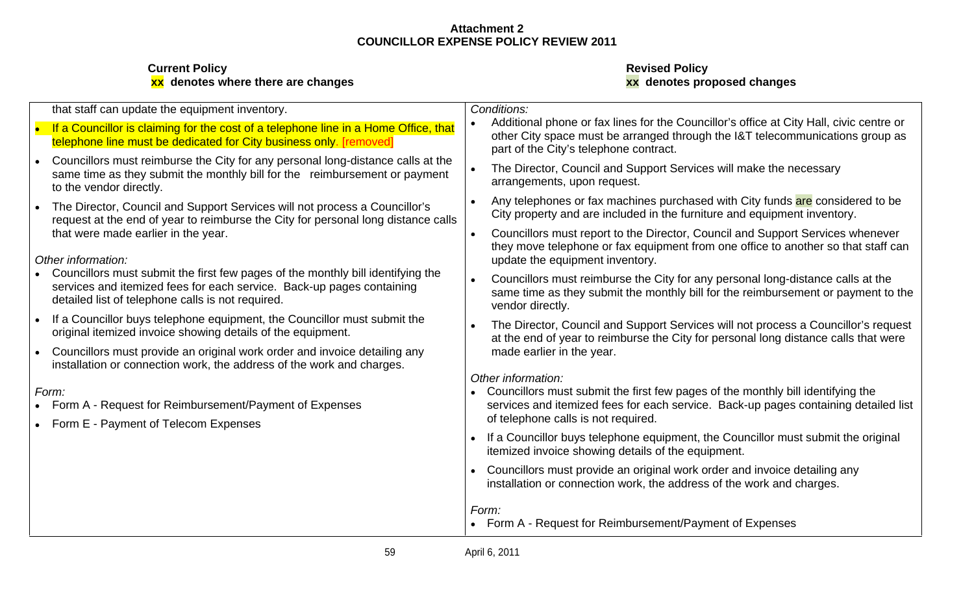| Conditions:                                                                                                                                                                                                                                                                                               |
|-----------------------------------------------------------------------------------------------------------------------------------------------------------------------------------------------------------------------------------------------------------------------------------------------------------|
| Additional phone or fax lines for the Councillor's office at City Hall, civic centre or<br>If a Councillor is claiming for the cost of a telephone line in a Home Office, that<br>other City space must be arranged through the I&T telecommunications group as<br>part of the City's telephone contract. |
| Councillors must reimburse the City for any personal long-distance calls at the<br>The Director, Council and Support Services will make the necessary<br>arrangements, upon request.                                                                                                                      |
| Any telephones or fax machines purchased with City funds are considered to be<br>City property and are included in the furniture and equipment inventory.<br>request at the end of year to reimburse the City for personal long distance calls                                                            |
| Councillors must report to the Director, Council and Support Services whenever<br>they move telephone or fax equipment from one office to another so that staff can                                                                                                                                       |
| update the equipment inventory                                                                                                                                                                                                                                                                            |
| Councillors must reimburse the City for any personal long-distance calls at the<br>same time as they submit the monthly bill for the reimbursement or payment to the<br>vendor directly.                                                                                                                  |
| • The Director, Council and Support Services will not process a Councillor's request<br>at the end of year to reimburse the City for personal long distance calls that were                                                                                                                               |
| made earlier in the year.                                                                                                                                                                                                                                                                                 |
| Other information:                                                                                                                                                                                                                                                                                        |
| • Councillors must submit the first few pages of the monthly bill identifying the<br>services and itemized fees for each service. Back-up pages containing detailed list                                                                                                                                  |
| of telephone calls is not required.                                                                                                                                                                                                                                                                       |
| • If a Councillor buys telephone equipment, the Councillor must submit the original<br>itemized invoice showing details of the equipment                                                                                                                                                                  |
| • Councillors must provide an original work order and invoice detailing any<br>installation or connection work, the address of the work and charges.                                                                                                                                                      |
| Form:                                                                                                                                                                                                                                                                                                     |
| same time as they submit the monthly bill for the reimbursement or payment                                                                                                                                                                                                                                |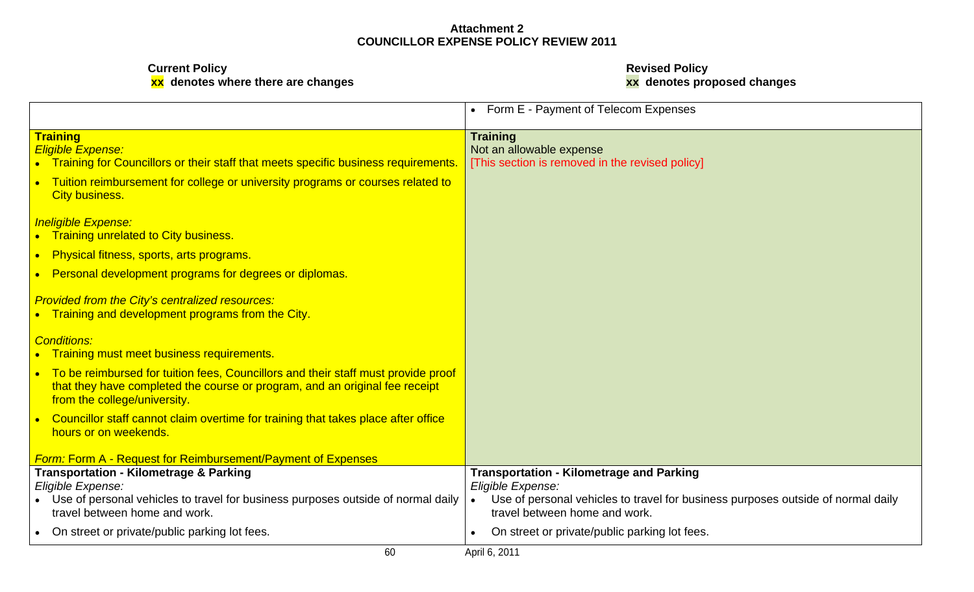**xx denotes where there are changes xx denotes proposed changes**

**Current Policy Revised Policy**

|                                                                                                                                                                                                  | • Form E - Payment of Telecom Expenses                                                                                                                                                    |
|--------------------------------------------------------------------------------------------------------------------------------------------------------------------------------------------------|-------------------------------------------------------------------------------------------------------------------------------------------------------------------------------------------|
| <b>Training</b><br><b>Eligible Expense:</b><br>• Training for Councillors or their staff that meets specific business requirements.   [This section is removed in the revised policy]            | <b>Training</b><br>Not an allowable expense                                                                                                                                               |
| Tuition reimbursement for college or university programs or courses related to<br>City business.                                                                                                 |                                                                                                                                                                                           |
| <b>Ineligible Expense:</b><br>• Training unrelated to City business.                                                                                                                             |                                                                                                                                                                                           |
| • Physical fitness, sports, arts programs.<br>Personal development programs for degrees or diplomas.                                                                                             |                                                                                                                                                                                           |
| <b>Provided from the City's centralized resources:</b><br>• Training and development programs from the City.                                                                                     |                                                                                                                                                                                           |
| <b>Conditions:</b><br>Training must meet business requirements.                                                                                                                                  |                                                                                                                                                                                           |
| To be reimbursed for tuition fees, Councillors and their staff must provide proof<br>that they have completed the course or program, and an original fee receipt<br>from the college/university. |                                                                                                                                                                                           |
| Councillor staff cannot claim overtime for training that takes place after office<br>hours or on weekends.                                                                                       |                                                                                                                                                                                           |
| <b>Form: Form A - Request for Reimbursement/Payment of Expenses</b>                                                                                                                              |                                                                                                                                                                                           |
| <b>Transportation - Kilometrage &amp; Parking</b><br>Eligible Expense:<br>Use of personal vehicles to travel for business purposes outside of normal daily<br>travel between home and work.      | <b>Transportation - Kilometrage and Parking</b><br>Eligible Expense:<br>Use of personal vehicles to travel for business purposes outside of normal daily<br>travel between home and work. |
| On street or private/public parking lot fees.                                                                                                                                                    | On street or private/public parking lot fees.                                                                                                                                             |
| 60                                                                                                                                                                                               | April 6, 2011                                                                                                                                                                             |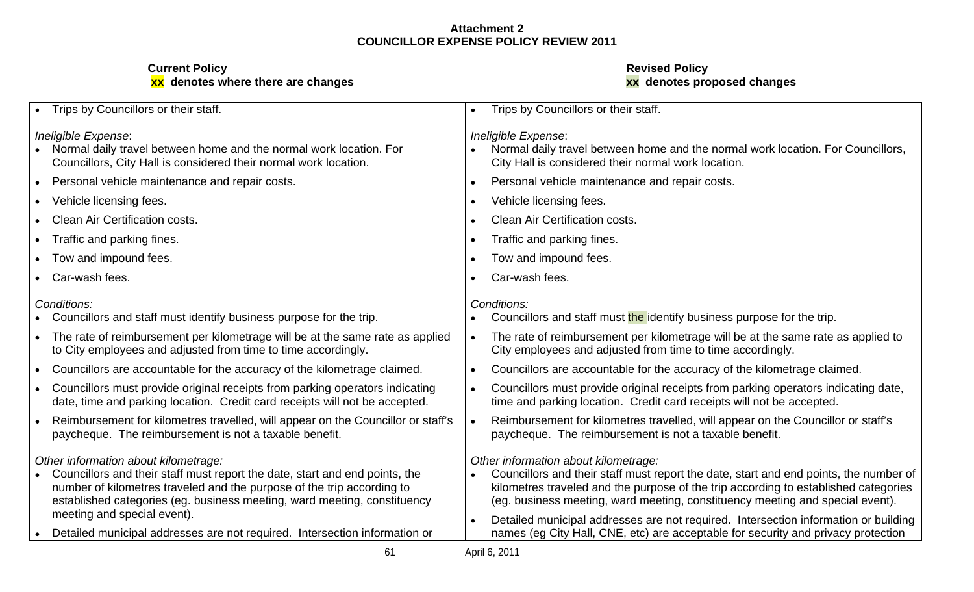| • Trips by Councillors or their staff                                                                                                                                                                                                                                                                    | • Trips by Councillors or their staff                                                                                                                                                                                                                                                                 |
|----------------------------------------------------------------------------------------------------------------------------------------------------------------------------------------------------------------------------------------------------------------------------------------------------------|-------------------------------------------------------------------------------------------------------------------------------------------------------------------------------------------------------------------------------------------------------------------------------------------------------|
| Ineligible Expense:<br>• Normal daily travel between home and the normal work location. For<br>Councillors, City Hall is considered their normal work location.                                                                                                                                          | Ineligible Expense:<br>• Normal daily travel between home and the normal work location. For Councillors,<br>City Hall is considered their normal work location.                                                                                                                                       |
| Personal vehicle maintenance and repair costs.                                                                                                                                                                                                                                                           | Personal vehicle maintenance and repair costs.                                                                                                                                                                                                                                                        |
| • Vehicle licensing fees.                                                                                                                                                                                                                                                                                | Vehicle licensing fees.                                                                                                                                                                                                                                                                               |
| • Clean Air Certification costs.                                                                                                                                                                                                                                                                         | Clean Air Certification costs.                                                                                                                                                                                                                                                                        |
| • Traffic and parking fines                                                                                                                                                                                                                                                                              | Traffic and parking fines.                                                                                                                                                                                                                                                                            |
| • Tow and impound fees.                                                                                                                                                                                                                                                                                  | Tow and impound fees.                                                                                                                                                                                                                                                                                 |
| • Car-wash fees.                                                                                                                                                                                                                                                                                         | Car-wash fees.                                                                                                                                                                                                                                                                                        |
| Conditions:<br>Councillors and staff must identify business purpose for the trip.                                                                                                                                                                                                                        | Conditions:<br>• Councillors and staff must the identify business purpose for the trip.                                                                                                                                                                                                               |
| • The rate of reimbursement per kilometrage will be at the same rate as applied<br>to City employees and adjusted from time to time accordingly.                                                                                                                                                         | The rate of reimbursement per kilometrage will be at the same rate as applied to<br>City employees and adjusted from time to time accordingly.                                                                                                                                                        |
| Councillors are accountable for the accuracy of the kilometrage claimed.                                                                                                                                                                                                                                 | Councillors are accountable for the accuracy of the kilometrage claimed.                                                                                                                                                                                                                              |
| Councillors must provide original receipts from parking operators indicating<br>date, time and parking location. Credit card receipts will not be accepted.                                                                                                                                              | Councillors must provide original receipts from parking operators indicating date,<br>time and parking location. Credit card receipts will not be accepted.                                                                                                                                           |
| Reimbursement for kilometres travelled, will appear on the Councillor or staff's<br>paycheque. The reimbursement is not a taxable benefit.                                                                                                                                                               | Reimbursement for kilometres travelled, will appear on the Councillor or staff's<br>paycheque. The reimbursement is not a taxable benefit.                                                                                                                                                            |
| Other information about kilometrage:<br>Councillors and their staff must report the date, start and end points, the<br>number of kilometres traveled and the purpose of the trip according to<br>established categories (eg. business meeting, ward meeting, constituency<br>meeting and special event). | Other information about kilometrage:<br>Councillors and their staff must report the date, start and end points, the number of<br>kilometres traveled and the purpose of the trip according to established categories<br>(eg. business meeting, ward meeting, constituency meeting and special event). |
| • Detailed municipal addresses are not required. Intersection information or                                                                                                                                                                                                                             | Detailed municipal addresses are not required. Intersection information or building<br>names (eg City Hall, CNE, etc) are acceptable for security and privacy protection                                                                                                                              |
|                                                                                                                                                                                                                                                                                                          | April 6, 2011                                                                                                                                                                                                                                                                                         |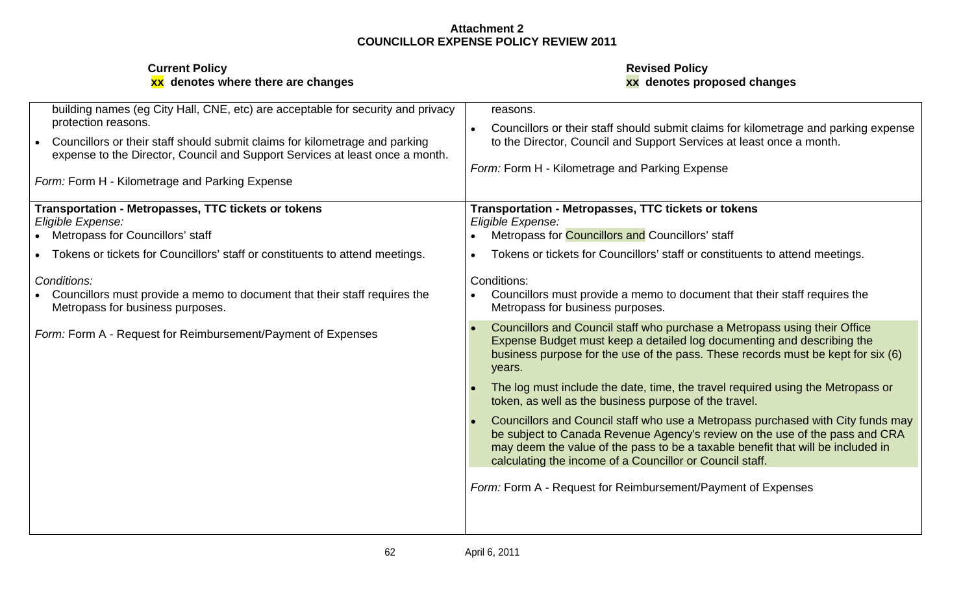| building names (eg City Hall, CNE, etc) are acceptable for security and privacy                                                                             | reasons.                                                                                                                                                                                                                                                                                                      |
|-------------------------------------------------------------------------------------------------------------------------------------------------------------|---------------------------------------------------------------------------------------------------------------------------------------------------------------------------------------------------------------------------------------------------------------------------------------------------------------|
| protection reasons.                                                                                                                                         | • Councillors or their staff should submit claims for kilometrage and parking expense                                                                                                                                                                                                                         |
| Councillors or their staff should submit claims for kilometrage and parking<br>expense to the Director, Council and Support Services at least once a month. | to the Director, Council and Support Services at least once a month.                                                                                                                                                                                                                                          |
|                                                                                                                                                             | Form: Form H - Kilometrage and Parking Expense                                                                                                                                                                                                                                                                |
| Form: Form H - Kilometrage and Parking Expense                                                                                                              |                                                                                                                                                                                                                                                                                                               |
| Transportation - Metropasses, TTC tickets or tokens                                                                                                         | Transportation - Metropasses, TTC tickets or tokens                                                                                                                                                                                                                                                           |
| Eligible Expense:                                                                                                                                           | Eligible Expense:                                                                                                                                                                                                                                                                                             |
| • Metropass for Councillors' staff                                                                                                                          | • Metropass for <b>Councillors and Councillors' staff</b>                                                                                                                                                                                                                                                     |
| Tokens or tickets for Councillors' staff or constituents to attend meetings.                                                                                | • Tokens or tickets for Councillors' staff or constituents to attend meetings.                                                                                                                                                                                                                                |
| Conditions:                                                                                                                                                 | Conditions:                                                                                                                                                                                                                                                                                                   |
| Councillors must provide a memo to document that their staff requires the<br>Metropass for business purposes.                                               | • Councillors must provide a memo to document that their staff requires the<br>Metropass for business purposes.                                                                                                                                                                                               |
| Form: Form A - Request for Reimbursement/Payment of Expenses                                                                                                | Councillors and Council staff who purchase a Metropass using their Office<br>Expense Budget must keep a detailed log documenting and describing the<br>business purpose for the use of the pass. These records must be kept for six (6)<br>years.                                                             |
|                                                                                                                                                             | The log must include the date, time, the travel required using the Metropass or<br>token, as well as the business purpose of the travel.                                                                                                                                                                      |
|                                                                                                                                                             | Councillors and Council staff who use a Metropass purchased with City funds may<br>be subject to Canada Revenue Agency's review on the use of the pass and CRA<br>may deem the value of the pass to be a taxable benefit that will be included in<br>calculating the income of a Councillor or Council staff. |
|                                                                                                                                                             | Form: Form A - Request for Reimbursement/Payment of Expenses                                                                                                                                                                                                                                                  |
|                                                                                                                                                             |                                                                                                                                                                                                                                                                                                               |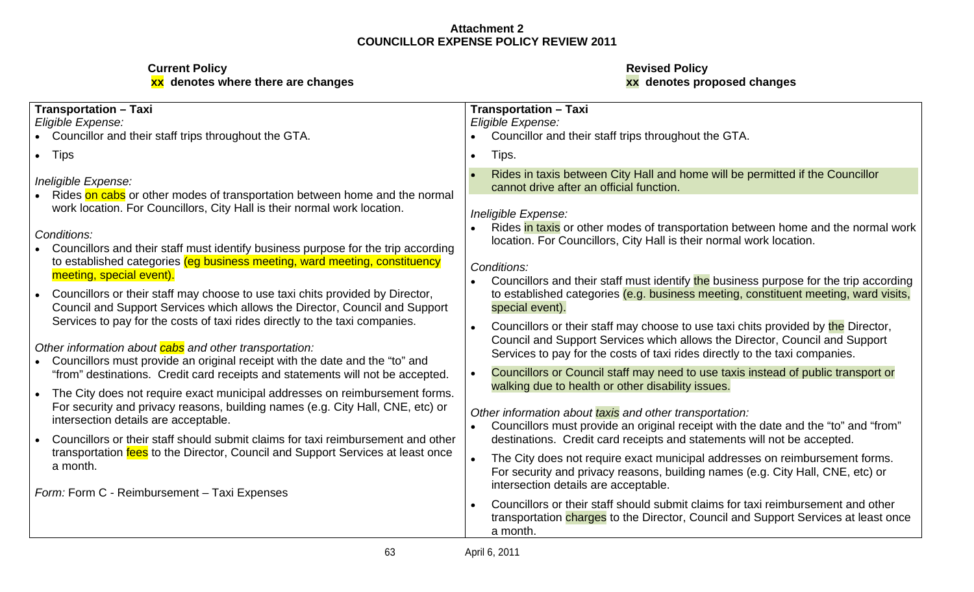**xx denotes where there are changes xx denotes proposed changes**

# **Current Policy Revised Policy**

| <b>Transportation - Taxi</b><br>Eligible Expense:                                                                                                                   | <b>Transportation - Taxi</b><br>Eligible Expense:                                                                                                                                                                                               |
|---------------------------------------------------------------------------------------------------------------------------------------------------------------------|-------------------------------------------------------------------------------------------------------------------------------------------------------------------------------------------------------------------------------------------------|
| Councillor and their staff trips throughout the GTA.                                                                                                                | • Councillor and their staff trips throughout the GTA.                                                                                                                                                                                          |
| $\bullet$ Tips                                                                                                                                                      | Tips.                                                                                                                                                                                                                                           |
| Ineligible Expense:<br>Rides on cabs or other modes of transportation between home and the normal                                                                   | Rides in taxis between City Hall and home will be permitted if the Councillor<br>cannot drive after an official function.                                                                                                                       |
| work location. For Councillors, City Hall is their normal work location.                                                                                            | Ineligible Expense:                                                                                                                                                                                                                             |
| Conditions:<br>Councillors and their staff must identify business purpose for the trip according                                                                    | • Rides in taxis or other modes of transportation between home and the normal work<br>location. For Councillors, City Hall is their normal work location.                                                                                       |
| to established categories (eg business meeting, ward meeting, constituency<br>meeting, special event).                                                              | Conditions:<br>Councillors and their staff must identify the business purpose for the trip according                                                                                                                                            |
| Councillors or their staff may choose to use taxi chits provided by Director,<br>Council and Support Services which allows the Director, Council and Support        | to established categories (e.g. business meeting, constituent meeting, ward visits,<br>special event).                                                                                                                                          |
| Services to pay for the costs of taxi rides directly to the taxi companies.<br>Other information about <b>cabs</b> and other transportation:                        | Councillors or their staff may choose to use taxi chits provided by the Director,<br>Council and Support Services which allows the Director, Council and Support<br>Services to pay for the costs of taxi rides directly to the taxi companies. |
| Councillors must provide an original receipt with the date and the "to" and<br>"from" destinations. Credit card receipts and statements will not be accepted.       | Councillors or Council staff may need to use taxis instead of public transport or<br>walking due to health or other disability issues.                                                                                                          |
| The City does not require exact municipal addresses on reimbursement forms.                                                                                         |                                                                                                                                                                                                                                                 |
| For security and privacy reasons, building names (e.g. City Hall, CNE, etc) or<br>intersection details are acceptable.                                              | Other information about taxis and other transportation:<br>Councillors must provide an original receipt with the date and the "to" and "from"                                                                                                   |
| Councillors or their staff should submit claims for taxi reimbursement and other<br>transportation fees to the Director, Council and Support Services at least once | destinations. Credit card receipts and statements will not be accepted.                                                                                                                                                                         |
| a month.                                                                                                                                                            | The City does not require exact municipal addresses on reimbursement forms.<br>For security and privacy reasons, building names (e.g. City Hall, CNE, etc) or<br>intersection details are acceptable.                                           |
| Form: Form C - Reimbursement - Taxi Expenses                                                                                                                        | Councillors or their staff should submit claims for taxi reimbursement and other                                                                                                                                                                |
|                                                                                                                                                                     | transportation charges to the Director, Council and Support Services at least once<br>a month.                                                                                                                                                  |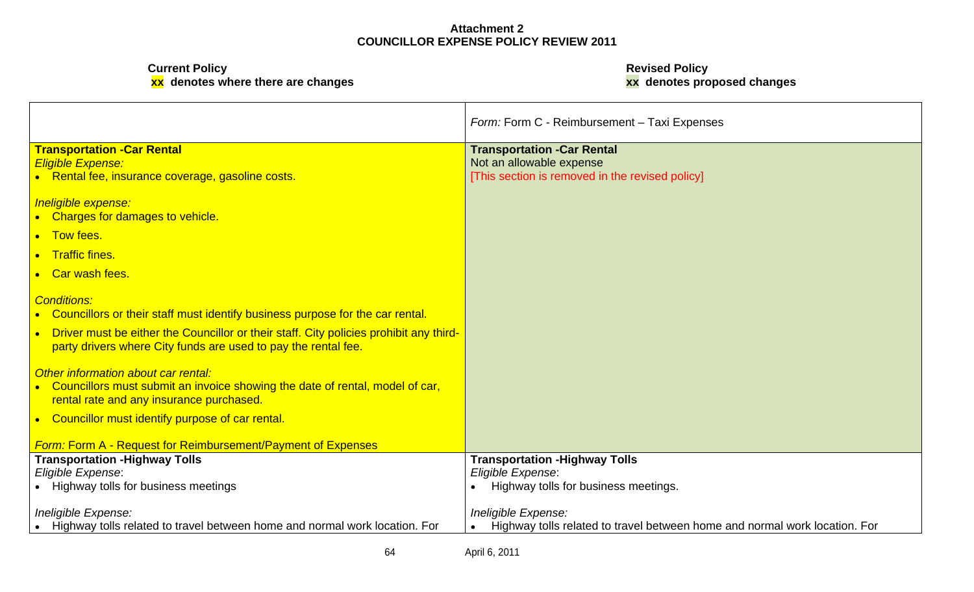**xx denotes where there are changes xx denotes proposed changes**

**Current Policy Revised Policy**

|                                                                                                                                                                 | Form: Form C - Reimbursement - Taxi Expenses                                 |  |
|-----------------------------------------------------------------------------------------------------------------------------------------------------------------|------------------------------------------------------------------------------|--|
| <b>Transportation - Car Rental</b><br><b>Eligible Expense:</b>                                                                                                  | <b>Transportation -Car Rental</b><br>Not an allowable expense                |  |
| • Rental fee, insurance coverage, gasoline costs.                                                                                                               | [This section is removed in the revised policy]                              |  |
| Ineligible expense:<br>• Charges for damages to vehicle.                                                                                                        |                                                                              |  |
| • Tow fees.                                                                                                                                                     |                                                                              |  |
| • Traffic fines.                                                                                                                                                |                                                                              |  |
| • Car wash fees.                                                                                                                                                |                                                                              |  |
|                                                                                                                                                                 |                                                                              |  |
| <b>Conditions:</b><br>• Councillors or their staff must identify business purpose for the car rental.                                                           |                                                                              |  |
| <b>Driver must be either the Councillor or their staff. City policies prohibit any third-</b><br>party drivers where City funds are used to pay the rental fee. |                                                                              |  |
| Other information about car rental:                                                                                                                             |                                                                              |  |
| • Councillors must submit an invoice showing the date of rental, model of car,<br>rental rate and any insurance purchased.                                      |                                                                              |  |
| • Councillor must identify purpose of car rental.                                                                                                               |                                                                              |  |
| <b>Form: Form A - Request for Reimbursement/Payment of Expenses</b>                                                                                             |                                                                              |  |
| <b>Transportation - Highway Tolls</b>                                                                                                                           | <b>Transportation - Highway Tolls</b>                                        |  |
| Eligible Expense:                                                                                                                                               | Eligible Expense:                                                            |  |
| • Highway tolls for business meetings                                                                                                                           | • Highway tolls for business meetings.                                       |  |
| Ineligible Expense:                                                                                                                                             | Ineligible Expense:                                                          |  |
| • Highway tolls related to travel between home and normal work location. For                                                                                    | • Highway tolls related to travel between home and normal work location. For |  |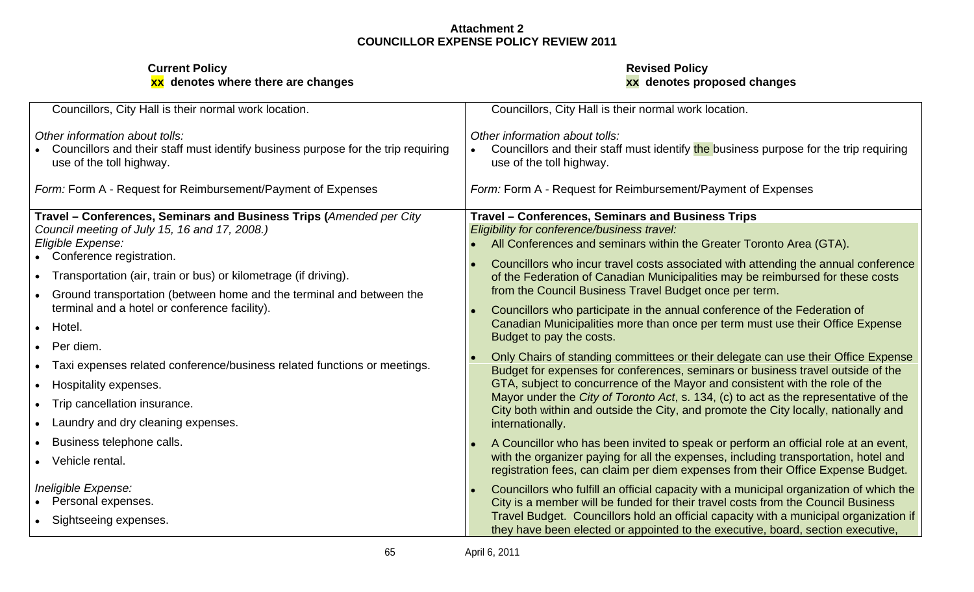| Councillors, City Hall is their normal work location                                                                                            | Councillors, City Hall is their normal work location.                                                                                                                                                                                                              |
|-------------------------------------------------------------------------------------------------------------------------------------------------|--------------------------------------------------------------------------------------------------------------------------------------------------------------------------------------------------------------------------------------------------------------------|
| Other information about tolls:<br>Councillors and their staff must identify business purpose for the trip requiring<br>use of the toll highway. | Other information about tolls:<br>Councillors and their staff must identify the business purpose for the trip requiring<br>use of the toll highway.                                                                                                                |
| Form: Form A - Request for Reimbursement/Payment of Expenses                                                                                    | Form: Form A - Request for Reimbursement/Payment of Expenses                                                                                                                                                                                                       |
| Travel - Conferences, Seminars and Business Trips (Amended per City<br>Council meeting of July 15, 16 and 17, 2008.)<br>Eligible Expense:       | Travel - Conferences, Seminars and Business Trips<br>Eligibility for conference/business travel:<br>All Conferences and seminars within the Greater Toronto Area (GTA).                                                                                            |
| Conference registration.<br>Transportation (air, train or bus) or kilometrage (if driving).                                                     | Councillors who incur travel costs associated with attending the annual conference<br>of the Federation of Canadian Municipalities may be reimbursed for these costs<br>from the Council Business Travel Budget once per term.                                     |
| Ground transportation (between home and the terminal and between the<br>terminal and a hotel or conference facility).<br>Hotel.                 | Councillors who participate in the annual conference of the Federation of<br>Canadian Municipalities more than once per term must use their Office Expense                                                                                                         |
| Per diem.<br>Taxi expenses related conference/business related functions or meetings.                                                           | Budget to pay the costs.<br>Only Chairs of standing committees or their delegate can use their Office Expense<br>Budget for expenses for conferences, seminars or business travel outside of the                                                                   |
| Hospitality expenses.<br>Trip cancellation insurance.                                                                                           | GTA, subject to concurrence of the Mayor and consistent with the role of the<br>Mayor under the City of Toronto Act, s. 134, (c) to act as the representative of the<br>City both within and outside the City, and promote the City locally, nationally and        |
| Laundry and dry cleaning expenses.<br>Business telephone calls.                                                                                 | internationally.<br>A Councillor who has been invited to speak or perform an official role at an event,                                                                                                                                                            |
| Vehicle rental.<br>Ineligible Expense:                                                                                                          | with the organizer paying for all the expenses, including transportation, hotel and<br>registration fees, can claim per diem expenses from their Office Expense Budget.<br>Councillors who fulfill an official capacity with a municipal organization of which the |
| Personal expenses.<br>Sightseeing expenses.                                                                                                     | City is a member will be funded for their travel costs from the Council Business<br>Travel Budget. Councillors hold an official capacity with a municipal organization if<br>they have been elected or appointed to the executive, board, section executive,       |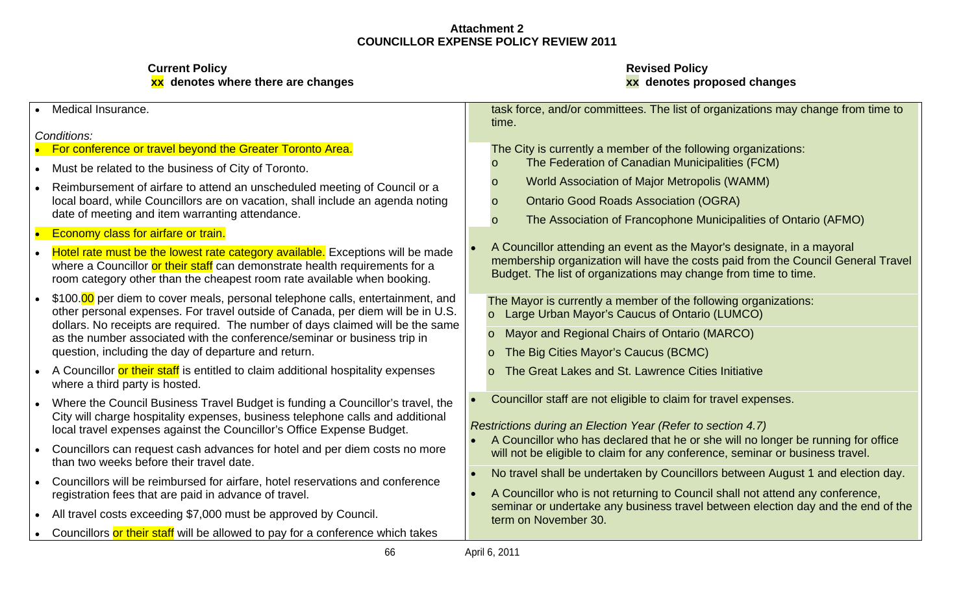**Current Policy Revised Policy**

# **xx denotes where there are changes xx denotes proposed changes**

| Medical Insurance.                                                                                                                                      | task force, and/or committees. The list of organizations may change from time to                                                                                    |
|---------------------------------------------------------------------------------------------------------------------------------------------------------|---------------------------------------------------------------------------------------------------------------------------------------------------------------------|
|                                                                                                                                                         | time.                                                                                                                                                               |
| Conditions:                                                                                                                                             |                                                                                                                                                                     |
| For conference or travel beyond the Greater Toronto Area.                                                                                               | The City is currently a member of the following organizations:<br>The Federation of Canadian Municipalities (FCM)                                                   |
| Must be related to the business of City of Toronto.                                                                                                     |                                                                                                                                                                     |
| Reimbursement of airfare to attend an unscheduled meeting of Council or a                                                                               | <b>World Association of Major Metropolis (WAMM)</b>                                                                                                                 |
| local board, while Councillors are on vacation, shall include an agenda noting                                                                          | <b>Ontario Good Roads Association (OGRA)</b>                                                                                                                        |
| date of meeting and item warranting attendance.                                                                                                         | The Association of Francophone Municipalities of Ontario (AFMO)                                                                                                     |
| <b>Economy class for airfare or train.</b>                                                                                                              |                                                                                                                                                                     |
| Hotel rate must be the lowest rate category available. Exceptions will be made                                                                          | A Councillor attending an event as the Mayor's designate, in a mayoral                                                                                              |
| where a Councillor or their staff can demonstrate health requirements for a                                                                             | membership organization will have the costs paid from the Council General Travel                                                                                    |
| room category other than the cheapest room rate available when booking.                                                                                 | Budget. The list of organizations may change from time to time.                                                                                                     |
| \$100.00 per diem to cover meals, personal telephone calls, entertainment, and                                                                          | The Mayor is currently a member of the following organizations:                                                                                                     |
| other personal expenses. For travel outside of Canada, per diem will be in U.S.                                                                         | Large Urban Mayor's Caucus of Ontario (LUMCO)                                                                                                                       |
| dollars. No receipts are required. The number of days claimed will be the same                                                                          | Mayor and Regional Chairs of Ontario (MARCO)                                                                                                                        |
| as the number associated with the conference/seminar or business trip in<br>question, including the day of departure and return.                        |                                                                                                                                                                     |
|                                                                                                                                                         | The Big Cities Mayor's Caucus (BCMC)                                                                                                                                |
| A Councillor or their staff is entitled to claim additional hospitality expenses                                                                        | The Great Lakes and St. Lawrence Cities Initiative                                                                                                                  |
| where a third party is hosted.                                                                                                                          |                                                                                                                                                                     |
| Where the Council Business Travel Budget is funding a Councillor's travel, the                                                                          | Councillor staff are not eligible to claim for travel expenses.                                                                                                     |
| City will charge hospitality expenses, business telephone calls and additional<br>local travel expenses against the Councillor's Office Expense Budget. | Restrictions during an Election Year (Refer to section 4.7)                                                                                                         |
|                                                                                                                                                         | • A Councillor who has declared that he or she will no longer be running for office                                                                                 |
| Councillors can request cash advances for hotel and per diem costs no more                                                                              | will not be eligible to claim for any conference, seminar or business travel.                                                                                       |
| than two weeks before their travel date.                                                                                                                | No travel shall be undertaken by Councillors between August 1 and election day.                                                                                     |
| Councillors will be reimbursed for airfare, hotel reservations and conference                                                                           |                                                                                                                                                                     |
| registration fees that are paid in advance of travel.                                                                                                   | • A Councillor who is not returning to Council shall not attend any conference,<br>seminar or undertake any business travel between election day and the end of the |
| All travel costs exceeding \$7,000 must be approved by Council.                                                                                         | term on November 30.                                                                                                                                                |
| Councillors or their staff will be allowed to pay for a conference which takes                                                                          |                                                                                                                                                                     |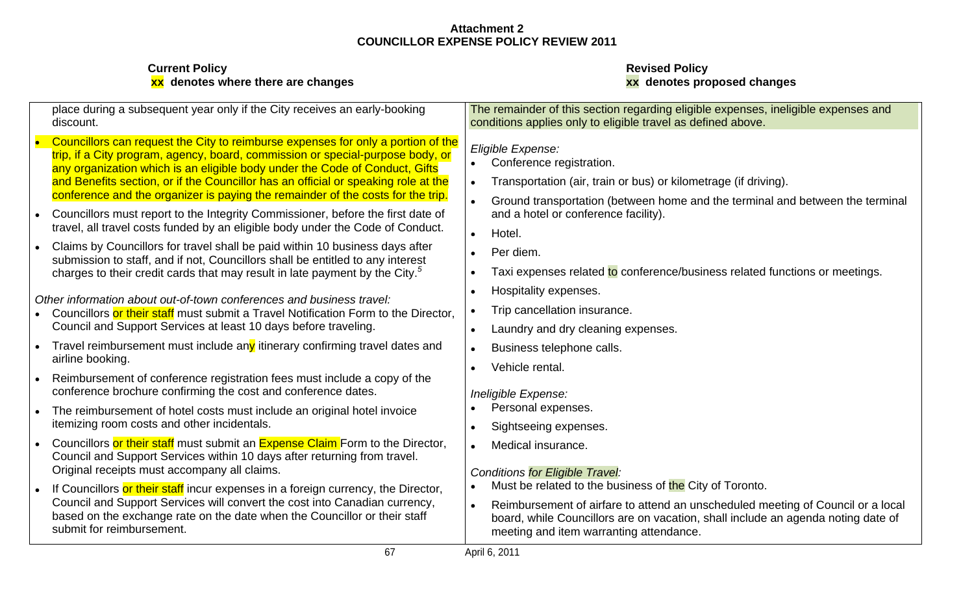| <b>Current Policy</b><br>xx denotes where there are changes                                                                                                                                                                                                                                                                                                                                                                | <b>Revised Policy</b><br>xx denotes proposed changes                                                                                                                                                                                                                                                                |
|----------------------------------------------------------------------------------------------------------------------------------------------------------------------------------------------------------------------------------------------------------------------------------------------------------------------------------------------------------------------------------------------------------------------------|---------------------------------------------------------------------------------------------------------------------------------------------------------------------------------------------------------------------------------------------------------------------------------------------------------------------|
| place during a subsequent year only if the City receives an early-booking<br>discount.                                                                                                                                                                                                                                                                                                                                     | The remainder of this section regarding eligible expenses, ineligible expenses and<br>conditions applies only to eligible travel as defined above.                                                                                                                                                                  |
| Councillors can request the City to reimburse expenses for only a portion of the<br>trip, if a City program, agency, board, commission or special-purpose body, or<br>any organization which is an eligible body under the Code of Conduct, Gifts<br>and Benefits section, or if the Councillor has an official or speaking role at the<br>conference and the organizer is paying the remainder of the costs for the trip. | Eligible Expense:<br>Conference registration.<br>Transportation (air, train or bus) or kilometrage (if driving).<br>Ground transportation (between home and the terminal and between the terminal                                                                                                                   |
| Councillors must report to the Integrity Commissioner, before the first date of<br>travel, all travel costs funded by an eligible body under the Code of Conduct.                                                                                                                                                                                                                                                          | and a hotel or conference facility).<br>Hotel.                                                                                                                                                                                                                                                                      |
| Claims by Councillors for travel shall be paid within 10 business days after<br>submission to staff, and if not, Councillors shall be entitled to any interest<br>charges to their credit cards that may result in late payment by the City. <sup>5</sup>                                                                                                                                                                  | Per diem.<br>Taxi expenses related to conference/business related functions or meetings.                                                                                                                                                                                                                            |
| Other information about out-of-town conferences and business travel:<br>Councillors or their staff must submit a Travel Notification Form to the Director.<br>Council and Support Services at least 10 days before traveling.                                                                                                                                                                                              | Hospitality expenses.<br>Trip cancellation insurance.<br>Laundry and dry cleaning expenses.                                                                                                                                                                                                                         |
| Travel reimbursement must include any itinerary confirming travel dates and<br>airline booking.<br>Reimbursement of conference registration fees must include a copy of the                                                                                                                                                                                                                                                | Business telephone calls.<br>Vehicle rental.                                                                                                                                                                                                                                                                        |
| conference brochure confirming the cost and conference dates.<br>The reimbursement of hotel costs must include an original hotel invoice<br>itemizing room costs and other incidentals.                                                                                                                                                                                                                                    | Ineligible Expense:<br>Personal expenses.<br>Sightseeing expenses.                                                                                                                                                                                                                                                  |
| Councillors or their staff must submit an Expense Claim Form to the Director,<br>Council and Support Services within 10 days after returning from travel.<br>Original receipts must accompany all claims.                                                                                                                                                                                                                  | Medical insurance.                                                                                                                                                                                                                                                                                                  |
| If Councillors or their staff incur expenses in a foreign currency, the Director,<br>Council and Support Services will convert the cost into Canadian currency,<br>based on the exchange rate on the date when the Councillor or their staff<br>submit for reimbursement.                                                                                                                                                  | <b>Conditions for Eligible Travel:</b><br>Must be related to the business of the City of Toronto.<br>Reimbursement of airfare to attend an unscheduled meeting of Council or a local<br>board, while Councillors are on vacation, shall include an agenda noting date of<br>meeting and item warranting attendance. |
| 67                                                                                                                                                                                                                                                                                                                                                                                                                         | April 6, 2011                                                                                                                                                                                                                                                                                                       |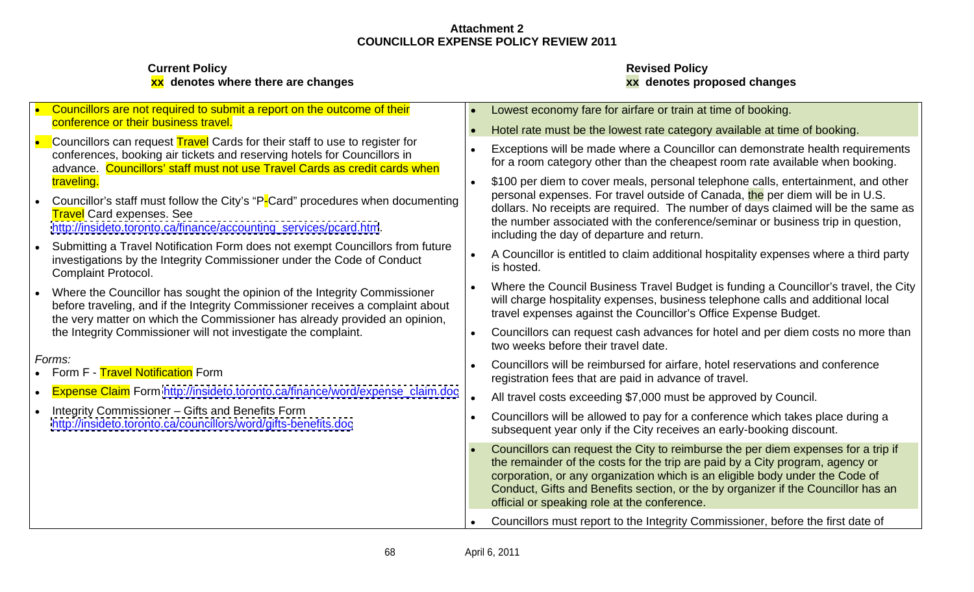| Councillors are not required to submit a report on the outcome of their                                                                                                                                                                   | • Lowest economy fare for airfare or train at time of booking.                                                                                                                                                                                                                                                                                                                             |  |
|-------------------------------------------------------------------------------------------------------------------------------------------------------------------------------------------------------------------------------------------|--------------------------------------------------------------------------------------------------------------------------------------------------------------------------------------------------------------------------------------------------------------------------------------------------------------------------------------------------------------------------------------------|--|
| conference or their business travel.                                                                                                                                                                                                      | • Hotel rate must be the lowest rate category available at time of booking.                                                                                                                                                                                                                                                                                                                |  |
| Councillors can request Travel Cards for their staff to use to register for<br>conferences, booking air tickets and reserving hotels for Councillors in<br>advance. Councillors' staff must not use Travel Cards as credit cards when     | • Exceptions will be made where a Councillor can demonstrate health requirements<br>for a room category other than the cheapest room rate available when booking.                                                                                                                                                                                                                          |  |
| traveling.<br>Councillor's staff must follow the City's "P-Card" procedures when documenting<br><b>Travel</b> Card expenses. See<br>http://insideto.toronto.ca/finance/accounting_services/pcard.htm.                                     | • \$100 per diem to cover meals, personal telephone calls, entertainment, and other<br>personal expenses. For travel outside of Canada, the per diem will be in U.S.<br>dollars. No receipts are required. The number of days claimed will be the same as<br>the number associated with the conference/seminar or business trip in question,<br>including the day of departure and return. |  |
| Submitting a Travel Notification Form does not exempt Councillors from future<br>investigations by the Integrity Commissioner under the Code of Conduct<br><b>Complaint Protocol.</b>                                                     | A Councillor is entitled to claim additional hospitality expenses where a third party<br>is hosted.                                                                                                                                                                                                                                                                                        |  |
| Where the Councillor has sought the opinion of the Integrity Commissioner<br>before traveling, and if the Integrity Commissioner receives a complaint about<br>the very matter on which the Commissioner has already provided an opinion, | • Where the Council Business Travel Budget is funding a Councillor's travel, the City<br>will charge hospitality expenses, business telephone calls and additional local<br>travel expenses against the Councillor's Office Expense Budget.                                                                                                                                                |  |
| the Integrity Commissioner will not investigate the complaint.                                                                                                                                                                            | Councillors can request cash advances for hotel and per diem costs no more than<br>two weeks before their travel date.                                                                                                                                                                                                                                                                     |  |
| Forms:<br>Form F - Travel Notification Form                                                                                                                                                                                               | Councillors will be reimbursed for airfare, hotel reservations and conference<br>registration fees that are paid in advance of travel.                                                                                                                                                                                                                                                     |  |
| <b>Expense Claim</b> Form http://insideto.toronto.ca/finance/word/expense_claim.doc                                                                                                                                                       | All travel costs exceeding \$7,000 must be approved by Council.                                                                                                                                                                                                                                                                                                                            |  |
| Integrity Commissioner - Gifts and Benefits Form<br>http://insideto.toronto.ca/councillors/word/gifts-benefits.doc                                                                                                                        | Councillors will be allowed to pay for a conference which takes place during a<br>subsequent year only if the City receives an early-booking discount.                                                                                                                                                                                                                                     |  |
|                                                                                                                                                                                                                                           | Councillors can request the City to reimburse the per diem expenses for a trip if<br>the remainder of the costs for the trip are paid by a City program, agency or<br>corporation, or any organization which is an eligible body under the Code of<br>Conduct, Gifts and Benefits section, or the by organizer if the Councillor has an<br>official or speaking role at the conference.    |  |
|                                                                                                                                                                                                                                           | Councillors must report to the Integrity Commissioner, before the first date of                                                                                                                                                                                                                                                                                                            |  |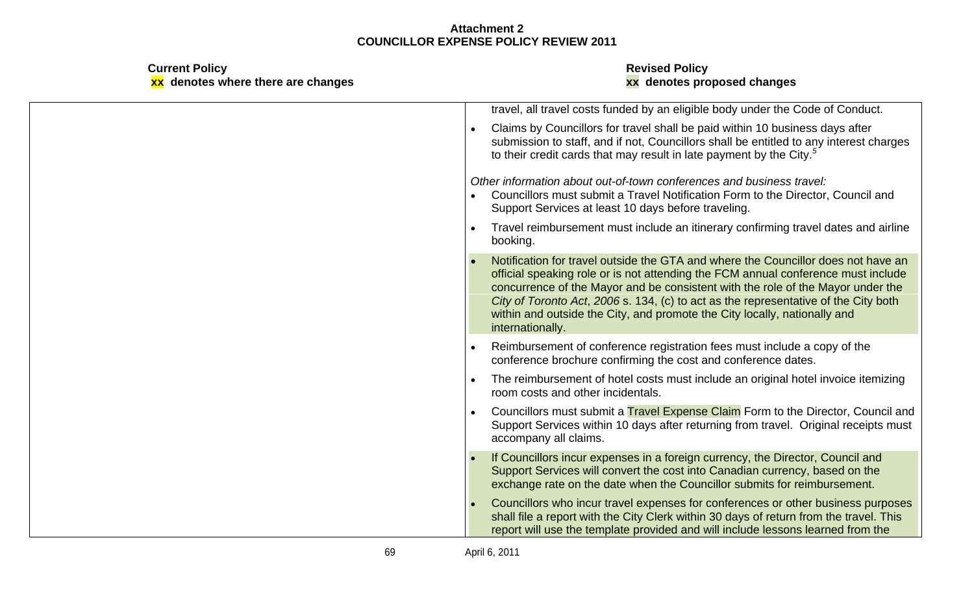| <b>Current Policy</b><br>xx denotes where there are changes | <b>Revised Policy</b><br>xx denotes proposed changes                                                                                                                                                                                                                                                                                                                                                                                              |
|-------------------------------------------------------------|---------------------------------------------------------------------------------------------------------------------------------------------------------------------------------------------------------------------------------------------------------------------------------------------------------------------------------------------------------------------------------------------------------------------------------------------------|
|                                                             | travel, all travel costs funded by an eligible body under the Code of Conduct.                                                                                                                                                                                                                                                                                                                                                                    |
|                                                             | Claims by Councillors for travel shall be paid within 10 business days after<br>submission to staff, and if not, Councillors shall be entitled to any interest charges<br>to their credit cards that may result in late payment by the City. <sup>5</sup>                                                                                                                                                                                         |
|                                                             | Other information about out-of-town conferences and business travel:<br>• Councillors must submit a Travel Notification Form to the Director, Council and<br>Support Services at least 10 days before traveling.                                                                                                                                                                                                                                  |
|                                                             | Travel reimbursement must include an itinerary confirming travel dates and airline<br>booking.                                                                                                                                                                                                                                                                                                                                                    |
|                                                             | Notification for travel outside the GTA and where the Councillor does not have an<br>official speaking role or is not attending the FCM annual conference must include<br>concurrence of the Mayor and be consistent with the role of the Mayor under the<br>City of Toronto Act, 2006 s. 134, (c) to act as the representative of the City both<br>within and outside the City, and promote the City locally, nationally and<br>internationally. |
|                                                             | Reimbursement of conference registration fees must include a copy of the                                                                                                                                                                                                                                                                                                                                                                          |
|                                                             | conference brochure confirming the cost and conference dates.<br>The reimbursement of hotel costs must include an original hotel invoice itemizing<br>room costs and other incidentals.                                                                                                                                                                                                                                                           |
|                                                             | Councillors must submit a Travel Expense Claim Form to the Director, Council and<br>Support Services within 10 days after returning from travel. Original receipts must<br>accompany all claims.                                                                                                                                                                                                                                                  |
|                                                             | If Councillors incur expenses in a foreign currency, the Director, Council and<br>Support Services will convert the cost into Canadian currency, based on the<br>exchange rate on the date when the Councillor submits for reimbursement.                                                                                                                                                                                                         |
|                                                             | Councillors who incur travel expenses for conferences or other business purposes<br>shall file a report with the City Clerk within 30 days of return from the travel. This<br>report will use the template provided and will include lessons learned from the                                                                                                                                                                                     |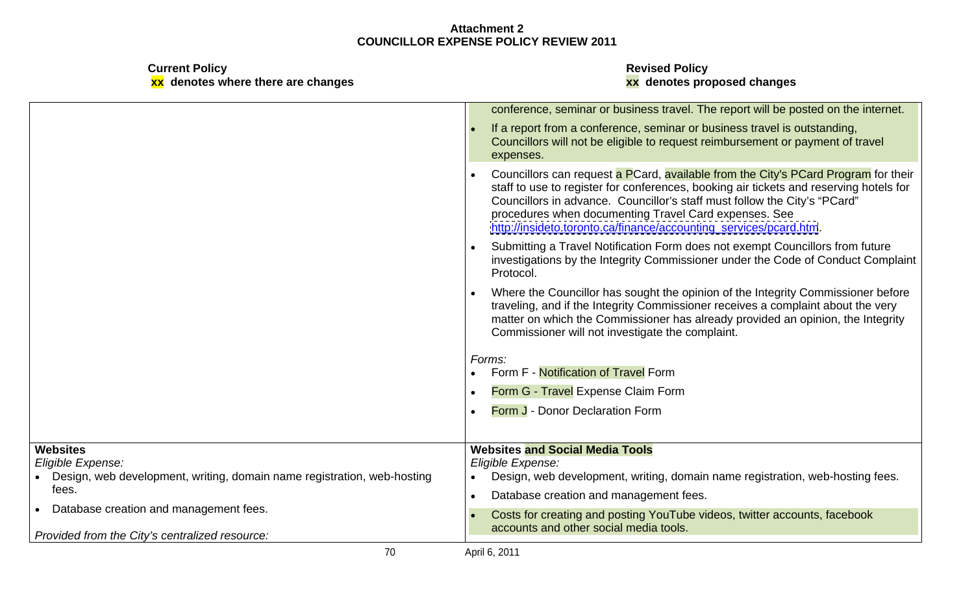|                                                                         | conference, seminar or business travel. The report will be posted on the internet.                                                                                           |
|-------------------------------------------------------------------------|------------------------------------------------------------------------------------------------------------------------------------------------------------------------------|
|                                                                         | If a report from a conference, seminar or business travel is outstanding,                                                                                                    |
|                                                                         | Councillors will not be eligible to request reimbursement or payment of travel                                                                                               |
|                                                                         | expenses.                                                                                                                                                                    |
|                                                                         | Councillors can request a PCard, available from the City's PCard Program for their<br>staff to use to register for conferences, booking air tickets and reserving hotels for |
|                                                                         | Councillors in advance. Councillor's staff must follow the City's "PCard"                                                                                                    |
|                                                                         | procedures when documenting Travel Card expenses. See                                                                                                                        |
|                                                                         | http://insideto.toronto.ca/finance/accounting_services/pcard.htm.                                                                                                            |
|                                                                         | Submitting a Travel Notification Form does not exempt Councillors from future                                                                                                |
|                                                                         | investigations by the Integrity Commissioner under the Code of Conduct Complaint  <br>Protocol.                                                                              |
|                                                                         | Where the Councillor has sought the opinion of the Integrity Commissioner before                                                                                             |
|                                                                         | traveling, and if the Integrity Commissioner receives a complaint about the very                                                                                             |
|                                                                         | matter on which the Commissioner has already provided an opinion, the Integrity                                                                                              |
|                                                                         | Commissioner will not investigate the complaint.                                                                                                                             |
|                                                                         | Forms:                                                                                                                                                                       |
|                                                                         | Form F - Notification of Travel Form                                                                                                                                         |
|                                                                         | Form G - Travel Expense Claim Form                                                                                                                                           |
|                                                                         | Form J - Donor Declaration Form                                                                                                                                              |
|                                                                         |                                                                                                                                                                              |
| Websites                                                                | <b>Websites and Social Media Tools</b>                                                                                                                                       |
| Eligible Expense:                                                       | Eligible Expense:                                                                                                                                                            |
| Design, web development, writing, domain name registration, web-hosting | Design, web development, writing, domain name registration, web-hosting fees.                                                                                                |
| fees.                                                                   | Database creation and management fees.                                                                                                                                       |
| Database creation and management fees.                                  | Costs for creating and posting YouTube videos, twitter accounts, facebook                                                                                                    |
| Provided from the City's centralized resource:                          | accounts and other social media tools.                                                                                                                                       |
|                                                                         | April 6, 2011                                                                                                                                                                |
|                                                                         |                                                                                                                                                                              |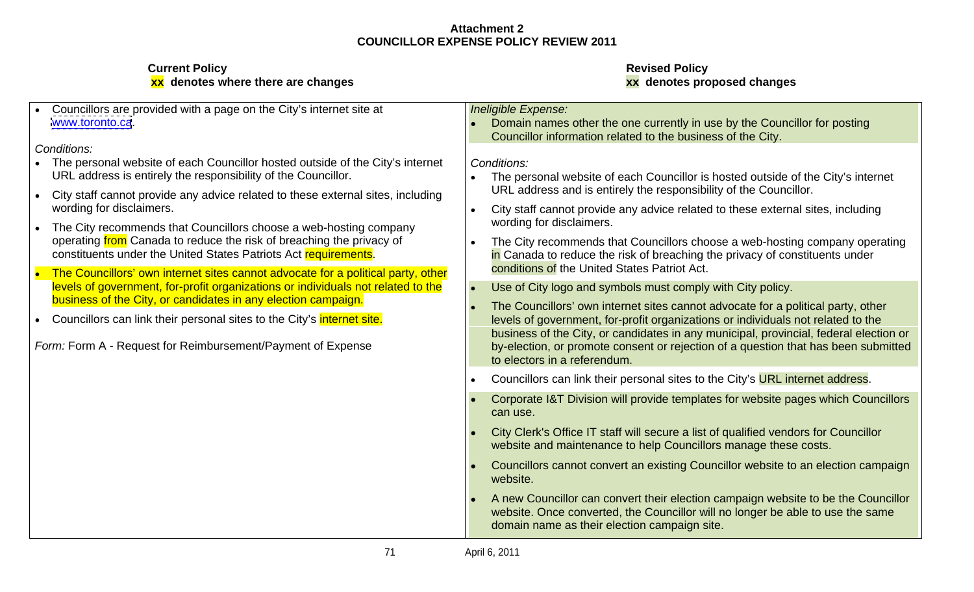| • Councillors are provided with a page on the City's internet site at            | Ineligible Expense:                                                                                                                                                 |
|----------------------------------------------------------------------------------|---------------------------------------------------------------------------------------------------------------------------------------------------------------------|
| www.toronto.ca.                                                                  | Domain names other the one currently in use by the Councillor for posting                                                                                           |
|                                                                                  | Councillor information related to the business of the City.                                                                                                         |
| Conditions:                                                                      |                                                                                                                                                                     |
| • The personal website of each Councillor hosted outside of the City's internet  | Conditions:                                                                                                                                                         |
| URL address is entirely the responsibility of the Councillor.                    | • The personal website of each Councillor is hosted outside of the City's internet                                                                                  |
| City staff cannot provide any advice related to these external sites, including  | URL address and is entirely the responsibility of the Councillor.                                                                                                   |
| wording for disclaimers.                                                         | City staff cannot provide any advice related to these external sites, including                                                                                     |
| The City recommends that Councillors choose a web-hosting company                | wording for disclaimers.                                                                                                                                            |
| operating from Canada to reduce the risk of breaching the privacy of             | • The City recommends that Councillors choose a web-hosting company operating                                                                                       |
| constituents under the United States Patriots Act requirements.                  | in Canada to reduce the risk of breaching the privacy of constituents under                                                                                         |
| The Councillors' own internet sites cannot advocate for a political party, other | conditions of the United States Patriot Act.                                                                                                                        |
| levels of government, for-profit organizations or individuals not related to the | Use of City logo and symbols must comply with City policy.                                                                                                          |
| business of the City, or candidates in any election campaign.                    | The Councillors' own internet sites cannot advocate for a political party, other                                                                                    |
| Councillors can link their personal sites to the City's <i>internet site.</i>    | levels of government, for-profit organizations or individuals not related to the                                                                                    |
|                                                                                  | business of the City, or candidates in any municipal, provincial, federal election or                                                                               |
| Form: Form A - Request for Reimbursement/Payment of Expense                      | by-election, or promote consent or rejection of a question that has been submitted                                                                                  |
|                                                                                  | to electors in a referendum.                                                                                                                                        |
|                                                                                  | Councillors can link their personal sites to the City's URL internet address.                                                                                       |
|                                                                                  | Corporate I&T Division will provide templates for website pages which Councillors                                                                                   |
|                                                                                  | can use.                                                                                                                                                            |
|                                                                                  | City Clerk's Office IT staff will secure a list of qualified vendors for Councillor                                                                                 |
|                                                                                  | website and maintenance to help Councillors manage these costs.                                                                                                     |
|                                                                                  | Councillors cannot convert an existing Councillor website to an election campaign                                                                                   |
|                                                                                  | website.                                                                                                                                                            |
|                                                                                  |                                                                                                                                                                     |
|                                                                                  | A new Councillor can convert their election campaign website to be the Councillor<br>website. Once converted, the Councillor will no longer be able to use the same |
|                                                                                  | domain name as their election campaign site.                                                                                                                        |
|                                                                                  |                                                                                                                                                                     |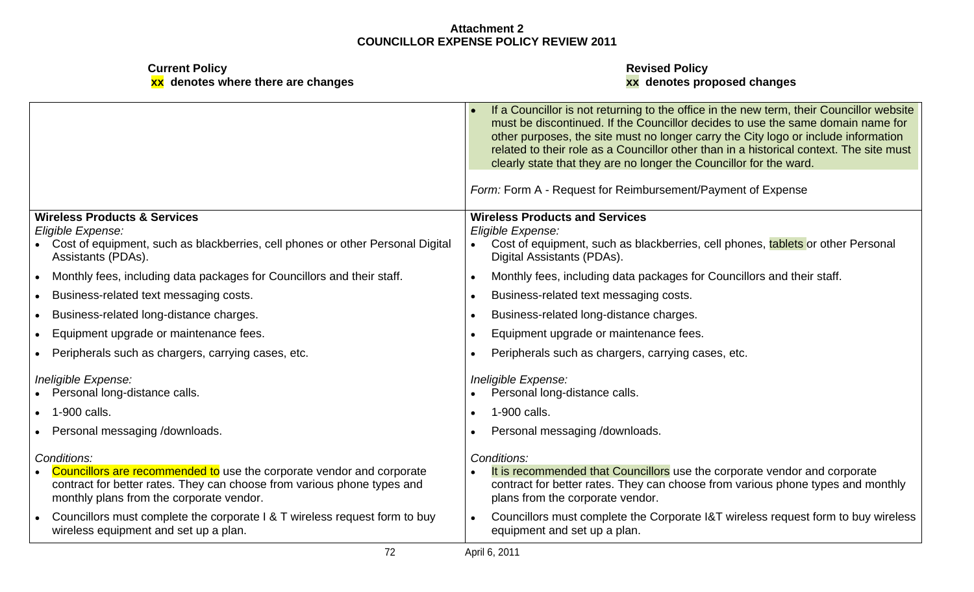| <b>Current Policy</b><br>xx denotes where there are changes                                                                                                                                                 | <b>Revised Policy</b><br>xx denotes proposed changes                                                                                                                                                                                                                |
|-------------------------------------------------------------------------------------------------------------------------------------------------------------------------------------------------------------|---------------------------------------------------------------------------------------------------------------------------------------------------------------------------------------------------------------------------------------------------------------------|
|                                                                                                                                                                                                             | • If a Councillor is not returning to the office in the new term, their Councillor website<br>must be discontinued. If the Councillor decides to use the same domain name for<br>other purposes, the site must no longer carry the City logo or include information |
|                                                                                                                                                                                                             | related to their role as a Councillor other than in a historical context. The site must<br>clearly state that they are no longer the Councillor for the ward.                                                                                                       |
|                                                                                                                                                                                                             | Form: Form A - Request for Reimbursement/Payment of Expense                                                                                                                                                                                                         |
| <b>Wireless Products &amp; Services</b>                                                                                                                                                                     | <b>Wireless Products and Services</b>                                                                                                                                                                                                                               |
| Eligible Expense:<br>Cost of equipment, such as blackberries, cell phones or other Personal Digital<br>Assistants (PDAs).                                                                                   | Eligible Expense:<br>Cost of equipment, such as blackberries, cell phones, tablets or other Personal<br>Digital Assistants (PDAs).                                                                                                                                  |
| Monthly fees, including data packages for Councillors and their staff.                                                                                                                                      | Monthly fees, including data packages for Councillors and their staff.                                                                                                                                                                                              |
| Business-related text messaging costs.                                                                                                                                                                      | Business-related text messaging costs.                                                                                                                                                                                                                              |
| Business-related long-distance charges.                                                                                                                                                                     | Business-related long-distance charges.                                                                                                                                                                                                                             |
| Equipment upgrade or maintenance fees.                                                                                                                                                                      | Equipment upgrade or maintenance fees.                                                                                                                                                                                                                              |
| Peripherals such as chargers, carrying cases, etc.                                                                                                                                                          | Peripherals such as chargers, carrying cases, etc.                                                                                                                                                                                                                  |
| Ineligible Expense:<br>• Personal long-distance calls.                                                                                                                                                      | Ineligible Expense:<br>• Personal long-distance calls.                                                                                                                                                                                                              |
| • 1-900 calls.                                                                                                                                                                                              | 1-900 calls.                                                                                                                                                                                                                                                        |
| • Personal messaging /downloads.                                                                                                                                                                            | Personal messaging /downloads.                                                                                                                                                                                                                                      |
| Conditions:<br>Councillors are recommended to use the corporate vendor and corporate<br>contract for better rates. They can choose from various phone types and<br>monthly plans from the corporate vendor. | Conditions:<br>It is recommended that Councillors use the corporate vendor and corporate<br>contract for better rates. They can choose from various phone types and monthly<br>plans from the corporate vendor.                                                     |
| Councillors must complete the corporate I & T wireless request form to buy<br>wireless equipment and set up a plan.                                                                                         | Councillors must complete the Corporate I&T wireless request form to buy wireless<br>equipment and set up a plan.                                                                                                                                                   |
| 72                                                                                                                                                                                                          | April 6, 2011                                                                                                                                                                                                                                                       |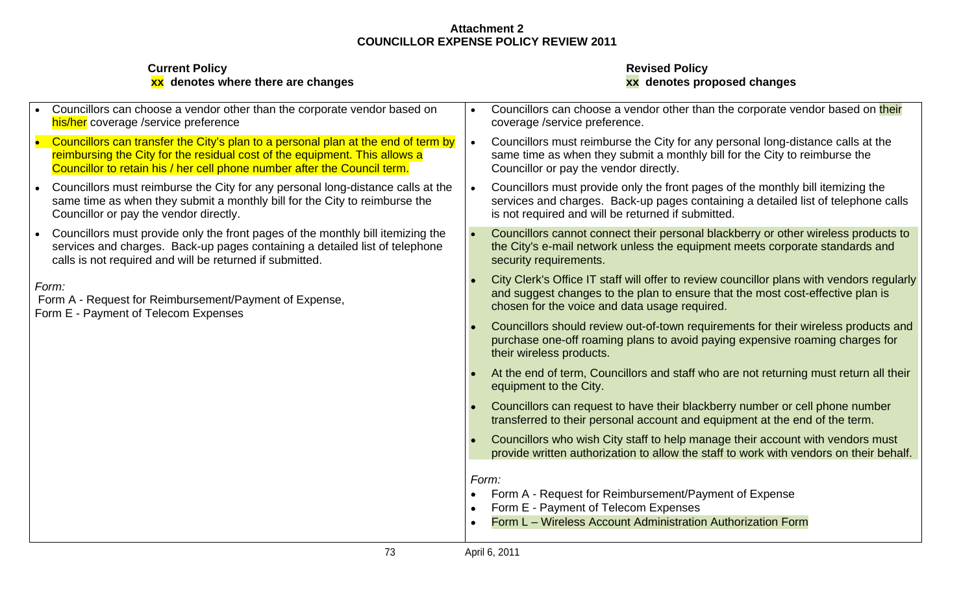| <b>Current Policy</b><br>xx denotes where there are changes                                                                                                                                                                                 | <b>Revised Policy</b><br>xx denotes proposed changes                                                                                                                                                                         |
|---------------------------------------------------------------------------------------------------------------------------------------------------------------------------------------------------------------------------------------------|------------------------------------------------------------------------------------------------------------------------------------------------------------------------------------------------------------------------------|
| Councillors can choose a vendor other than the corporate vendor based on<br>his/her coverage /service preference                                                                                                                            | Councillors can choose a vendor other than the corporate vendor based on their<br>coverage /service preference.                                                                                                              |
| Councillors can transfer the City's plan to a personal plan at the end of term by<br>reimbursing the City for the residual cost of the equipment. This allows a<br>Councillor to retain his / her cell phone number after the Council term. | Councillors must reimburse the City for any personal long-distance calls at the<br>same time as when they submit a monthly bill for the City to reimburse the<br>Councillor or pay the vendor directly.                      |
| Councillors must reimburse the City for any personal long-distance calls at the<br>same time as when they submit a monthly bill for the City to reimburse the<br>Councillor or pay the vendor directly.                                     | Councillors must provide only the front pages of the monthly bill itemizing the<br>services and charges. Back-up pages containing a detailed list of telephone calls<br>is not required and will be returned if submitted.   |
| Councillors must provide only the front pages of the monthly bill itemizing the<br>services and charges. Back-up pages containing a detailed list of telephone<br>calls is not required and will be returned if submitted.                  | Councillors cannot connect their personal blackberry or other wireless products to<br>the City's e-mail network unless the equipment meets corporate standards and<br>security requirements.                                 |
| Form:<br>Form A - Request for Reimbursement/Payment of Expense,<br>Form E - Payment of Telecom Expenses                                                                                                                                     | City Clerk's Office IT staff will offer to review councillor plans with vendors regularly<br>and suggest changes to the plan to ensure that the most cost-effective plan is<br>chosen for the voice and data usage required. |
|                                                                                                                                                                                                                                             | Councillors should review out-of-town requirements for their wireless products and<br>purchase one-off roaming plans to avoid paying expensive roaming charges for<br>their wireless products.                               |
|                                                                                                                                                                                                                                             | At the end of term, Councillors and staff who are not returning must return all their<br>equipment to the City.                                                                                                              |
|                                                                                                                                                                                                                                             | Councillors can request to have their blackberry number or cell phone number<br>transferred to their personal account and equipment at the end of the term.                                                                  |
|                                                                                                                                                                                                                                             | Councillors who wish City staff to help manage their account with vendors must<br>provide written authorization to allow the staff to work with vendors on their behalf.                                                     |
|                                                                                                                                                                                                                                             | Form:                                                                                                                                                                                                                        |
|                                                                                                                                                                                                                                             | • Form A - Request for Reimbursement/Payment of Expense<br>Form E - Payment of Telecom Expenses                                                                                                                              |
|                                                                                                                                                                                                                                             | Form L - Wireless Account Administration Authorization Form                                                                                                                                                                  |
| 73                                                                                                                                                                                                                                          | April 6, 2011                                                                                                                                                                                                                |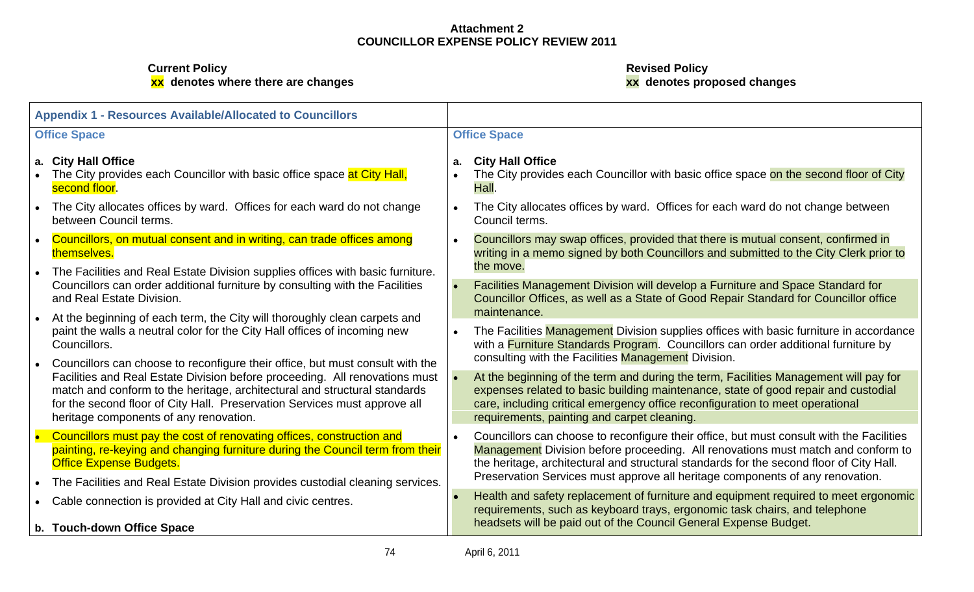| <b>Appendix 1 - Resources Available/Allocated to Councillors</b>                                                                                                                                                                                                                |                                                                                                                                                                                                                                                                                                                                                          |
|---------------------------------------------------------------------------------------------------------------------------------------------------------------------------------------------------------------------------------------------------------------------------------|----------------------------------------------------------------------------------------------------------------------------------------------------------------------------------------------------------------------------------------------------------------------------------------------------------------------------------------------------------|
| <b>Office Space</b>                                                                                                                                                                                                                                                             | <b>Office Space</b>                                                                                                                                                                                                                                                                                                                                      |
| <b>City Hall Office</b><br>The City provides each Councillor with basic office space at City Hall,<br>second floor.                                                                                                                                                             | <b>City Hall Office</b><br>• The City provides each Councillor with basic office space on the second floor of City                                                                                                                                                                                                                                       |
| The City allocates offices by ward. Offices for each ward do not change<br>between Council terms.                                                                                                                                                                               | The City allocates offices by ward. Offices for each ward do not change between<br>Council terms.                                                                                                                                                                                                                                                        |
| Councillors, on mutual consent and in writing, can trade offices among<br>themselves.                                                                                                                                                                                           | Councillors may swap offices, provided that there is mutual consent, confirmed in<br>writing in a memo signed by both Councillors and submitted to the City Clerk prior to<br>the move.                                                                                                                                                                  |
| The Facilities and Real Estate Division supplies offices with basic furniture.<br>Councillors can order additional furniture by consulting with the Facilities<br>and Real Estate Division.                                                                                     | Facilities Management Division will develop a Furniture and Space Standard for<br>Councillor Offices, as well as a State of Good Repair Standard for Councillor office<br>maintenance.                                                                                                                                                                   |
| At the beginning of each term, the City will thoroughly clean carpets and<br>paint the walls a neutral color for the City Hall offices of incoming new<br>Councillors.<br>Councillors can choose to reconfigure their office, but must consult with the                         | • The Facilities Management Division supplies offices with basic furniture in accordance<br>with a Furniture Standards Program. Councillors can order additional furniture by<br>consulting with the Facilities Management Division.                                                                                                                     |
| Facilities and Real Estate Division before proceeding. All renovations must<br>match and conform to the heritage, architectural and structural standards<br>for the second floor of City Hall. Preservation Services must approve all<br>heritage components of any renovation. | At the beginning of the term and during the term, Facilities Management will pay for<br>expenses related to basic building maintenance, state of good repair and custodial<br>care, including critical emergency office reconfiguration to meet operational<br>requirements, painting and carpet cleaning.                                               |
| Councillors must pay the cost of renovating offices, construction and<br>painting, re-keying and changing furniture during the Council term from their<br><b>Office Expense Budgets.</b>                                                                                        | Councillors can choose to reconfigure their office, but must consult with the Facilities<br>Management Division before proceeding. All renovations must match and conform to<br>the heritage, architectural and structural standards for the second floor of City Hall.<br>Preservation Services must approve all heritage components of any renovation. |
| The Facilities and Real Estate Division provides custodial cleaning services.<br>Cable connection is provided at City Hall and civic centres.                                                                                                                                   | • Health and safety replacement of furniture and equipment required to meet ergonomic<br>requirements, such as keyboard trays, ergonomic task chairs, and telephone                                                                                                                                                                                      |
| b. Touch-down Office Space                                                                                                                                                                                                                                                      | headsets will be paid out of the Council General Expense Budget.                                                                                                                                                                                                                                                                                         |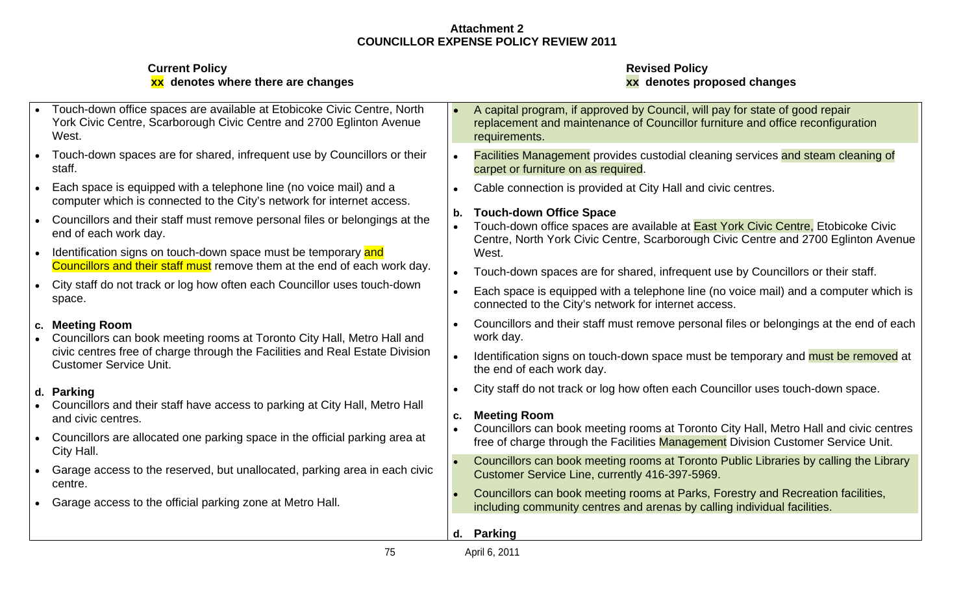| <b>Current Policy</b><br>xx denotes where there are changes                                                                                                                                                  | <b>Revised Policy</b><br>xx denotes proposed changes                                                                                                                                                                                                                                |
|--------------------------------------------------------------------------------------------------------------------------------------------------------------------------------------------------------------|-------------------------------------------------------------------------------------------------------------------------------------------------------------------------------------------------------------------------------------------------------------------------------------|
| Touch-down office spaces are available at Etobicoke Civic Centre, North<br>York Civic Centre, Scarborough Civic Centre and 2700 Eglinton Avenue                                                              | A capital program, if approved by Council, will pay for state of good repair<br>replacement and maintenance of Councillor furniture and office reconfiguration<br>requirements.                                                                                                     |
| Touch-down spaces are for shared, infrequent use by Councillors or their                                                                                                                                     | <b>Facilities Management</b> provides custodial cleaning services and steam cleaning of<br>carpet or furniture on as required.                                                                                                                                                      |
| Each space is equipped with a telephone line (no voice mail) and a<br>computer which is connected to the City's network for internet access.                                                                 | Cable connection is provided at City Hall and civic centres.                                                                                                                                                                                                                        |
| Councillors and their staff must remove personal files or belongings at the<br>end of each work day.                                                                                                         | <b>Touch-down Office Space</b><br>Touch-down office spaces are available at <b>East York Civic Centre</b> , Etobicoke Civic<br>Centre, North York Civic Centre, Scarborough Civic Centre and 2700 Eglinton Avenue                                                                   |
| Identification signs on touch-down space must be temporary and<br>Councillors and their staff must remove them at the end of each work day.                                                                  | West.<br>Touch-down spaces are for shared, infrequent use by Councillors or their staff.                                                                                                                                                                                            |
| City staff do not track or log how often each Councillor uses touch-down                                                                                                                                     | Each space is equipped with a telephone line (no voice mail) and a computer which is<br>connected to the City's network for internet access.                                                                                                                                        |
| <b>Meeting Room</b><br>Councillors can book meeting rooms at Toronto City Hall, Metro Hall and                                                                                                               | Councillors and their staff must remove personal files or belongings at the end of each<br>work day.                                                                                                                                                                                |
| civic centres free of charge through the Facilities and Real Estate Division<br><b>Customer Service Unit.</b>                                                                                                | Identification signs on touch-down space must be temporary and must be removed at<br>the end of each work day.                                                                                                                                                                      |
| d. Parking<br>Councillors and their staff have access to parking at City Hall, Metro Hall<br>and civic centres.<br>Councillors are allocated one parking space in the official parking area at<br>City Hall. | City staff do not track or log how often each Councillor uses touch-down space.<br><b>Meeting Room</b><br>Councillors can book meeting rooms at Toronto City Hall, Metro Hall and civic centres<br>free of charge through the Facilities Management Division Customer Service Unit. |
| Garage access to the reserved, but unallocated, parking area in each civic                                                                                                                                   | Councillors can book meeting rooms at Toronto Public Libraries by calling the Library<br>Customer Service Line, currently 416-397-5969.                                                                                                                                             |
| • Garage access to the official parking zone at Metro Hall.                                                                                                                                                  | Councillors can book meeting rooms at Parks, Forestry and Recreation facilities,<br>including community centres and arenas by calling individual facilities.                                                                                                                        |
|                                                                                                                                                                                                              | d. Parking                                                                                                                                                                                                                                                                          |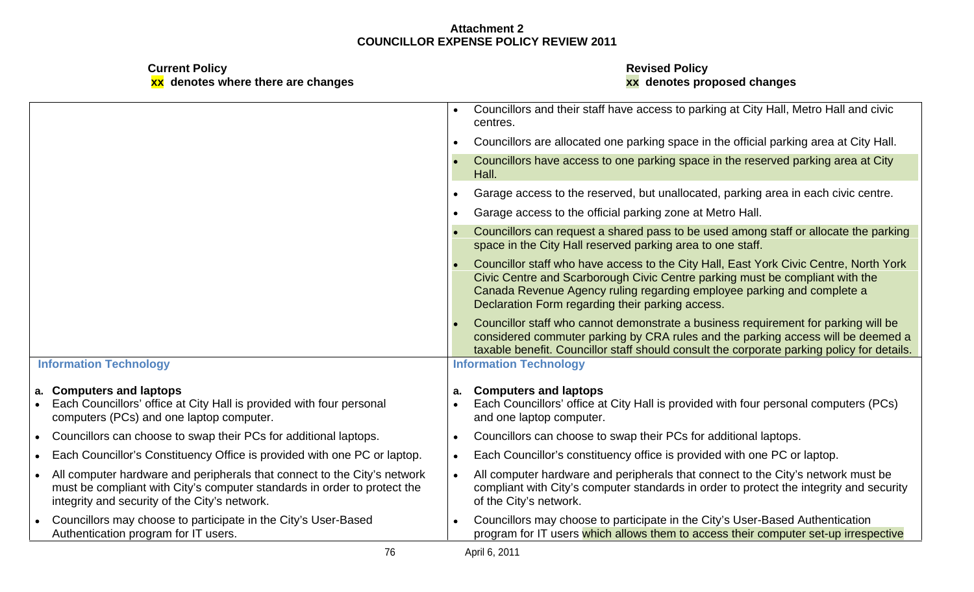| <b>Current Policy</b><br>xx denotes where there are changes                                                                                                                                           | <b>Revised Policy</b><br>xx denotes proposed changes                                                                                                                                                                                                                                                |
|-------------------------------------------------------------------------------------------------------------------------------------------------------------------------------------------------------|-----------------------------------------------------------------------------------------------------------------------------------------------------------------------------------------------------------------------------------------------------------------------------------------------------|
|                                                                                                                                                                                                       | Councillors and their staff have access to parking at City Hall, Metro Hall and civic<br>centres.                                                                                                                                                                                                   |
|                                                                                                                                                                                                       | Councillors are allocated one parking space in the official parking area at City Hall.                                                                                                                                                                                                              |
|                                                                                                                                                                                                       | Councillors have access to one parking space in the reserved parking area at City<br>Hall.                                                                                                                                                                                                          |
|                                                                                                                                                                                                       | Garage access to the reserved, but unallocated, parking area in each civic centre.                                                                                                                                                                                                                  |
|                                                                                                                                                                                                       | Garage access to the official parking zone at Metro Hall.                                                                                                                                                                                                                                           |
|                                                                                                                                                                                                       | Councillors can request a shared pass to be used among staff or allocate the parking<br>space in the City Hall reserved parking area to one staff.                                                                                                                                                  |
|                                                                                                                                                                                                       | Councillor staff who have access to the City Hall, East York Civic Centre, North York<br>Civic Centre and Scarborough Civic Centre parking must be compliant with the<br>Canada Revenue Agency ruling regarding employee parking and complete a<br>Declaration Form regarding their parking access. |
|                                                                                                                                                                                                       | Councillor staff who cannot demonstrate a business requirement for parking will be<br>considered commuter parking by CRA rules and the parking access will be deemed a<br>taxable benefit. Councillor staff should consult the corporate parking policy for details.                                |
| <b>Information Technology</b>                                                                                                                                                                         | <b>Information Technology</b>                                                                                                                                                                                                                                                                       |
| a. Computers and laptops<br>Each Councillors' office at City Hall is provided with four personal<br>computers (PCs) and one laptop computer.                                                          | <b>Computers and laptops</b><br>Each Councillors' office at City Hall is provided with four personal computers (PCs)<br>and one laptop computer.                                                                                                                                                    |
| • Councillors can choose to swap their PCs for additional laptops.                                                                                                                                    | Councillors can choose to swap their PCs for additional laptops.                                                                                                                                                                                                                                    |
| Each Councillor's Constituency Office is provided with one PC or laptop.                                                                                                                              | Each Councillor's constituency office is provided with one PC or laptop.                                                                                                                                                                                                                            |
| All computer hardware and peripherals that connect to the City's network<br>must be compliant with City's computer standards in order to protect the<br>integrity and security of the City's network. | All computer hardware and peripherals that connect to the City's network must be<br>compliant with City's computer standards in order to protect the integrity and security<br>of the City's network.                                                                                               |
| Councillors may choose to participate in the City's User-Based<br>Authentication program for IT users.                                                                                                | Councillors may choose to participate in the City's User-Based Authentication<br>program for IT users which allows them to access their computer set-up irrespective                                                                                                                                |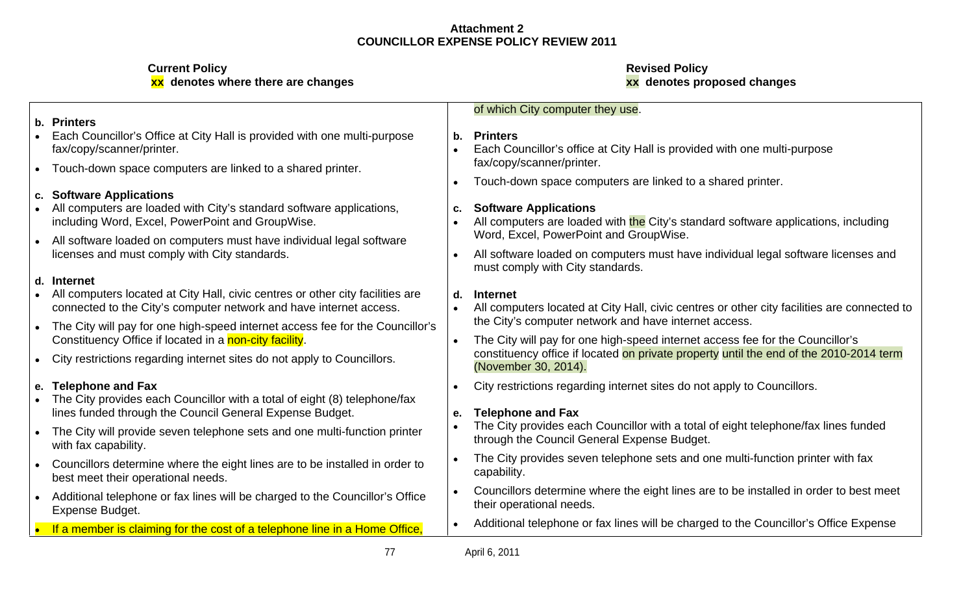|                                                                                                                                                                                                                                                      | of which City computer they use.                                                                                                                                                                |
|------------------------------------------------------------------------------------------------------------------------------------------------------------------------------------------------------------------------------------------------------|-------------------------------------------------------------------------------------------------------------------------------------------------------------------------------------------------|
| . Printers<br>Each Councillor's Office at City Hall is provided with one multi-purpose<br>fax/copy/scanner/printer.                                                                                                                                  | . Printers<br>Each Councillor's office at City Hall is provided with one multi-purpose                                                                                                          |
| Touch-down space computers are linked to a shared printer.                                                                                                                                                                                           | fax/copy/scanner/printer.<br>Touch-down space computers are linked to a shared printer.                                                                                                         |
| <b>Software Applications</b><br>All computers are loaded with City's standard software applications,<br>including Word, Excel, PowerPoint and GroupWise.                                                                                             | <b>Software Applications</b><br>All computers are loaded with the City's standard software applications, including<br>Word, Excel, PowerPoint and GroupWise.                                    |
| All software loaded on computers must have individual legal software<br>licenses and must comply with City standards.                                                                                                                                | All software loaded on computers must have individual legal software licenses and<br>must comply with City standards.                                                                           |
| l. Internet<br>All computers located at City Hall, civic centres or other city facilities are<br>connected to the City's computer network and have internet access.<br>The City will pay for one high-speed internet access fee for the Councillor's | <b>Internet</b><br>All computers located at City Hall, civic centres or other city facilities are connected to<br>the City's computer network and have internet access.                         |
| Constituency Office if located in a non-city facility.<br>City restrictions regarding internet sites do not apply to Councillors.                                                                                                                    | The City will pay for one high-speed internet access fee for the Councillor's<br>constituency office if located on private property until the end of the 2010-2014 term<br>(November 30, 2014). |
| <b>Telephone and Fax</b><br>The City provides each Councillor with a total of eight (8) telephone/fax<br>lines funded through the Council General Expense Budget.                                                                                    | City restrictions regarding internet sites do not apply to Councillors.<br>e. Telephone and Fax                                                                                                 |
| The City will provide seven telephone sets and one multi-function printer<br>with fax capability.                                                                                                                                                    | The City provides each Councillor with a total of eight telephone/fax lines funded<br>through the Council General Expense Budget.                                                               |
| Councillors determine where the eight lines are to be installed in order to<br>best meet their operational needs.                                                                                                                                    | The City provides seven telephone sets and one multi-function printer with fax<br>capability                                                                                                    |
| Additional telephone or fax lines will be charged to the Councillor's Office<br><b>Expense Budget.</b>                                                                                                                                               | Councillors determine where the eight lines are to be installed in order to best meet<br>their operational needs.                                                                               |
| If a member is claiming for the cost of a telephone line in a Home Office,                                                                                                                                                                           | Additional telephone or fax lines will be charged to the Councillor's Office Expense                                                                                                            |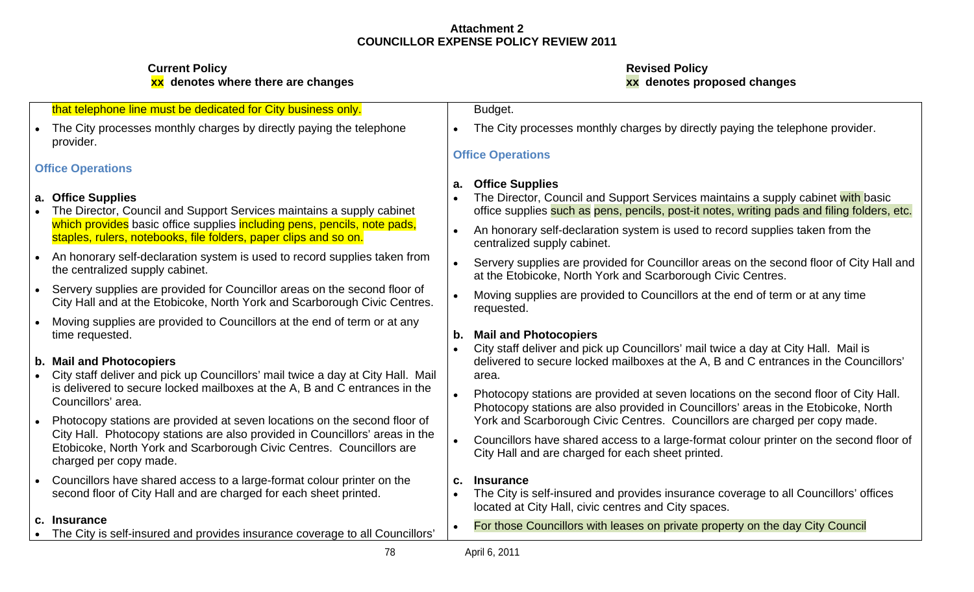| that telephone line must be dedicated for City business only.                                                                                                                  | <b>Budget</b>                                                                                                                                                                                           |
|--------------------------------------------------------------------------------------------------------------------------------------------------------------------------------|---------------------------------------------------------------------------------------------------------------------------------------------------------------------------------------------------------|
| • The City processes monthly charges by directly paying the telephone<br>provider.                                                                                             | • The City processes monthly charges by directly paying the telephone provider.                                                                                                                         |
|                                                                                                                                                                                | <b>Office Operations</b>                                                                                                                                                                                |
| <b>Office Operations</b>                                                                                                                                                       |                                                                                                                                                                                                         |
| a. Office Supplies<br>• The Director, Council and Support Services maintains a supply cabinet                                                                                  | a. Office Supplies<br>• The Director, Council and Support Services maintains a supply cabinet with basic<br>office supplies such as pens, pencils, post-it notes, writing pads and filing folders, etc. |
| which provides basic office supplies including pens, pencils, note pads,<br>staples, rulers, notebooks, file folders, paper clips and so on.                                   | • An honorary self-declaration system is used to record supplies taken from the<br>centralized supply cabinet.                                                                                          |
| • An honorary self-declaration system is used to record supplies taken from<br>the centralized supply cabinet.                                                                 | Servery supplies are provided for Councillor areas on the second floor of City Hall and<br>at the Etobicoke, North York and Scarborough Civic Centres.                                                  |
| Servery supplies are provided for Councillor areas on the second floor of<br>City Hall and at the Etobicoke, North York and Scarborough Civic Centres.                         | Moving supplies are provided to Councillors at the end of term or at any time<br>requested.                                                                                                             |
| • Moving supplies are provided to Councillors at the end of term or at any<br>time requested.                                                                                  | b. Mail and Photocopiers<br>City staff deliver and pick up Councillors' mail twice a day at City Hall. Mail is                                                                                          |
| b. Mail and Photocopiers<br>• City staff deliver and pick up Councillors' mail twice a day at City Hall. Mail                                                                  | delivered to secure locked mailboxes at the A, B and C entrances in the Councillors'<br>area.                                                                                                           |
| is delivered to secure locked mailboxes at the A, B and C entrances in the<br>Councillors' area.                                                                               | Photocopy stations are provided at seven locations on the second floor of City Hall.<br>Photocopy stations are also provided in Councillors' areas in the Etobicoke, North                              |
| Photocopy stations are provided at seven locations on the second floor of                                                                                                      | York and Scarborough Civic Centres. Councillors are charged per copy made.                                                                                                                              |
| City Hall. Photocopy stations are also provided in Councillors' areas in the<br>Etobicoke, North York and Scarborough Civic Centres. Councillors are<br>charged per copy made. | Councillors have shared access to a large-format colour printer on the second floor of<br>City Hall and are charged for each sheet printed.                                                             |
| Councillors have shared access to a large-format colour printer on the<br>second floor of City Hall and are charged for each sheet printed.                                    | c. Insurance<br>• The City is self-insured and provides insurance coverage to all Councillors' offices<br>located at City Hall, civic centres and City spaces.                                          |
| c. Insurance<br>• The City is self-insured and provides insurance coverage to all Councillors'                                                                                 | For those Councillors with leases on private property on the day City Council                                                                                                                           |
| 78                                                                                                                                                                             | April 6, 2011                                                                                                                                                                                           |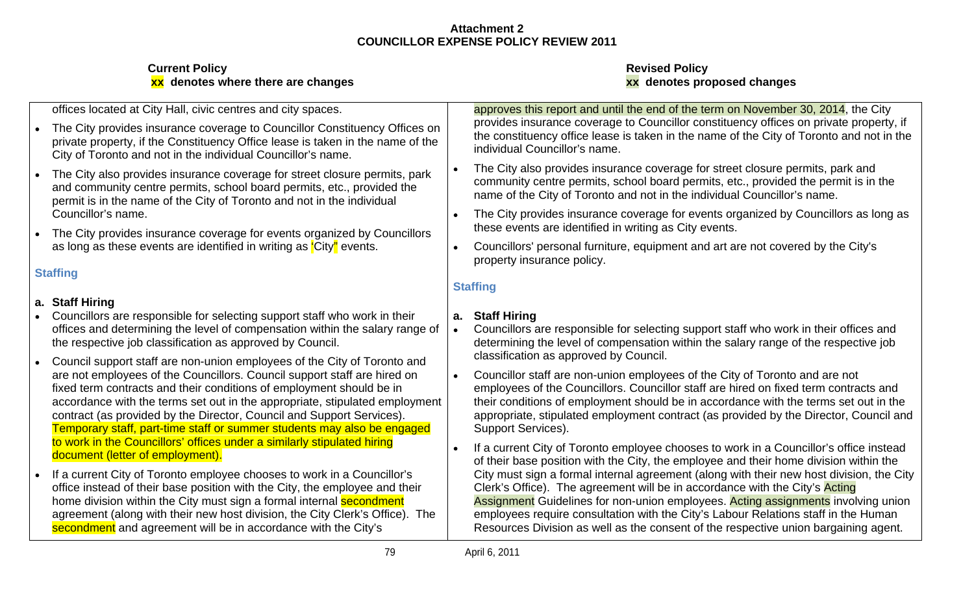| offices located at City Hall, civic centres and city spaces.                                                                                                                                                                    | approves this report and until the end of the term on November 30, 2014, the City                                                                                                                                                                                          |
|---------------------------------------------------------------------------------------------------------------------------------------------------------------------------------------------------------------------------------|----------------------------------------------------------------------------------------------------------------------------------------------------------------------------------------------------------------------------------------------------------------------------|
| The City provides insurance coverage to Councillor Constituency Offices or<br>private property, if the Constituency Office lease is taken in the name of the<br>City of Toronto and not in the individual Councillor's name.    | provides insurance coverage to Councillor constituency offices on private property, if<br>the constituency office lease is taken in the name of the City of Toronto and not in the<br>individual Councillor's name.                                                        |
| The City also provides insurance coverage for street closure permits, park<br>and community centre permits, school board permits, etc., provided the<br>permit is in the name of the City of Toronto and not in the individual  | The City also provides insurance coverage for street closure permits, park and<br>community centre permits, school board permits, etc., provided the permit is in the<br>name of the City of Toronto and not in the individual Councillor's name.                          |
| Councillor's name.                                                                                                                                                                                                              | The City provides insurance coverage for events organized by Councillors as long as<br>these events are identified in writing as City events.                                                                                                                              |
| The City provides insurance coverage for events organized by Councillors<br>as long as these events are identified in writing as 'City'' events.                                                                                | Councillors' personal furniture, equipment and art are not covered by the City's                                                                                                                                                                                           |
| <b>Staffing</b>                                                                                                                                                                                                                 | property insurance policy.                                                                                                                                                                                                                                                 |
| a. Staff Hiring                                                                                                                                                                                                                 |                                                                                                                                                                                                                                                                            |
| Councillors are responsible for selecting support staff who work in their<br>offices and determining the level of compensation within the salary range of<br>the respective job classification as approved by Council.          | <b>Staff Hiring</b><br>Councillors are responsible for selecting support staff who work in their offices and<br>determining the level of compensation within the salary range of the respective job<br>classification as approved by Council.                              |
| Council support staff are non-union employees of the City of Toronto and<br>are not employees of the Councillors. Council support staff are hired on<br>fixed term contracts and their conditions of employment should be in    | Councillor staff are non-union employees of the City of Toronto and are not<br>employees of the Councillors. Councillor staff are hired on fixed term contracts and                                                                                                        |
| accordance with the terms set out in the appropriate, stipulated employment<br>contract (as provided by the Director, Council and Support Services).<br>Temporary staff, part-time staff or summer students may also be engaged | their conditions of employment should be in accordance with the terms set out in the<br>appropriate, stipulated employment contract (as provided by the Director, Council and<br>Support Services).                                                                        |
| to work in the Councillors' offices under a similarly stipulated hiring<br>document (letter of employment).                                                                                                                     | If a current City of Toronto employee chooses to work in a Councillor's office instead<br>of their base position with the City, the employee and their home division within the                                                                                            |
| If a current City of Toronto employee chooses to work in a Councillor's<br>office instead of their base position with the City, the employee and their<br>home division within the City must sign a formal internal sec         | City must sign a formal internal agreement (along with their new host division, the City<br>Clerk's Office). The agreement will be in accordance with the City's Acting<br><b>Assignment</b> Guidelines for non-union employees. <b>Acting assignments</b> involving union |
| agreement (along with their new host division, the City Clerk's Office). The<br>secondment and agreement will be in accordance with the City's                                                                                  | employees require consultation with the City's Labour Relations staff in the Human<br>Resources Division as well as the consent of the respective union bargaining agent                                                                                                   |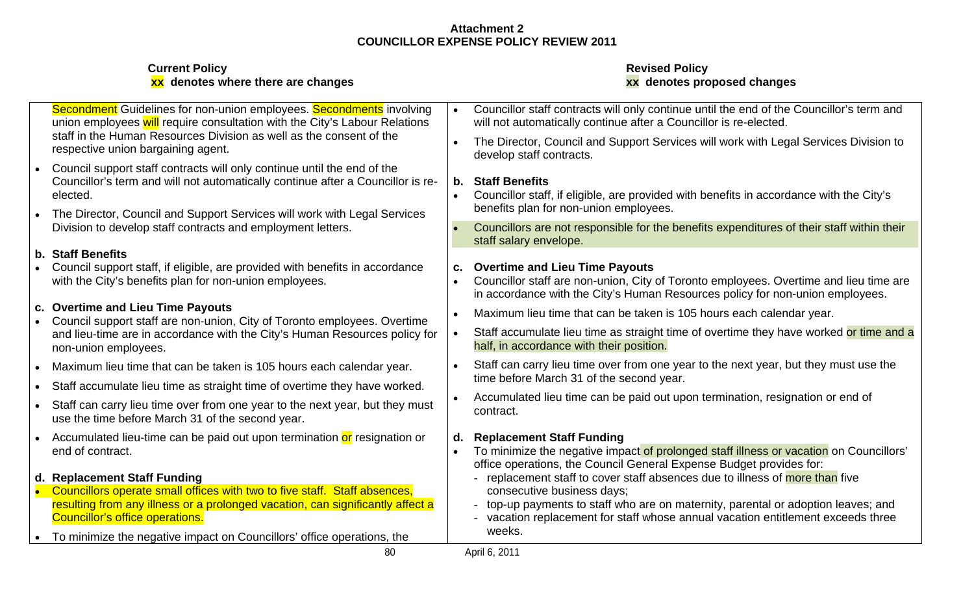| <b>Current Policy</b><br>xx denotes where there are changes                                                                                                                                                                                       | <b>Revised Policy</b><br>xx denotes proposed changes                                                                                                                                                      |
|---------------------------------------------------------------------------------------------------------------------------------------------------------------------------------------------------------------------------------------------------|-----------------------------------------------------------------------------------------------------------------------------------------------------------------------------------------------------------|
| Secondment Guidelines for non-union employees. Secondments involving<br>union employees will require consultation with the City's Labour Relations                                                                                                | Councillor staff contracts will only continue until the end of the Councillor's term and<br>will not automatically continue after a Councillor is re-elected.                                             |
| staff in the Human Resources Division as well as the consent of the<br>respective union bargaining agent.                                                                                                                                         | • The Director, Council and Support Services will work with Legal Services Division to<br>develop staff contracts.                                                                                        |
| Council support staff contracts will only continue until the end of the<br>Councillor's term and will not automatically continue after a Councillor is re-<br>elected<br>The Director, Council and Support Services will work with Legal Services | <b>Staff Benefits</b><br>Councillor staff, if eligible, are provided with benefits in accordance with the City's<br>benefits plan for non-union employees.                                                |
| Division to develop staff contracts and employment letters.                                                                                                                                                                                       | Councillors are not responsible for the benefits expenditures of their staff within their<br>staff salary envelope.                                                                                       |
| b. Staff Benefits<br>• Council support staff, if eligible, are provided with benefits in accordance<br>with the City's benefits plan for non-union employees.                                                                                     | c. Overtime and Lieu Time Payouts<br>• Councillor staff are non-union, City of Toronto employees. Overtime and lieu time are                                                                              |
| c. Overtime and Lieu Time Payouts                                                                                                                                                                                                                 | in accordance with the City's Human Resources policy for non-union employees.                                                                                                                             |
| • Council support staff are non-union, City of Toronto employees. Overtime<br>and lieu-time are in accordance with the City's Human Resources policy for<br>non-union employees.                                                                  | Maximum lieu time that can be taken is 105 hours each calendar year.<br>Staff accumulate lieu time as straight time of overtime they have worked or time and a<br>half, in accordance with their position |
| Maximum lieu time that can be taken is 105 hours each calendar year                                                                                                                                                                               | Staff can carry lieu time over from one year to the next year, but they must use the<br>time before March 31 of the second year.                                                                          |
| Staff accumulate lieu time as straight time of overtime they have worked.<br>Staff can carry lieu time over from one year to the next year, but they must<br>use the time before March 31 of the second year.                                     | Accumulated lieu time can be paid out upon termination, resignation or end of<br>contract.                                                                                                                |
| Accumulated lieu-time can be paid out upon termination or resignation or<br>end of contract.                                                                                                                                                      | Replacement Staff Funding<br>• To minimize the negative impact of prolonged staff illness or vacation on Councillors'<br>office operations, the Council General Expense Budget provides for:              |
| d. Replacement Staff Funding<br>• Councillors operate small offices with two to five staff. Staff absences,<br>resulting from any illness or a prolonged vacation, can significantly affect a                                                     | - replacement staff to cover staff absences due to illness of more than five<br>consecutive business days;<br>top-up payments to staff who are on maternity, parental or adoption leaves; and             |
| <b>Councillor's office operations</b><br>To minimize the negative impact on Councillors' office operations, the                                                                                                                                   | - vacation replacement for staff whose annual vacation entitlement exceeds three<br>weeks.                                                                                                                |
|                                                                                                                                                                                                                                                   | April 6, 2011                                                                                                                                                                                             |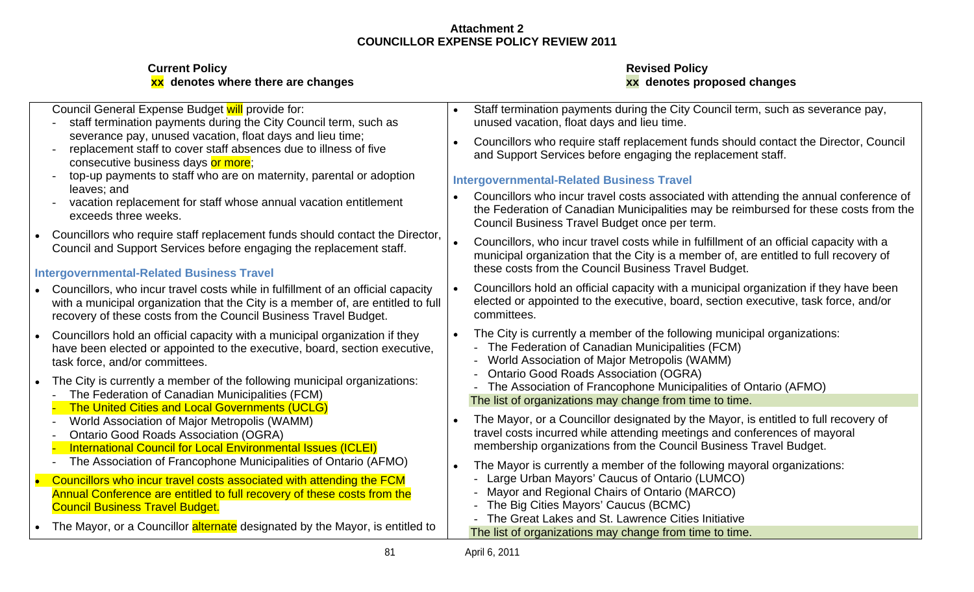| <b>Current Policy</b>         |  |
|-------------------------------|--|
| <u>vy</u> donotos whore thore |  |

| Council General Expense Budget will provide for:                                                                                                                    | Staff termination payments during the City Council term, such as severance pay,                                                                     |
|---------------------------------------------------------------------------------------------------------------------------------------------------------------------|-----------------------------------------------------------------------------------------------------------------------------------------------------|
| staff termination payments during the City Council term, such as                                                                                                    | unused vacation, float days and lieu time.                                                                                                          |
| severance pay, unused vacation, float days and lieu time;<br>replacement staff to cover staff absences due to illness of five<br>consecutive business days or more; | Councillors who require staff replacement funds should contact the Director, Council<br>and Support Services before engaging the replacement staff. |
| top-up payments to staff who are on maternity, parental or adoption                                                                                                 | <b>Intergovernmental-Related Business Travel</b>                                                                                                    |
| leaves: and                                                                                                                                                         | Councillors who incur travel costs associated with attending the annual conference of                                                               |
| vacation replacement for staff whose annual vacation entitlement                                                                                                    | the Federation of Canadian Municipalities may be reimbursed for these costs from the                                                                |
| exceeds three weeks.                                                                                                                                                | Council Business Travel Budget once per term.                                                                                                       |
| Councillors who require staff replacement funds should contact the Director.                                                                                        | Councillors, who incur travel costs while in fulfillment of an official capacity with a                                                             |
| Council and Support Services before engaging the replacement staff.                                                                                                 | municipal organization that the City is a member of, are entitled to full recovery of                                                               |
| <b>Intergovernmental-Related Business Travel</b>                                                                                                                    | these costs from the Council Business Travel Budget.                                                                                                |
| Councillors, who incur travel costs while in fulfillment of an official capacity                                                                                    | Councillors hold an official capacity with a municipal organization if they have been                                                               |
| with a municipal organization that the City is a member of, are entitled to full                                                                                    | elected or appointed to the executive, board, section executive, task force, and/or                                                                 |
| recovery of these costs from the Council Business Travel Budget.                                                                                                    | committees.                                                                                                                                         |
| Councillors hold an official capacity with a municipal organization if they                                                                                         | The City is currently a member of the following municipal organizations:                                                                            |
| have been elected or appointed to the executive, board, section executive,                                                                                          | - The Federation of Canadian Municipalities (FCM)                                                                                                   |
| task force, and/or committees.                                                                                                                                      | - World Association of Major Metropolis (WAMM)                                                                                                      |
| The City is currently a member of the following municipal organizations:                                                                                            | <b>Ontario Good Roads Association (OGRA)</b>                                                                                                        |
| The Federation of Canadian Municipalities (FCM)                                                                                                                     | - The Association of Francophone Municipalities of Ontario (AFMO)                                                                                   |
| <b>The United Cities and Local Governments (UCLG)</b>                                                                                                               | The list of organizations may change from time to time.                                                                                             |
| World Association of Major Metropolis (WAMM)                                                                                                                        | The Mayor, or a Councillor designated by the Mayor, is entitled to full recovery of                                                                 |
| <b>Ontario Good Roads Association (OGRA)</b>                                                                                                                        | travel costs incurred while attending meetings and conferences of mayoral                                                                           |
| <b>International Council for Local Environmental Issues (ICLEI)</b>                                                                                                 | membership organizations from the Council Business Travel Budget.                                                                                   |
| The Association of Francophone Municipalities of Ontario (AFMO)                                                                                                     | The Mayor is currently a member of the following mayoral organizations:                                                                             |
| Councillors who incur travel costs associated with attending the FCM                                                                                                | - Large Urban Mayors' Caucus of Ontario (LUMCO)                                                                                                     |
| Annual Conference are entitled to full recovery of these costs from the                                                                                             | - Mayor and Regional Chairs of Ontario (MARCO)                                                                                                      |
| <b>Council Business Travel Budget.</b>                                                                                                                              | - The Big Cities Mayors' Caucus (BCMC)                                                                                                              |
| The Mayor, or a Councillor alternate designated by the Mayor, is entitled to                                                                                        | - The Great Lakes and St. Lawrence Cities Initiative<br>The list of organizations may change from time to time.                                     |